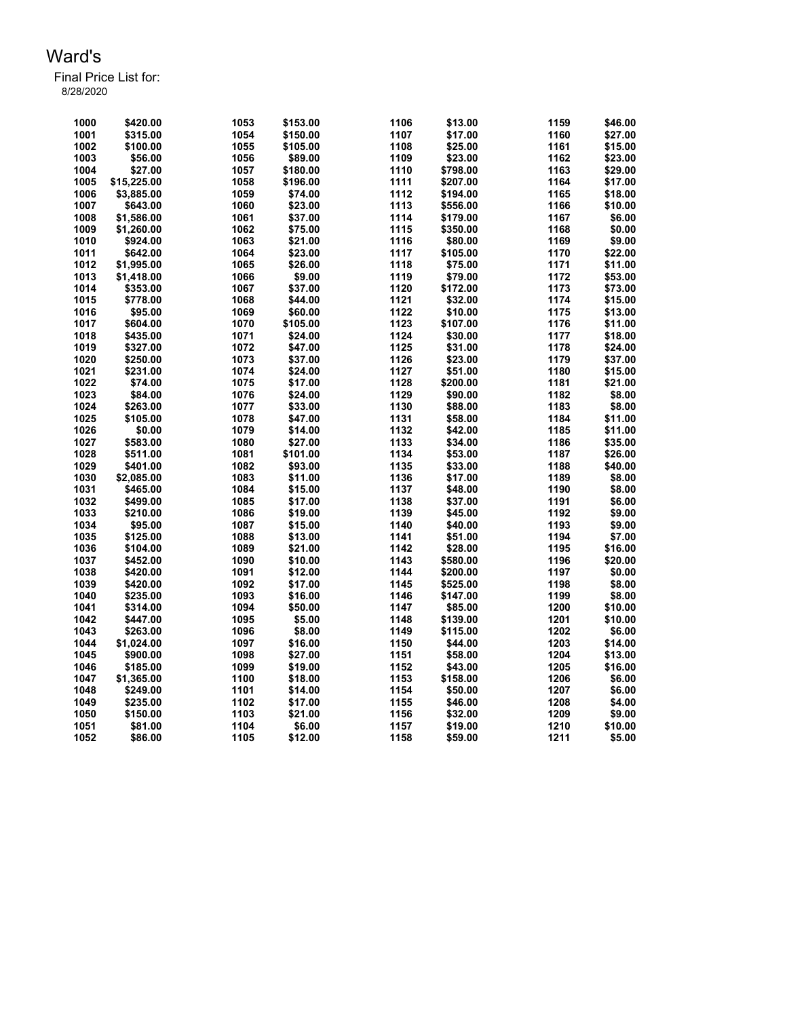| 1000 | \$420.00    | 1053 | \$153.00 | 1106 | \$13.00  | 1159 | \$46.00 |
|------|-------------|------|----------|------|----------|------|---------|
| 1001 | \$315.00    | 1054 | \$150.00 | 1107 | \$17.00  | 1160 | \$27.00 |
| 1002 | \$100.00    | 1055 | \$105.00 | 1108 | \$25.00  | 1161 | \$15.00 |
| 1003 | \$56.00     | 1056 | \$89.00  | 1109 | \$23.00  | 1162 | \$23.00 |
| 1004 | \$27.00     | 1057 | \$180.00 | 1110 | \$798.00 | 1163 | \$29.00 |
| 1005 | \$15,225.00 | 1058 | \$196.00 | 1111 | \$207.00 | 1164 | \$17.00 |
| 1006 | \$3,885.00  | 1059 | \$74.00  | 1112 | \$194.00 | 1165 | \$18.00 |
| 1007 | \$643.00    | 1060 | \$23.00  | 1113 | \$556.00 | 1166 | \$10.00 |
| 1008 | \$1,586.00  | 1061 | \$37.00  | 1114 | \$179.00 | 1167 | \$6.00  |
| 1009 | \$1,260.00  | 1062 | \$75.00  | 1115 | \$350.00 | 1168 | \$0.00  |
| 1010 | \$924.00    | 1063 | \$21.00  | 1116 | \$80.00  | 1169 | \$9.00  |
| 1011 | \$642.00    | 1064 | \$23.00  | 1117 | \$105.00 | 1170 | \$22.00 |
| 1012 | \$1,995.00  | 1065 | \$26.00  | 1118 | \$75.00  | 1171 | \$11.00 |
| 1013 | \$1,418.00  | 1066 | \$9.00   | 1119 | \$79.00  | 1172 | \$53.00 |
| 1014 | \$353.00    | 1067 | \$37.00  | 1120 | \$172.00 | 1173 | \$73.00 |
| 1015 | \$778.00    | 1068 | \$44.00  | 1121 | \$32.00  | 1174 | \$15.00 |
| 1016 | \$95.00     | 1069 | \$60.00  | 1122 | \$10.00  | 1175 | \$13.00 |
| 1017 | \$604.00    | 1070 | \$105.00 | 1123 | \$107.00 | 1176 | \$11.00 |
| 1018 | \$435.00    | 1071 | \$24.00  | 1124 | \$30.00  | 1177 | \$18.00 |
| 1019 | \$327.00    | 1072 | \$47.00  | 1125 | \$31.00  | 1178 | \$24.00 |
| 1020 | \$250.00    | 1073 | \$37.00  | 1126 | \$23.00  | 1179 | \$37.00 |
| 1021 | \$231.00    | 1074 | \$24.00  | 1127 | \$51.00  | 1180 | \$15.00 |
| 1022 | \$74.00     | 1075 | \$17.00  | 1128 | \$200.00 | 1181 | \$21.00 |
| 1023 | \$84.00     | 1076 | \$24.00  | 1129 | \$90.00  | 1182 | \$8.00  |
| 1024 | \$263.00    | 1077 | \$33.00  | 1130 | \$88.00  | 1183 | \$8.00  |
| 1025 | \$105.00    | 1078 | \$47.00  | 1131 | \$58.00  | 1184 | \$11.00 |
| 1026 |             | 1079 |          | 1132 |          | 1185 | \$11.00 |
| 1027 | \$0.00      | 1080 | \$14.00  | 1133 | \$42.00  | 1186 |         |
|      | \$583.00    |      | \$27.00  |      | \$34.00  |      | \$35.00 |
| 1028 | \$511.00    | 1081 | \$101.00 | 1134 | \$53.00  | 1187 | \$26.00 |
| 1029 | \$401.00    | 1082 | \$93.00  | 1135 | \$33.00  | 1188 | \$40.00 |
| 1030 | \$2,085.00  | 1083 | \$11.00  | 1136 | \$17.00  | 1189 | \$8.00  |
| 1031 | \$465.00    | 1084 | \$15.00  | 1137 | \$48.00  | 1190 | \$8.00  |
| 1032 | \$499.00    | 1085 | \$17.00  | 1138 | \$37.00  | 1191 | \$6.00  |
| 1033 | \$210.00    | 1086 | \$19.00  | 1139 | \$45.00  | 1192 | \$9.00  |
| 1034 | \$95.00     | 1087 | \$15.00  | 1140 | \$40.00  | 1193 | \$9.00  |
| 1035 | \$125.00    | 1088 | \$13.00  | 1141 | \$51.00  | 1194 | \$7.00  |
| 1036 | \$104.00    | 1089 | \$21.00  | 1142 | \$28.00  | 1195 | \$16.00 |
| 1037 | \$452.00    | 1090 | \$10.00  | 1143 | \$580.00 | 1196 | \$20.00 |
| 1038 | \$420.00    | 1091 | \$12.00  | 1144 | \$200.00 | 1197 | \$0.00  |
| 1039 | \$420.00    | 1092 | \$17.00  | 1145 | \$525.00 | 1198 | \$8.00  |
| 1040 | \$235.00    | 1093 | \$16.00  | 1146 | \$147.00 | 1199 | \$8.00  |
| 1041 | \$314.00    | 1094 | \$50.00  | 1147 | \$85.00  | 1200 | \$10.00 |
| 1042 | \$447.00    | 1095 | \$5.00   | 1148 | \$139.00 | 1201 | \$10.00 |
| 1043 | \$263.00    | 1096 | \$8.00   | 1149 | \$115.00 | 1202 | \$6.00  |
| 1044 | \$1,024.00  | 1097 | \$16.00  | 1150 | \$44.00  | 1203 | \$14.00 |
| 1045 | \$900.00    | 1098 | \$27.00  | 1151 | \$58.00  | 1204 | \$13.00 |
| 1046 | \$185.00    | 1099 | \$19.00  | 1152 | \$43.00  | 1205 | \$16.00 |
| 1047 | \$1,365.00  | 1100 | \$18.00  | 1153 | \$158.00 | 1206 | \$6.00  |
| 1048 | \$249.00    | 1101 | \$14.00  | 1154 | \$50.00  | 1207 | \$6.00  |
| 1049 | \$235.00    | 1102 | \$17.00  | 1155 | \$46.00  | 1208 | \$4.00  |
| 1050 | \$150.00    | 1103 | \$21.00  | 1156 | \$32.00  | 1209 | \$9.00  |
| 1051 | \$81.00     | 1104 | \$6.00   | 1157 | \$19.00  | 1210 | \$10.00 |
| 1052 | \$86.00     | 1105 | \$12.00  | 1158 | \$59.00  | 1211 | \$5.00  |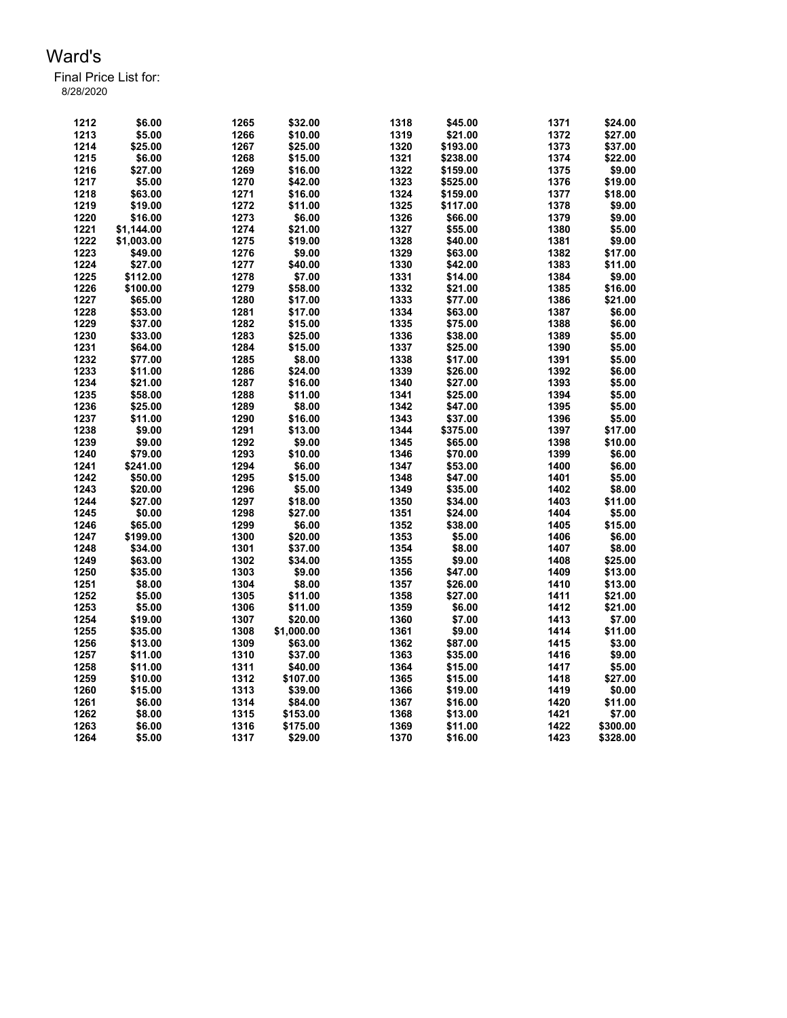| 1212 | \$6.00     | 1265 | \$32.00    | 1318 | \$45.00  | 1371 | \$24.00          |
|------|------------|------|------------|------|----------|------|------------------|
| 1213 | \$5.00     | 1266 | \$10.00    | 1319 | \$21.00  | 1372 | \$27.00          |
| 1214 | \$25.00    | 1267 | \$25.00    | 1320 | \$193.00 | 1373 | \$37.00          |
| 1215 | \$6.00     | 1268 | \$15.00    | 1321 | \$238.00 | 1374 | \$22.00          |
| 1216 | \$27.00    | 1269 | \$16.00    | 1322 | \$159.00 | 1375 | \$9.00           |
| 1217 | \$5.00     | 1270 | \$42.00    | 1323 | \$525.00 | 1376 | \$19.00          |
| 1218 | \$63.00    | 1271 | \$16.00    | 1324 | \$159.00 | 1377 | \$18.00          |
| 1219 | \$19.00    | 1272 | \$11.00    | 1325 | \$117.00 | 1378 | \$9.00           |
| 1220 | \$16.00    | 1273 | \$6.00     | 1326 | \$66.00  | 1379 | \$9.00           |
| 1221 | \$1.144.00 | 1274 | \$21.00    | 1327 | \$55.00  | 1380 | \$5.00           |
| 1222 | \$1,003.00 | 1275 | \$19.00    | 1328 | \$40.00  | 1381 | \$9.00           |
| 1223 | \$49.00    | 1276 | \$9.00     | 1329 | \$63.00  | 1382 | \$17.00          |
| 1224 | \$27.00    | 1277 | \$40.00    | 1330 | \$42.00  | 1383 | \$11.00          |
| 1225 | \$112.00   | 1278 | \$7.00     | 1331 | \$14.00  | 1384 | \$9.00           |
| 1226 | \$100.00   | 1279 | \$58.00    | 1332 | \$21.00  | 1385 | \$16.00          |
| 1227 | \$65.00    | 1280 | \$17.00    | 1333 | \$77.00  | 1386 | \$21.00          |
| 1228 | \$53.00    | 1281 | \$17.00    | 1334 | \$63.00  | 1387 | \$6.00           |
| 1229 | \$37.00    | 1282 | \$15.00    | 1335 | \$75.00  | 1388 | \$6.00           |
| 1230 | \$33.00    | 1283 | \$25.00    | 1336 | \$38.00  | 1389 | \$5.00           |
| 1231 | \$64.00    | 1284 | \$15.00    | 1337 | \$25.00  | 1390 | \$5.00           |
| 1232 | \$77.00    | 1285 | \$8.00     | 1338 | \$17.00  | 1391 |                  |
| 1233 |            | 1286 | \$24.00    | 1339 |          | 1392 | \$5.00<br>\$6.00 |
| 1234 | \$11.00    | 1287 |            |      | \$26.00  | 1393 |                  |
|      | \$21.00    |      | \$16.00    | 1340 | \$27.00  |      | \$5.00           |
| 1235 | \$58.00    | 1288 | \$11.00    | 1341 | \$25.00  | 1394 | \$5.00           |
| 1236 | \$25.00    | 1289 | \$8.00     | 1342 | \$47.00  | 1395 | \$5.00           |
| 1237 | \$11.00    | 1290 | \$16.00    | 1343 | \$37.00  | 1396 | \$5.00           |
| 1238 | \$9.00     | 1291 | \$13.00    | 1344 | \$375.00 | 1397 | \$17.00          |
| 1239 | \$9.00     | 1292 | \$9.00     | 1345 | \$65.00  | 1398 | \$10.00          |
| 1240 | \$79.00    | 1293 | \$10.00    | 1346 | \$70.00  | 1399 | \$6.00           |
| 1241 | \$241.00   | 1294 | \$6.00     | 1347 | \$53.00  | 1400 | \$6.00           |
| 1242 | \$50.00    | 1295 | \$15.00    | 1348 | \$47.00  | 1401 | \$5.00           |
| 1243 | \$20.00    | 1296 | \$5.00     | 1349 | \$35.00  | 1402 | \$8.00           |
| 1244 | \$27.00    | 1297 | \$18.00    | 1350 | \$34.00  | 1403 | \$11.00          |
| 1245 | \$0.00     | 1298 | \$27.00    | 1351 | \$24.00  | 1404 | \$5.00           |
| 1246 | \$65.00    | 1299 | \$6.00     | 1352 | \$38.00  | 1405 | \$15.00          |
| 1247 | \$199.00   | 1300 | \$20.00    | 1353 | \$5.00   | 1406 | \$6.00           |
| 1248 | \$34.00    | 1301 | \$37.00    | 1354 | \$8.00   | 1407 | \$8.00           |
| 1249 | \$63.00    | 1302 | \$34.00    | 1355 | \$9.00   | 1408 | \$25.00          |
| 1250 | \$35.00    | 1303 | \$9.00     | 1356 | \$47.00  | 1409 | \$13.00          |
| 1251 | \$8.00     | 1304 | \$8.00     | 1357 | \$26.00  | 1410 | \$13.00          |
| 1252 | \$5.00     | 1305 | \$11.00    | 1358 | \$27.00  | 1411 | \$21.00          |
| 1253 | \$5.00     | 1306 | \$11.00    | 1359 | \$6.00   | 1412 | \$21.00          |
| 1254 | \$19.00    | 1307 | \$20.00    | 1360 | \$7.00   | 1413 | \$7.00           |
| 1255 | \$35.00    | 1308 | \$1.000.00 | 1361 | \$9.00   | 1414 | \$11.00          |
| 1256 | \$13.00    | 1309 | \$63.00    | 1362 | \$87.00  | 1415 | \$3.00           |
| 1257 | \$11.00    | 1310 | \$37.00    | 1363 | \$35.00  | 1416 | \$9.00           |
| 1258 | \$11.00    | 1311 | \$40.00    | 1364 | \$15.00  | 1417 | \$5.00           |
| 1259 | \$10.00    | 1312 | \$107.00   | 1365 | \$15.00  | 1418 | \$27.00          |
| 1260 | \$15.00    | 1313 | \$39.00    | 1366 | \$19.00  | 1419 | \$0.00           |
| 1261 | \$6.00     | 1314 | \$84.00    | 1367 | \$16.00  | 1420 | \$11.00          |
| 1262 | \$8.00     | 1315 | \$153.00   | 1368 | \$13.00  | 1421 | \$7.00           |
| 1263 | \$6.00     | 1316 | \$175.00   | 1369 | \$11.00  | 1422 | \$300.00         |
| 1264 | \$5.00     | 1317 | \$29.00    | 1370 | \$16.00  | 1423 | \$328.00         |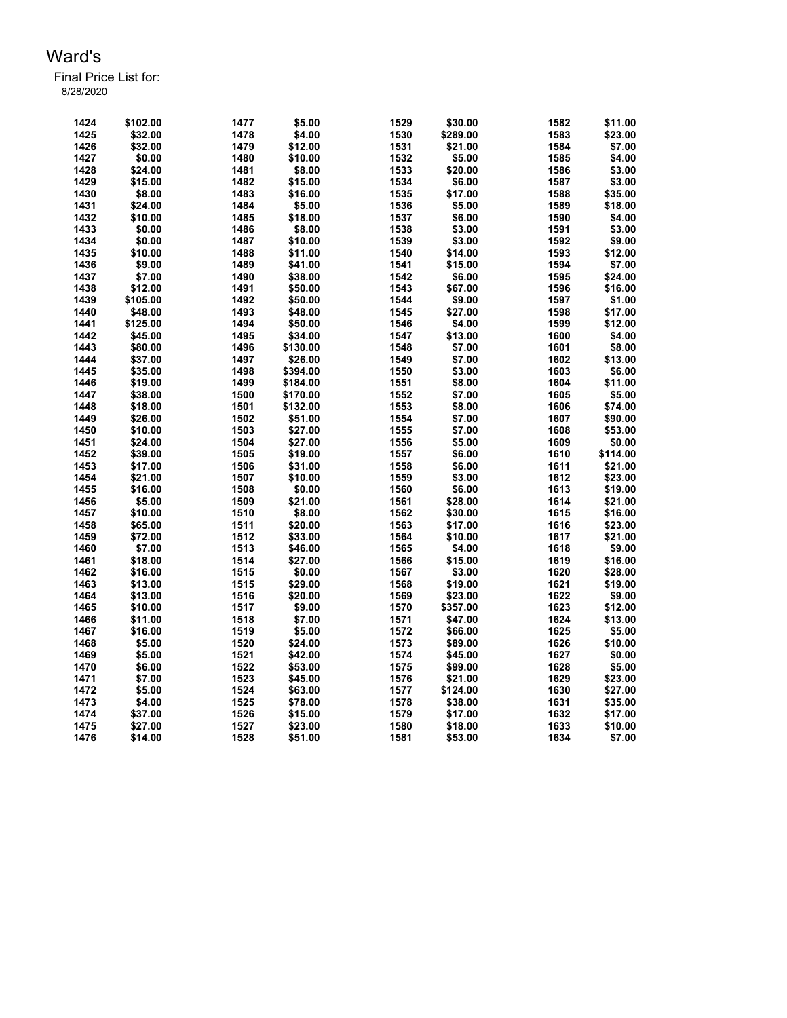| 1424 | \$102.00 | 1477 | \$5.00   | 1529 | \$30.00  | 1582 | \$11.00  |
|------|----------|------|----------|------|----------|------|----------|
| 1425 | \$32.00  | 1478 | \$4.00   | 1530 | \$289.00 | 1583 | \$23.00  |
| 1426 | \$32.00  | 1479 | \$12.00  | 1531 | \$21.00  | 1584 | \$7.00   |
| 1427 | \$0.00   | 1480 | \$10.00  | 1532 | \$5.00   | 1585 | \$4.00   |
| 1428 | \$24.00  | 1481 | \$8.00   | 1533 | \$20.00  | 1586 | \$3.00   |
| 1429 | \$15.00  | 1482 | \$15.00  | 1534 | \$6.00   | 1587 | \$3.00   |
| 1430 | \$8.00   | 1483 | \$16.00  | 1535 | \$17.00  | 1588 | \$35.00  |
| 1431 | \$24.00  | 1484 | \$5.00   | 1536 | \$5.00   | 1589 | \$18.00  |
| 1432 | \$10.00  | 1485 | \$18.00  | 1537 | \$6.00   | 1590 | \$4.00   |
| 1433 | \$0.00   | 1486 | \$8.00   | 1538 | \$3.00   | 1591 | \$3.00   |
| 1434 | \$0.00   | 1487 | \$10.00  | 1539 | \$3.00   | 1592 | \$9.00   |
| 1435 | \$10.00  | 1488 | \$11.00  | 1540 | \$14.00  | 1593 | \$12.00  |
| 1436 | \$9.00   | 1489 | \$41.00  | 1541 | \$15.00  | 1594 | \$7.00   |
| 1437 | \$7.00   | 1490 | \$38.00  | 1542 | \$6.00   | 1595 | \$24.00  |
| 1438 | \$12.00  | 1491 | \$50.00  | 1543 | \$67.00  | 1596 | \$16.00  |
| 1439 | \$105.00 | 1492 | \$50.00  | 1544 | \$9.00   | 1597 | \$1.00   |
| 1440 | \$48.00  | 1493 | \$48.00  | 1545 | \$27.00  | 1598 | \$17.00  |
| 1441 | \$125.00 | 1494 | \$50.00  | 1546 | \$4.00   | 1599 | \$12.00  |
| 1442 | \$45.00  | 1495 | \$34.00  | 1547 | \$13.00  | 1600 | \$4.00   |
| 1443 | \$80.00  | 1496 | \$130.00 | 1548 | \$7.00   | 1601 | \$8.00   |
| 1444 | \$37.00  | 1497 | \$26.00  | 1549 | \$7.00   | 1602 | \$13.00  |
| 1445 | \$35.00  | 1498 |          | 1550 | \$3.00   | 1603 |          |
|      |          |      | \$394.00 |      |          |      | \$6.00   |
| 1446 | \$19.00  | 1499 | \$184.00 | 1551 | \$8.00   | 1604 | \$11.00  |
| 1447 | \$38.00  | 1500 | \$170.00 | 1552 | \$7.00   | 1605 | \$5.00   |
| 1448 | \$18.00  | 1501 | \$132.00 | 1553 | \$8.00   | 1606 | \$74.00  |
| 1449 | \$26.00  | 1502 | \$51.00  | 1554 | \$7.00   | 1607 | \$90.00  |
| 1450 | \$10.00  | 1503 | \$27.00  | 1555 | \$7.00   | 1608 | \$53.00  |
| 1451 | \$24.00  | 1504 | \$27.00  | 1556 | \$5.00   | 1609 | \$0.00   |
| 1452 | \$39.00  | 1505 | \$19.00  | 1557 | \$6.00   | 1610 | \$114.00 |
| 1453 | \$17.00  | 1506 | \$31.00  | 1558 | \$6.00   | 1611 | \$21.00  |
| 1454 | \$21.00  | 1507 | \$10.00  | 1559 | \$3.00   | 1612 | \$23.00  |
| 1455 | \$16.00  | 1508 | \$0.00   | 1560 | \$6.00   | 1613 | \$19.00  |
| 1456 | \$5.00   | 1509 | \$21.00  | 1561 | \$28.00  | 1614 | \$21.00  |
| 1457 | \$10.00  | 1510 | \$8.00   | 1562 | \$30.00  | 1615 | \$16.00  |
| 1458 | \$65.00  | 1511 | \$20.00  | 1563 | \$17.00  | 1616 | \$23.00  |
| 1459 | \$72.00  | 1512 | \$33.00  | 1564 | \$10.00  | 1617 | \$21.00  |
| 1460 | \$7.00   | 1513 | \$46.00  | 1565 | \$4.00   | 1618 | \$9.00   |
| 1461 | \$18.00  | 1514 | \$27.00  | 1566 | \$15.00  | 1619 | \$16.00  |
| 1462 | \$16.00  | 1515 | \$0.00   | 1567 | \$3.00   | 1620 | \$28.00  |
| 1463 | \$13.00  | 1515 | \$29.00  | 1568 | \$19.00  | 1621 | \$19.00  |
| 1464 | \$13.00  | 1516 | \$20.00  | 1569 | \$23.00  | 1622 | \$9.00   |
| 1465 | \$10.00  | 1517 | \$9.00   | 1570 | \$357.00 | 1623 | \$12.00  |
| 1466 | \$11.00  | 1518 | \$7.00   | 1571 | \$47.00  | 1624 | \$13.00  |
| 1467 | \$16.00  | 1519 | \$5.00   | 1572 | \$66.00  | 1625 | \$5.00   |
| 1468 | \$5.00   | 1520 | \$24.00  | 1573 | \$89.00  | 1626 | \$10.00  |
| 1469 | \$5.00   | 1521 | \$42.00  | 1574 | \$45.00  | 1627 | \$0.00   |
| 1470 | \$6.00   | 1522 | \$53.00  | 1575 | \$99.00  | 1628 | \$5.00   |
| 1471 | \$7.00   | 1523 | \$45.00  | 1576 | \$21.00  | 1629 | \$23.00  |
| 1472 | \$5.00   | 1524 | \$63.00  | 1577 | \$124.00 | 1630 | \$27.00  |
| 1473 | \$4.00   | 1525 | \$78.00  | 1578 | \$38.00  | 1631 | \$35.00  |
| 1474 | \$37.00  | 1526 | \$15.00  | 1579 | \$17.00  | 1632 | \$17.00  |
| 1475 | \$27.00  | 1527 | \$23.00  | 1580 | \$18.00  | 1633 | \$10.00  |
| 1476 | \$14.00  | 1528 | \$51.00  | 1581 | \$53.00  | 1634 | \$7.00   |
|      |          |      |          |      |          |      |          |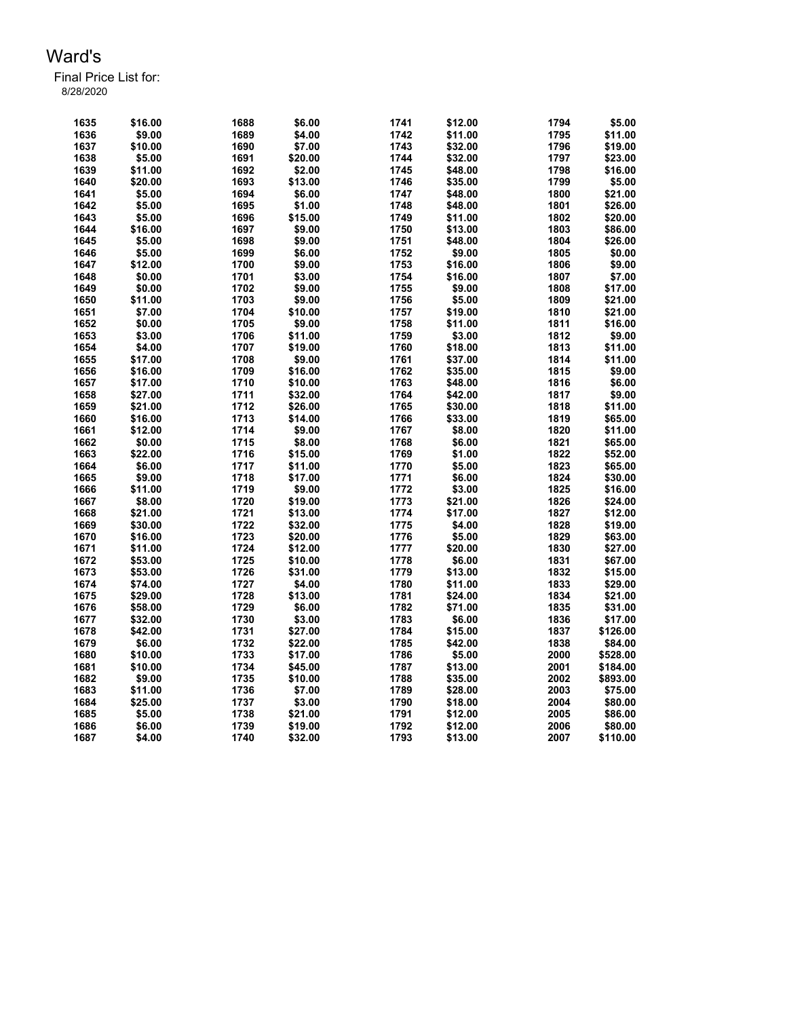| 1635 | \$16.00 | 1688 | \$6.00  | 1741 | \$12.00 | 1794 | \$5.00   |
|------|---------|------|---------|------|---------|------|----------|
| 1636 | \$9.00  | 1689 | \$4.00  | 1742 | \$11.00 | 1795 | \$11.00  |
| 1637 | \$10.00 | 1690 | \$7.00  | 1743 | \$32.00 | 1796 | \$19.00  |
| 1638 | \$5.00  | 1691 | \$20.00 | 1744 | \$32.00 | 1797 | \$23.00  |
| 1639 | \$11.00 | 1692 | \$2.00  | 1745 | \$48.00 | 1798 | \$16.00  |
| 1640 | \$20.00 | 1693 | \$13.00 | 1746 | \$35.00 | 1799 | \$5.00   |
| 1641 | \$5.00  | 1694 | \$6.00  | 1747 | \$48.00 | 1800 | \$21.00  |
| 1642 | \$5.00  | 1695 | \$1.00  | 1748 | \$48.00 | 1801 | \$26.00  |
| 1643 | \$5.00  | 1696 | \$15.00 | 1749 | \$11.00 | 1802 | \$20.00  |
| 1644 | \$16.00 | 1697 | \$9.00  | 1750 | \$13.00 | 1803 | \$86.00  |
| 1645 | \$5.00  | 1698 | \$9.00  | 1751 | \$48.00 | 1804 | \$26.00  |
| 1646 | \$5.00  | 1699 | \$6.00  | 1752 | \$9.00  | 1805 | \$0.00   |
| 1647 | \$12.00 | 1700 | \$9.00  | 1753 | \$16.00 | 1806 | \$9.00   |
| 1648 | \$0.00  | 1701 | \$3.00  | 1754 | \$16.00 | 1807 | \$7.00   |
| 1649 | \$0.00  | 1702 | \$9.00  | 1755 | \$9.00  | 1808 | \$17.00  |
| 1650 | \$11.00 | 1703 | \$9.00  | 1756 | \$5.00  | 1809 | \$21.00  |
| 1651 | \$7.00  | 1704 | \$10.00 | 1757 | \$19.00 | 1810 | \$21.00  |
| 1652 | \$0.00  | 1705 | \$9.00  | 1758 | \$11.00 | 1811 | \$16.00  |
| 1653 | \$3.00  | 1706 | \$11.00 | 1759 | \$3.00  | 1812 | \$9.00   |
| 1654 | \$4.00  | 1707 | \$19.00 | 1760 | \$18.00 | 1813 | \$11.00  |
| 1655 | \$17.00 | 1708 | \$9.00  | 1761 | \$37.00 | 1814 | \$11.00  |
| 1656 | \$16.00 | 1709 | \$16.00 | 1762 | \$35.00 | 1815 | \$9.00   |
| 1657 | \$17.00 | 1710 | \$10.00 | 1763 | \$48.00 | 1816 | \$6.00   |
| 1658 | \$27.00 | 1711 | \$32.00 | 1764 | \$42.00 | 1817 | \$9.00   |
| 1659 | \$21.00 | 1712 | \$26.00 | 1765 | \$30.00 | 1818 | \$11.00  |
| 1660 | \$16.00 | 1713 | \$14.00 | 1766 | \$33.00 | 1819 | \$65.00  |
| 1661 | \$12.00 | 1714 | \$9.00  | 1767 | \$8.00  | 1820 | \$11.00  |
| 1662 | \$0.00  | 1715 | \$8.00  | 1768 | \$6.00  | 1821 | \$65.00  |
| 1663 | \$22.00 | 1716 | \$15.00 | 1769 | \$1.00  | 1822 | \$52.00  |
| 1664 | \$6.00  | 1717 | \$11.00 | 1770 | \$5.00  | 1823 | \$65.00  |
| 1665 | \$9.00  | 1718 | \$17.00 | 1771 | \$6.00  | 1824 | \$30.00  |
| 1666 | \$11.00 | 1719 | \$9.00  | 1772 | \$3.00  | 1825 | \$16.00  |
| 1667 | \$8.00  | 1720 | \$19.00 | 1773 | \$21.00 | 1826 | \$24.00  |
| 1668 | \$21.00 | 1721 | \$13.00 | 1774 | \$17.00 | 1827 | \$12.00  |
| 1669 | \$30.00 | 1722 | \$32.00 | 1775 | \$4.00  | 1828 | \$19.00  |
| 1670 | \$16.00 | 1723 | \$20.00 | 1776 | \$5.00  | 1829 | \$63.00  |
| 1671 | \$11.00 | 1724 | \$12.00 | 1777 | \$20.00 | 1830 | \$27.00  |
| 1672 | \$53.00 | 1725 | \$10.00 | 1778 | \$6.00  | 1831 | \$67.00  |
| 1673 | \$53.00 | 1726 | \$31.00 | 1779 | \$13.00 | 1832 | \$15.00  |
| 1674 | \$74.00 | 1727 | \$4.00  | 1780 | \$11.00 | 1833 | \$29.00  |
| 1675 | \$29.00 | 1728 | \$13.00 | 1781 | \$24.00 | 1834 | \$21.00  |
| 1676 | \$58.00 | 1729 | \$6.00  | 1782 | \$71.00 | 1835 | \$31.00  |
| 1677 | \$32.00 | 1730 | \$3.00  | 1783 | \$6.00  | 1836 | \$17.00  |
| 1678 | \$42.00 | 1731 | \$27.00 | 1784 | \$15.00 | 1837 | \$126.00 |
| 1679 | \$6.00  | 1732 | \$22.00 | 1785 | \$42.00 | 1838 | \$84.00  |
| 1680 | \$10.00 | 1733 | \$17.00 | 1786 | \$5.00  | 2000 | \$528.00 |
| 1681 | \$10.00 | 1734 | \$45.00 | 1787 | \$13.00 | 2001 | \$184.00 |
| 1682 | \$9.00  | 1735 | \$10.00 | 1788 | \$35.00 | 2002 | \$893.00 |
| 1683 | \$11.00 | 1736 | \$7.00  | 1789 | \$28.00 | 2003 | \$75.00  |
| 1684 | \$25.00 | 1737 | \$3.00  | 1790 | \$18.00 | 2004 | \$80.00  |
| 1685 | \$5.00  | 1738 | \$21.00 | 1791 | \$12.00 | 2005 | \$86.00  |
| 1686 | \$6.00  | 1739 | \$19.00 | 1792 | \$12.00 | 2006 | \$80.00  |
| 1687 | \$4.00  | 1740 | \$32.00 | 1793 | \$13.00 | 2007 | \$110.00 |
|      |         |      |         |      |         |      |          |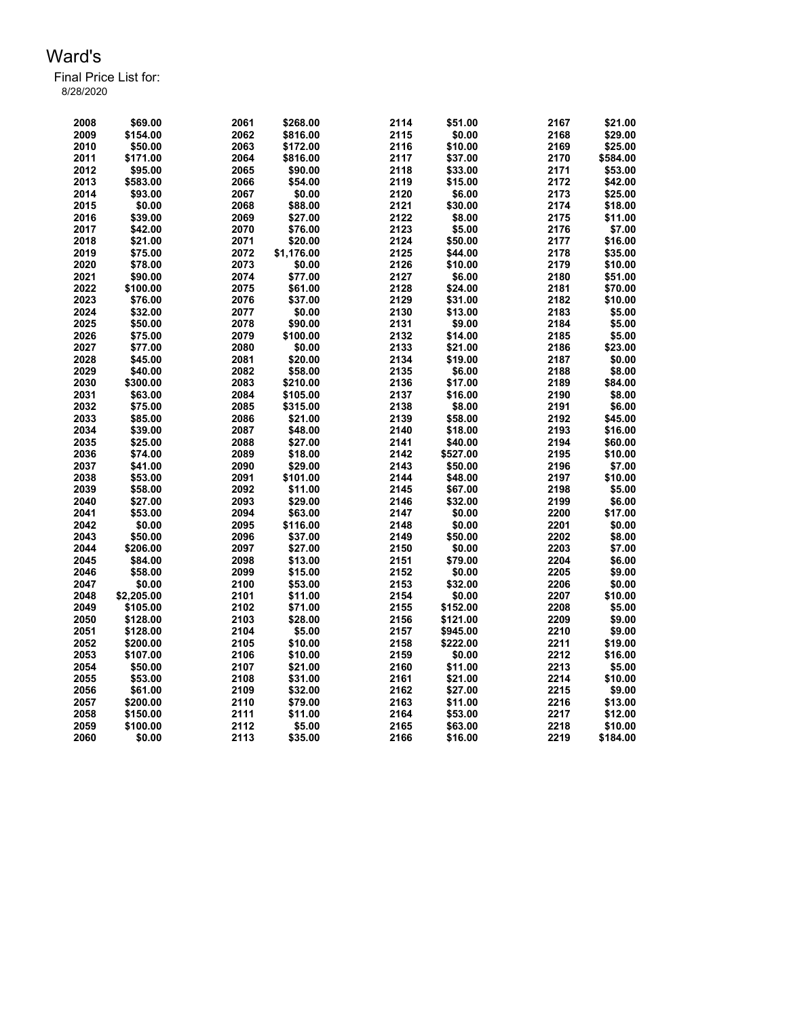| 2008 | \$69.00    | 2061 | \$268.00   | 2114 | \$51.00  | 2167 | \$21.00  |
|------|------------|------|------------|------|----------|------|----------|
| 2009 | \$154.00   | 2062 | \$816.00   | 2115 | \$0.00   | 2168 | \$29.00  |
| 2010 | \$50.00    | 2063 | \$172.00   | 2116 | \$10.00  | 2169 | \$25.00  |
| 2011 | \$171.00   | 2064 | \$816.00   | 2117 | \$37.00  | 2170 | \$584.00 |
| 2012 | \$95.00    | 2065 | \$90.00    | 2118 | \$33.00  | 2171 | \$53.00  |
| 2013 | \$583.00   | 2066 | \$54.00    | 2119 | \$15.00  | 2172 | \$42.00  |
| 2014 | \$93.00    | 2067 | \$0.00     | 2120 | \$6.00   | 2173 | \$25.00  |
| 2015 | \$0.00     | 2068 | \$88.00    | 2121 | \$30.00  | 2174 | \$18.00  |
| 2016 | \$39.00    | 2069 | \$27.00    | 2122 | \$8.00   | 2175 | \$11.00  |
| 2017 | \$42.00    | 2070 | \$76.00    | 2123 | \$5.00   | 2176 | \$7.00   |
| 2018 | \$21.00    | 2071 | \$20.00    | 2124 | \$50.00  | 2177 | \$16.00  |
| 2019 | \$75.00    | 2072 | \$1,176.00 | 2125 | \$44.00  | 2178 | \$35.00  |
| 2020 | \$78.00    | 2073 | \$0.00     | 2126 | \$10.00  | 2179 | \$10.00  |
| 2021 | \$90.00    | 2074 | \$77.00    | 2127 | \$6.00   | 2180 | \$51.00  |
| 2022 | \$100.00   | 2075 | \$61.00    | 2128 | \$24.00  | 2181 | \$70.00  |
| 2023 | \$76.00    | 2076 | \$37.00    | 2129 | \$31.00  | 2182 | \$10.00  |
| 2024 | \$32.00    | 2077 | \$0.00     | 2130 | \$13.00  | 2183 | \$5.00   |
| 2025 | \$50.00    | 2078 | \$90.00    | 2131 | \$9.00   | 2184 | \$5.00   |
| 2026 | \$75.00    | 2079 | \$100.00   | 2132 | \$14.00  | 2185 | \$5.00   |
| 2027 | \$77.00    | 2080 | \$0.00     | 2133 | \$21.00  | 2186 | \$23.00  |
| 2028 | \$45.00    | 2081 | \$20.00    | 2134 | \$19.00  | 2187 | \$0.00   |
| 2029 | \$40.00    | 2082 | \$58.00    | 2135 | \$6.00   | 2188 | \$8.00   |
| 2030 |            | 2083 |            | 2136 | \$17.00  | 2189 | \$84.00  |
|      | \$300.00   |      | \$210.00   |      |          |      |          |
| 2031 | \$63.00    | 2084 | \$105.00   | 2137 | \$16.00  | 2190 | \$8.00   |
| 2032 | \$75.00    | 2085 | \$315.00   | 2138 | \$8.00   | 2191 | \$6.00   |
| 2033 | \$85.00    | 2086 | \$21.00    | 2139 | \$58.00  | 2192 | \$45.00  |
| 2034 | \$39.00    | 2087 | \$48.00    | 2140 | \$18.00  | 2193 | \$16.00  |
| 2035 | \$25.00    | 2088 | \$27.00    | 2141 | \$40.00  | 2194 | \$60.00  |
| 2036 | \$74.00    | 2089 | \$18.00    | 2142 | \$527.00 | 2195 | \$10.00  |
| 2037 | \$41.00    | 2090 | \$29.00    | 2143 | \$50.00  | 2196 | \$7.00   |
| 2038 | \$53.00    | 2091 | \$101.00   | 2144 | \$48.00  | 2197 | \$10.00  |
| 2039 | \$58.00    | 2092 | \$11.00    | 2145 | \$67.00  | 2198 | \$5.00   |
| 2040 | \$27.00    | 2093 | \$29.00    | 2146 | \$32.00  | 2199 | \$6.00   |
| 2041 | \$53.00    | 2094 | \$63.00    | 2147 | \$0.00   | 2200 | \$17.00  |
| 2042 | \$0.00     | 2095 | \$116.00   | 2148 | \$0.00   | 2201 | \$0.00   |
| 2043 | \$50.00    | 2096 | \$37.00    | 2149 | \$50.00  | 2202 | \$8.00   |
| 2044 | \$206.00   | 2097 | \$27.00    | 2150 | \$0.00   | 2203 | \$7.00   |
| 2045 | \$84.00    | 2098 | \$13.00    | 2151 | \$79.00  | 2204 | \$6.00   |
| 2046 | \$58.00    | 2099 | \$15.00    | 2152 | \$0.00   | 2205 | \$9.00   |
| 2047 | \$0.00     | 2100 | \$53.00    | 2153 | \$32.00  | 2206 | \$0.00   |
| 2048 | \$2,205.00 | 2101 | \$11.00    | 2154 | \$0.00   | 2207 | \$10.00  |
| 2049 | \$105.00   | 2102 | \$71.00    | 2155 | \$152.00 | 2208 | \$5.00   |
| 2050 | \$128.00   | 2103 | \$28.00    | 2156 | \$121.00 | 2209 | \$9.00   |
| 2051 | \$128.00   | 2104 | \$5.00     | 2157 | \$945.00 | 2210 | \$9.00   |
| 2052 | \$200.00   | 2105 | \$10.00    | 2158 | \$222.00 | 2211 | \$19.00  |
| 2053 | \$107.00   | 2106 | \$10.00    | 2159 | \$0.00   | 2212 | \$16.00  |
| 2054 | \$50.00    | 2107 | \$21.00    | 2160 | \$11.00  | 2213 | \$5.00   |
| 2055 | \$53.00    | 2108 | \$31.00    | 2161 | \$21.00  | 2214 | \$10.00  |
| 2056 | \$61.00    | 2109 | \$32.00    | 2162 | \$27.00  | 2215 | \$9.00   |
| 2057 | \$200.00   | 2110 | \$79.00    | 2163 | \$11.00  | 2216 | \$13.00  |
| 2058 | \$150.00   | 2111 | \$11.00    | 2164 | \$53.00  | 2217 | \$12.00  |
| 2059 | \$100.00   | 2112 | \$5.00     | 2165 | \$63.00  | 2218 | \$10.00  |
| 2060 | \$0.00     | 2113 | \$35.00    | 2166 | \$16.00  | 2219 | \$184.00 |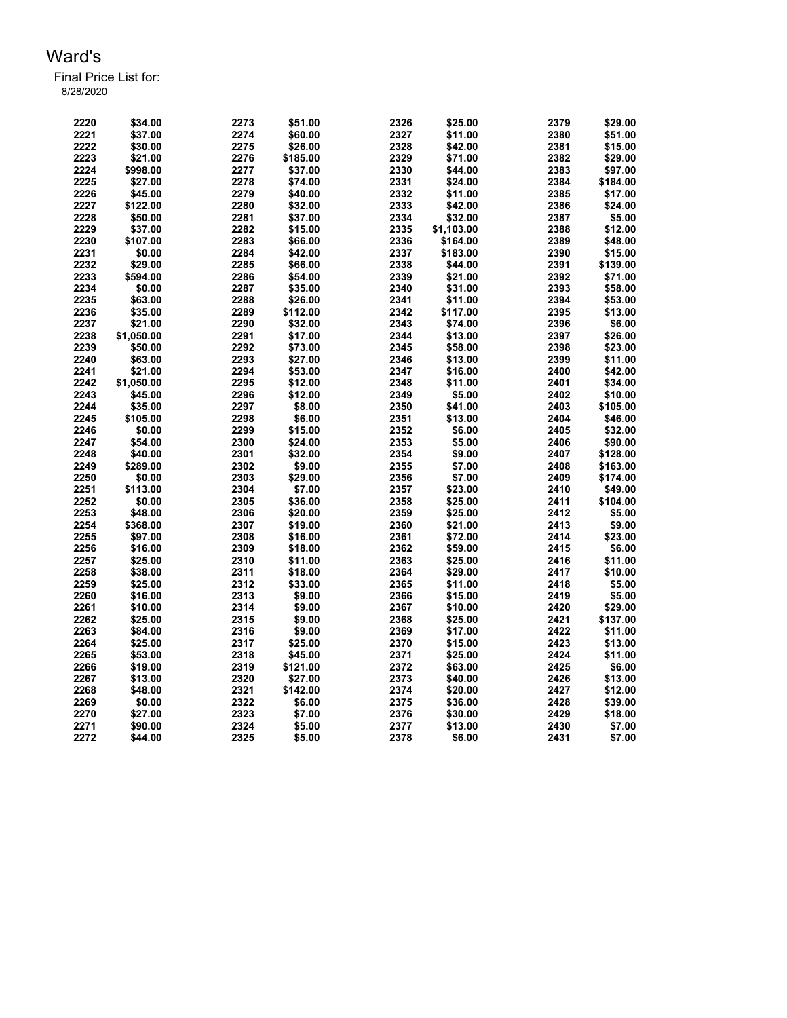| 2220 | \$34.00    | 2273 | \$51.00  | 2326 | \$25.00    | 2379 | \$29.00  |
|------|------------|------|----------|------|------------|------|----------|
| 2221 | \$37.00    | 2274 | \$60.00  | 2327 | \$11.00    | 2380 | \$51.00  |
| 2222 | \$30.00    | 2275 | \$26.00  | 2328 | \$42.00    | 2381 | \$15.00  |
| 2223 | \$21.00    | 2276 | \$185.00 | 2329 | \$71.00    | 2382 | \$29.00  |
| 2224 | \$998.00   | 2277 | \$37.00  | 2330 | \$44.00    | 2383 | \$97.00  |
| 2225 | \$27.00    | 2278 | \$74.00  | 2331 | \$24.00    | 2384 | \$184.00 |
| 2226 | \$45.00    | 2279 | \$40.00  | 2332 | \$11.00    | 2385 | \$17.00  |
| 2227 | \$122.00   | 2280 | \$32.00  | 2333 | \$42.00    | 2386 | \$24.00  |
| 2228 | \$50.00    | 2281 | \$37.00  | 2334 | \$32.00    | 2387 | \$5.00   |
| 2229 | \$37.00    | 2282 | \$15.00  | 2335 | \$1,103.00 | 2388 | \$12.00  |
| 2230 | \$107.00   | 2283 | \$66.00  | 2336 | \$164.00   | 2389 | \$48.00  |
| 2231 | \$0.00     | 2284 | \$42.00  | 2337 | \$183.00   | 2390 | \$15.00  |
| 2232 | \$29.00    | 2285 | \$66.00  | 2338 | \$44.00    | 2391 | \$139.00 |
| 2233 | \$594.00   | 2286 | \$54.00  | 2339 | \$21.00    | 2392 | \$71.00  |
| 2234 | \$0.00     | 2287 | \$35.00  | 2340 | \$31.00    | 2393 | \$58.00  |
| 2235 | \$63.00    | 2288 | \$26.00  | 2341 | \$11.00    | 2394 | \$53.00  |
| 2236 | \$35.00    | 2289 | \$112.00 | 2342 | \$117.00   | 2395 | \$13.00  |
| 2237 | \$21.00    | 2290 | \$32.00  | 2343 | \$74.00    | 2396 | \$6.00   |
| 2238 | \$1,050.00 | 2291 | \$17.00  | 2344 | \$13.00    | 2397 | \$26.00  |
| 2239 |            | 2292 |          | 2345 |            | 2398 |          |
|      | \$50.00    | 2293 | \$73.00  |      | \$58.00    |      | \$23.00  |
| 2240 | \$63.00    |      | \$27.00  | 2346 | \$13.00    | 2399 | \$11.00  |
| 2241 | \$21.00    | 2294 | \$53.00  | 2347 | \$16.00    | 2400 | \$42.00  |
| 2242 | \$1,050.00 | 2295 | \$12.00  | 2348 | \$11.00    | 2401 | \$34.00  |
| 2243 | \$45.00    | 2296 | \$12.00  | 2349 | \$5.00     | 2402 | \$10.00  |
| 2244 | \$35.00    | 2297 | \$8.00   | 2350 | \$41.00    | 2403 | \$105.00 |
| 2245 | \$105.00   | 2298 | \$6.00   | 2351 | \$13.00    | 2404 | \$46.00  |
| 2246 | \$0.00     | 2299 | \$15.00  | 2352 | \$6.00     | 2405 | \$32.00  |
| 2247 | \$54.00    | 2300 | \$24.00  | 2353 | \$5.00     | 2406 | \$90.00  |
| 2248 | \$40.00    | 2301 | \$32.00  | 2354 | \$9.00     | 2407 | \$128.00 |
| 2249 | \$289.00   | 2302 | \$9.00   | 2355 | \$7.00     | 2408 | \$163.00 |
| 2250 | \$0.00     | 2303 | \$29.00  | 2356 | \$7.00     | 2409 | \$174.00 |
| 2251 | \$113.00   | 2304 | \$7.00   | 2357 | \$23.00    | 2410 | \$49.00  |
| 2252 | \$0.00     | 2305 | \$36.00  | 2358 | \$25.00    | 2411 | \$104.00 |
| 2253 | \$48.00    | 2306 | \$20.00  | 2359 | \$25.00    | 2412 | \$5.00   |
| 2254 | \$368.00   | 2307 | \$19.00  | 2360 | \$21.00    | 2413 | \$9.00   |
| 2255 | \$97.00    | 2308 | \$16.00  | 2361 | \$72.00    | 2414 | \$23.00  |
| 2256 | \$16.00    | 2309 | \$18.00  | 2362 | \$59.00    | 2415 | \$6.00   |
| 2257 | \$25.00    | 2310 | \$11.00  | 2363 | \$25.00    | 2416 | \$11.00  |
| 2258 | \$38.00    | 2311 | \$18.00  | 2364 | \$29.00    | 2417 | \$10.00  |
| 2259 | \$25.00    | 2312 | \$33.00  | 2365 | \$11.00    | 2418 | \$5.00   |
| 2260 | \$16.00    | 2313 | \$9.00   | 2366 | \$15.00    | 2419 | \$5.00   |
| 2261 | \$10.00    | 2314 | \$9.00   | 2367 | \$10.00    | 2420 | \$29.00  |
| 2262 | \$25.00    | 2315 | \$9.00   | 2368 | \$25.00    | 2421 | \$137.00 |
| 2263 | \$84.00    | 2316 | \$9.00   | 2369 | \$17.00    | 2422 | \$11.00  |
| 2264 | \$25.00    | 2317 | \$25.00  | 2370 | \$15.00    | 2423 | \$13.00  |
| 2265 | \$53.00    | 2318 | \$45.00  | 2371 | \$25.00    | 2424 | \$11.00  |
| 2266 | \$19.00    | 2319 | \$121.00 | 2372 | \$63.00    | 2425 | \$6.00   |
| 2267 | \$13.00    | 2320 | \$27.00  | 2373 | \$40.00    | 2426 | \$13.00  |
| 2268 | \$48.00    | 2321 | \$142.00 | 2374 | \$20.00    | 2427 | \$12.00  |
| 2269 | \$0.00     | 2322 | \$6.00   | 2375 | \$36.00    | 2428 | \$39.00  |
| 2270 | \$27.00    | 2323 | \$7.00   | 2376 | \$30.00    | 2429 | \$18.00  |
| 2271 | \$90.00    | 2324 | \$5.00   | 2377 | \$13.00    | 2430 | \$7.00   |
| 2272 | \$44.00    | 2325 | \$5.00   | 2378 | \$6.00     | 2431 | \$7.00   |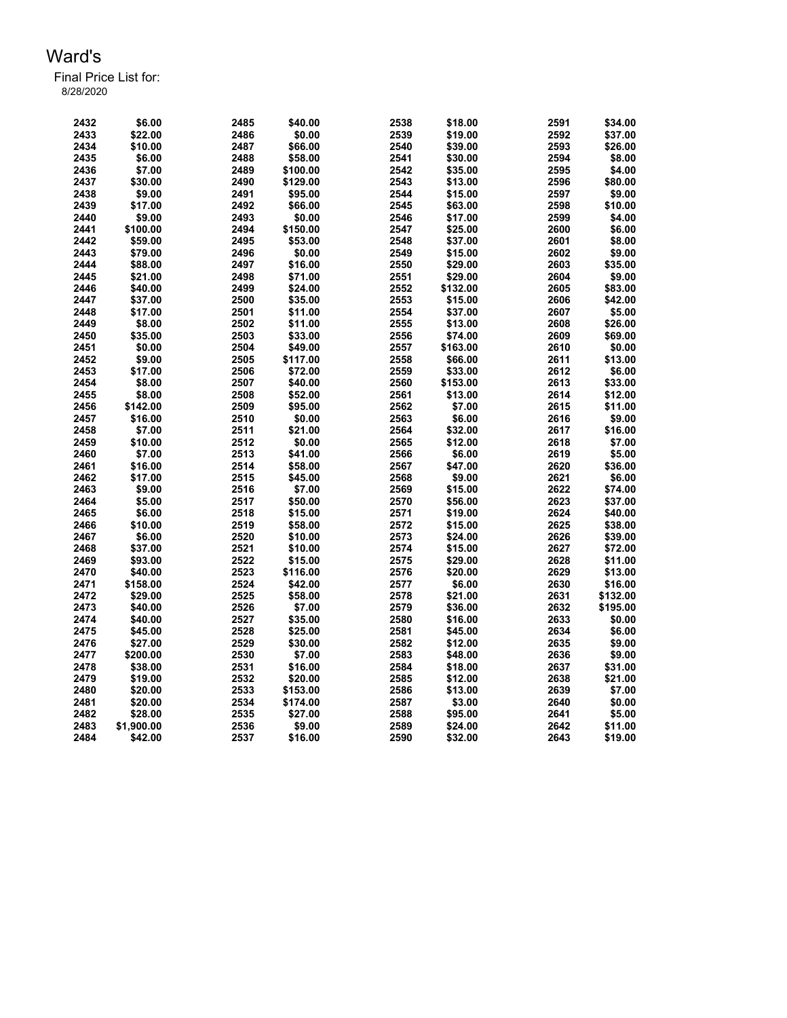| 2432 | \$6.00     | 2485 | \$40.00  | 2538 | \$18.00  | 2591 | \$34.00  |
|------|------------|------|----------|------|----------|------|----------|
| 2433 | \$22.00    | 2486 | \$0.00   | 2539 | \$19.00  | 2592 | \$37.00  |
| 2434 | \$10.00    | 2487 | \$66.00  | 2540 | \$39.00  | 2593 | \$26.00  |
| 2435 | \$6.00     | 2488 | \$58.00  | 2541 | \$30.00  | 2594 | \$8.00   |
| 2436 | \$7.00     | 2489 | \$100.00 | 2542 | \$35.00  | 2595 | \$4.00   |
| 2437 | \$30.00    | 2490 | \$129.00 | 2543 | \$13.00  | 2596 | \$80.00  |
| 2438 | \$9.00     | 2491 | \$95.00  | 2544 | \$15.00  | 2597 | \$9.00   |
| 2439 | \$17.00    | 2492 | \$66.00  | 2545 | \$63.00  | 2598 | \$10.00  |
| 2440 | \$9.00     | 2493 | \$0.00   | 2546 | \$17.00  | 2599 | \$4.00   |
| 2441 | \$100.00   | 2494 | \$150.00 | 2547 | \$25.00  | 2600 | \$6.00   |
| 2442 | \$59.00    | 2495 | \$53.00  | 2548 | \$37.00  | 2601 | \$8.00   |
| 2443 | \$79.00    | 2496 | \$0.00   | 2549 | \$15.00  | 2602 | \$9.00   |
| 2444 | \$88.00    | 2497 | \$16.00  | 2550 | \$29.00  | 2603 | \$35.00  |
| 2445 | \$21.00    | 2498 | \$71.00  | 2551 | \$29.00  | 2604 | \$9.00   |
| 2446 | \$40.00    | 2499 | \$24.00  | 2552 | \$132.00 | 2605 | \$83.00  |
| 2447 | \$37.00    | 2500 | \$35.00  | 2553 | \$15.00  | 2606 | \$42.00  |
| 2448 | \$17.00    | 2501 | \$11.00  | 2554 | \$37.00  | 2607 | \$5.00   |
| 2449 | \$8.00     | 2502 | \$11.00  | 2555 | \$13.00  | 2608 | \$26.00  |
| 2450 | \$35.00    | 2503 | \$33.00  | 2556 | \$74.00  | 2609 | \$69.00  |
|      |            |      |          |      |          |      | \$0.00   |
| 2451 | \$0.00     | 2504 | \$49.00  | 2557 | \$163.00 | 2610 |          |
| 2452 | \$9.00     | 2505 | \$117.00 | 2558 | \$66.00  | 2611 | \$13.00  |
| 2453 | \$17.00    | 2506 | \$72.00  | 2559 | \$33.00  | 2612 | \$6.00   |
| 2454 | \$8.00     | 2507 | \$40.00  | 2560 | \$153.00 | 2613 | \$33.00  |
| 2455 | \$8.00     | 2508 | \$52.00  | 2561 | \$13.00  | 2614 | \$12.00  |
| 2456 | \$142.00   | 2509 | \$95.00  | 2562 | \$7.00   | 2615 | \$11.00  |
| 2457 | \$16.00    | 2510 | \$0.00   | 2563 | \$6.00   | 2616 | \$9.00   |
| 2458 | \$7.00     | 2511 | \$21.00  | 2564 | \$32.00  | 2617 | \$16.00  |
| 2459 | \$10.00    | 2512 | \$0.00   | 2565 | \$12.00  | 2618 | \$7.00   |
| 2460 | \$7.00     | 2513 | \$41.00  | 2566 | \$6.00   | 2619 | \$5.00   |
| 2461 | \$16.00    | 2514 | \$58.00  | 2567 | \$47.00  | 2620 | \$36.00  |
| 2462 | \$17.00    | 2515 | \$45.00  | 2568 | \$9.00   | 2621 | \$6.00   |
| 2463 | \$9.00     | 2516 | \$7.00   | 2569 | \$15.00  | 2622 | \$74.00  |
| 2464 | \$5.00     | 2517 | \$50.00  | 2570 | \$56.00  | 2623 | \$37.00  |
| 2465 | \$6.00     | 2518 | \$15.00  | 2571 | \$19.00  | 2624 | \$40.00  |
| 2466 | \$10.00    | 2519 | \$58.00  | 2572 | \$15.00  | 2625 | \$38.00  |
| 2467 | \$6.00     | 2520 | \$10.00  | 2573 | \$24.00  | 2626 | \$39.00  |
| 2468 | \$37.00    | 2521 | \$10.00  | 2574 | \$15.00  | 2627 | \$72.00  |
| 2469 | \$93.00    | 2522 | \$15.00  | 2575 | \$29.00  | 2628 | \$11.00  |
| 2470 | \$40.00    | 2523 | \$116.00 | 2576 | \$20.00  | 2629 | \$13.00  |
| 2471 | \$158.00   | 2524 | \$42.00  | 2577 | \$6.00   | 2630 | \$16.00  |
| 2472 | \$29.00    | 2525 | \$58.00  | 2578 | \$21.00  | 2631 | \$132.00 |
| 2473 | \$40.00    | 2526 | \$7.00   | 2579 | \$36.00  | 2632 | \$195.00 |
| 2474 | \$40.00    | 2527 | \$35.00  | 2580 | \$16.00  | 2633 | \$0.00   |
| 2475 | \$45.00    | 2528 | \$25.00  | 2581 | \$45.00  | 2634 | \$6.00   |
| 2476 | \$27.00    | 2529 | \$30.00  | 2582 | \$12.00  | 2635 | \$9.00   |
| 2477 | \$200.00   | 2530 | \$7.00   | 2583 | \$48.00  | 2636 | \$9.00   |
| 2478 | \$38.00    | 2531 | \$16.00  | 2584 | \$18.00  | 2637 | \$31.00  |
| 2479 | \$19.00    | 2532 | \$20.00  | 2585 | \$12.00  | 2638 | \$21.00  |
| 2480 | \$20.00    | 2533 | \$153.00 | 2586 | \$13.00  | 2639 | \$7.00   |
| 2481 | \$20.00    | 2534 | \$174.00 | 2587 | \$3.00   | 2640 | \$0.00   |
| 2482 | \$28.00    | 2535 | \$27.00  | 2588 | \$95.00  | 2641 | \$5.00   |
| 2483 | \$1,900.00 | 2536 | \$9.00   | 2589 | \$24.00  | 2642 | \$11.00  |
| 2484 | \$42.00    | 2537 | \$16.00  | 2590 | \$32.00  | 2643 | \$19.00  |
|      |            |      |          |      |          |      |          |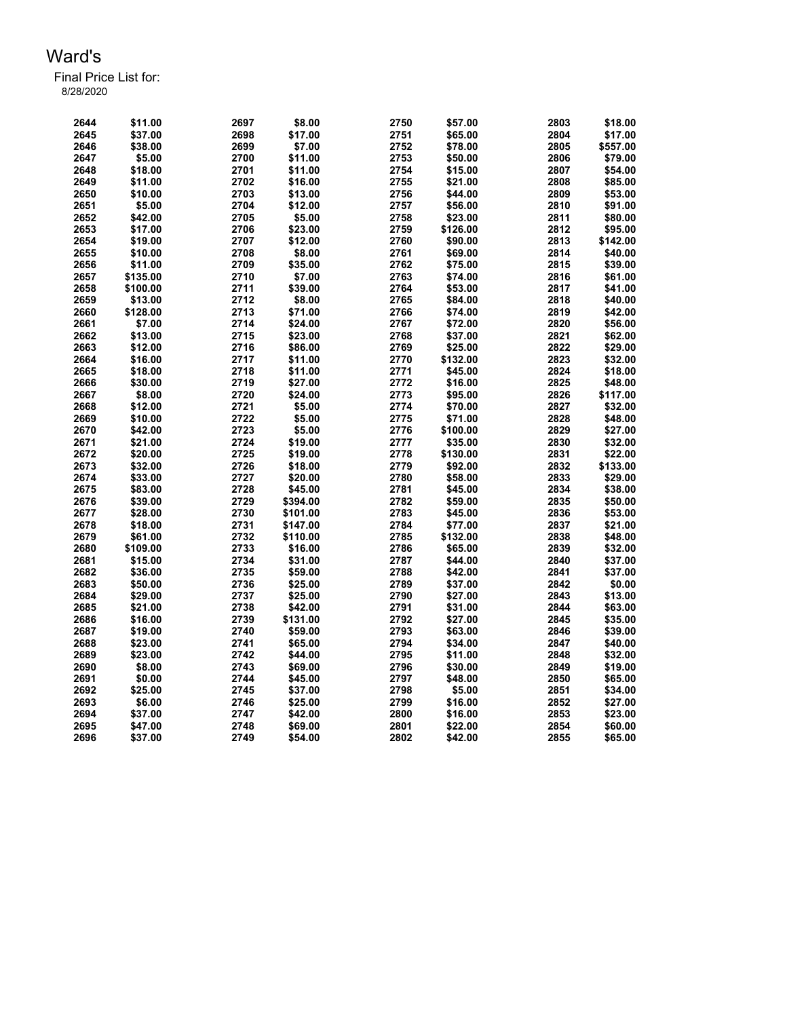| 2644 | \$11.00  | 2697 | \$8.00   | 2750 | \$57.00  | 2803 | \$18.00  |
|------|----------|------|----------|------|----------|------|----------|
| 2645 | \$37.00  | 2698 | \$17.00  | 2751 | \$65.00  | 2804 | \$17.00  |
| 2646 | \$38.00  | 2699 | \$7.00   | 2752 | \$78.00  | 2805 | \$557.00 |
| 2647 | \$5.00   | 2700 | \$11.00  | 2753 | \$50.00  | 2806 | \$79.00  |
| 2648 | \$18.00  | 2701 | \$11.00  | 2754 | \$15.00  | 2807 | \$54.00  |
| 2649 | \$11.00  | 2702 | \$16.00  | 2755 | \$21.00  | 2808 | \$85.00  |
| 2650 | \$10.00  | 2703 | \$13.00  | 2756 | \$44.00  | 2809 | \$53.00  |
| 2651 | \$5.00   | 2704 | \$12.00  | 2757 | \$56.00  | 2810 | \$91.00  |
| 2652 | \$42.00  | 2705 | \$5.00   | 2758 | \$23.00  | 2811 | \$80.00  |
| 2653 | \$17.00  | 2706 | \$23.00  | 2759 | \$126.00 | 2812 | \$95.00  |
| 2654 | \$19.00  | 2707 | \$12.00  | 2760 | \$90.00  | 2813 | \$142.00 |
| 2655 | \$10.00  | 2708 | \$8.00   | 2761 | \$69.00  | 2814 | \$40.00  |
| 2656 | \$11.00  | 2709 | \$35.00  | 2762 | \$75.00  | 2815 | \$39.00  |
| 2657 | \$135.00 | 2710 | \$7.00   | 2763 | \$74.00  | 2816 | \$61.00  |
| 2658 | \$100.00 | 2711 | \$39.00  | 2764 | \$53.00  | 2817 | \$41.00  |
| 2659 | \$13.00  | 2712 | \$8.00   | 2765 | \$84.00  | 2818 | \$40.00  |
| 2660 | \$128.00 | 2713 | \$71.00  | 2766 | \$74.00  | 2819 | \$42.00  |
| 2661 | \$7.00   | 2714 | \$24.00  | 2767 | \$72.00  | 2820 | \$56.00  |
| 2662 | \$13.00  | 2715 | \$23.00  | 2768 | \$37.00  | 2821 | \$62.00  |
| 2663 | \$12.00  | 2716 | \$86.00  | 2769 | \$25.00  | 2822 | \$29.00  |
| 2664 | \$16.00  | 2717 | \$11.00  | 2770 | \$132.00 | 2823 | \$32.00  |
| 2665 | \$18.00  | 2718 | \$11.00  | 2771 | \$45.00  | 2824 | \$18.00  |
| 2666 | \$30.00  | 2719 | \$27.00  | 2772 | \$16.00  | 2825 | \$48.00  |
| 2667 | \$8.00   | 2720 | \$24.00  | 2773 | \$95.00  | 2826 | \$117.00 |
| 2668 | \$12.00  | 2721 | \$5.00   | 2774 | \$70.00  | 2827 | \$32.00  |
| 2669 | \$10.00  | 2722 | \$5.00   | 2775 | \$71.00  | 2828 | \$48.00  |
| 2670 | \$42.00  | 2723 | \$5.00   | 2776 | \$100.00 | 2829 | \$27.00  |
| 2671 | \$21.00  | 2724 | \$19.00  | 2777 | \$35.00  | 2830 | \$32.00  |
| 2672 | \$20.00  | 2725 | \$19.00  | 2778 | \$130.00 | 2831 | \$22.00  |
| 2673 | \$32.00  | 2726 | \$18.00  | 2779 | \$92.00  | 2832 | \$133.00 |
| 2674 | \$33.00  | 2727 | \$20.00  | 2780 | \$58.00  | 2833 | \$29.00  |
| 2675 | \$83.00  | 2728 | \$45.00  | 2781 | \$45.00  | 2834 | \$38.00  |
| 2676 | \$39.00  | 2729 | \$394.00 | 2782 | \$59.00  | 2835 | \$50.00  |
| 2677 | \$28.00  | 2730 | \$101.00 | 2783 | \$45.00  | 2836 | \$53.00  |
| 2678 | \$18.00  | 2731 | \$147.00 | 2784 | \$77.00  | 2837 | \$21.00  |
| 2679 | \$61.00  | 2732 | \$110.00 | 2785 | \$132.00 | 2838 | \$48.00  |
| 2680 | \$109.00 | 2733 | \$16.00  | 2786 | \$65.00  | 2839 | \$32.00  |
| 2681 | \$15.00  | 2734 | \$31.00  | 2787 | \$44.00  | 2840 | \$37.00  |
| 2682 | \$36.00  | 2735 | \$59.00  | 2788 | \$42.00  | 2841 | \$37.00  |
| 2683 | \$50.00  | 2736 | \$25.00  | 2789 | \$37.00  | 2842 | \$0.00   |
| 2684 | \$29.00  | 2737 | \$25.00  | 2790 | \$27.00  | 2843 | \$13.00  |
| 2685 | \$21.00  | 2738 | \$42.00  | 2791 | \$31.00  | 2844 | \$63.00  |
| 2686 | \$16.00  | 2739 | \$131.00 | 2792 | \$27.00  | 2845 | \$35.00  |
| 2687 | \$19.00  | 2740 | \$59.00  | 2793 | \$63.00  | 2846 | \$39.00  |
| 2688 | \$23.00  | 2741 | \$65.00  | 2794 | \$34.00  | 2847 | \$40.00  |
| 2689 | \$23.00  | 2742 | \$44.00  | 2795 | \$11.00  | 2848 | \$32.00  |
| 2690 | \$8.00   | 2743 | \$69.00  | 2796 | \$30.00  | 2849 | \$19.00  |
| 2691 | \$0.00   | 2744 | \$45.00  | 2797 | \$48.00  | 2850 | \$65.00  |
| 2692 | \$25.00  | 2745 | \$37.00  | 2798 | \$5.00   | 2851 | \$34.00  |
| 2693 | \$6.00   | 2746 | \$25.00  | 2799 | \$16.00  | 2852 | \$27.00  |
| 2694 | \$37.00  | 2747 | \$42.00  | 2800 | \$16.00  | 2853 | \$23.00  |
| 2695 | \$47.00  | 2748 | \$69.00  | 2801 | \$22.00  | 2854 | \$60.00  |
| 2696 | \$37.00  | 2749 | \$54.00  | 2802 | \$42.00  | 2855 | \$65.00  |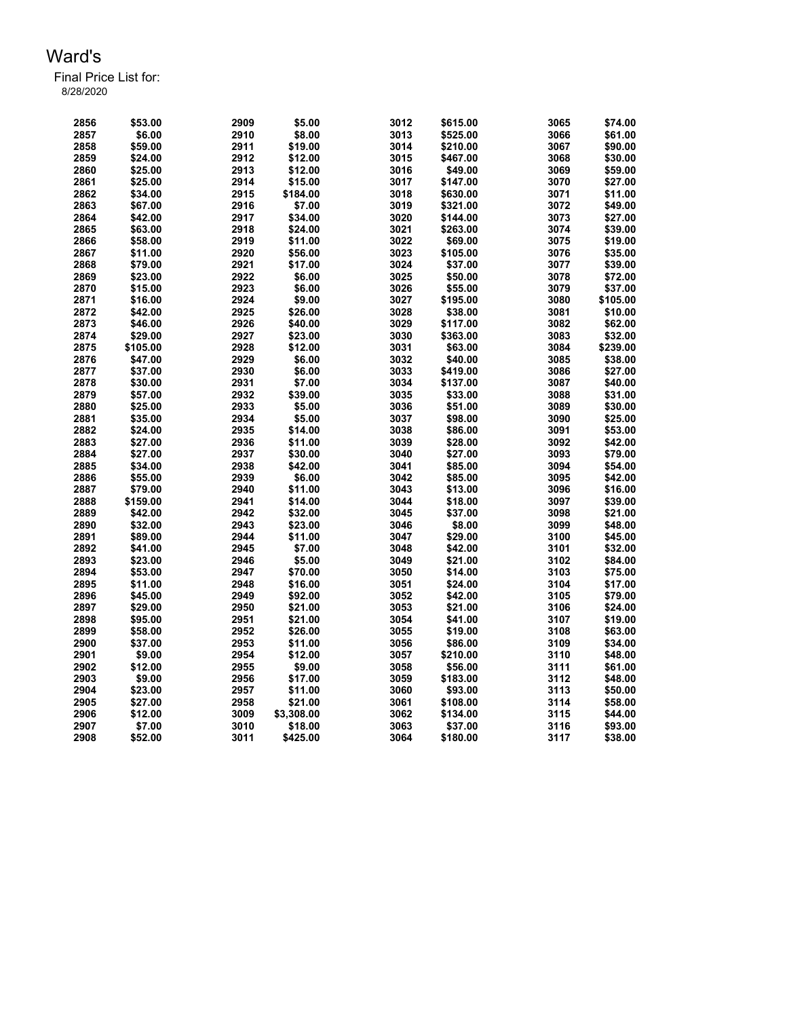| 2856 | \$53.00  | 2909 | \$5.00     | 3012 | \$615.00 | 3065 | \$74.00  |
|------|----------|------|------------|------|----------|------|----------|
| 2857 | \$6.00   | 2910 | \$8.00     | 3013 | \$525.00 | 3066 | \$61.00  |
| 2858 | \$59.00  | 2911 | \$19.00    | 3014 | \$210.00 | 3067 | \$90.00  |
| 2859 | \$24.00  | 2912 | \$12.00    | 3015 | \$467.00 | 3068 | \$30.00  |
| 2860 | \$25.00  | 2913 | \$12.00    | 3016 | \$49.00  | 3069 | \$59.00  |
| 2861 | \$25.00  | 2914 | \$15.00    | 3017 | \$147.00 | 3070 | \$27.00  |
| 2862 | \$34.00  | 2915 | \$184.00   | 3018 | \$630.00 | 3071 | \$11.00  |
| 2863 | \$67.00  | 2916 | \$7.00     | 3019 | \$321.00 | 3072 | \$49.00  |
| 2864 | \$42.00  | 2917 | \$34.00    | 3020 | \$144.00 | 3073 | \$27.00  |
| 2865 | \$63.00  | 2918 | \$24.00    | 3021 | \$263.00 | 3074 | \$39.00  |
| 2866 | \$58.00  | 2919 | \$11.00    | 3022 | \$69.00  | 3075 | \$19.00  |
| 2867 | \$11.00  | 2920 | \$56.00    | 3023 | \$105.00 | 3076 | \$35.00  |
| 2868 | \$79.00  | 2921 | \$17.00    | 3024 | \$37.00  | 3077 | \$39.00  |
| 2869 | \$23.00  | 2922 | \$6.00     | 3025 | \$50.00  | 3078 | \$72.00  |
| 2870 | \$15.00  | 2923 | \$6.00     | 3026 | \$55.00  | 3079 | \$37.00  |
| 2871 | \$16.00  | 2924 | \$9.00     | 3027 |          | 3080 | \$105.00 |
|      |          |      |            |      | \$195.00 | 3081 |          |
| 2872 | \$42.00  | 2925 | \$26.00    | 3028 | \$38.00  |      | \$10.00  |
| 2873 | \$46.00  | 2926 | \$40.00    | 3029 | \$117.00 | 3082 | \$62.00  |
| 2874 | \$29.00  | 2927 | \$23.00    | 3030 | \$363.00 | 3083 | \$32.00  |
| 2875 | \$105.00 | 2928 | \$12.00    | 3031 | \$63.00  | 3084 | \$239.00 |
| 2876 | \$47.00  | 2929 | \$6.00     | 3032 | \$40.00  | 3085 | \$38.00  |
| 2877 | \$37.00  | 2930 | \$6.00     | 3033 | \$419.00 | 3086 | \$27.00  |
| 2878 | \$30.00  | 2931 | \$7.00     | 3034 | \$137.00 | 3087 | \$40.00  |
| 2879 | \$57.00  | 2932 | \$39.00    | 3035 | \$33.00  | 3088 | \$31.00  |
| 2880 | \$25.00  | 2933 | \$5.00     | 3036 | \$51.00  | 3089 | \$30.00  |
| 2881 | \$35.00  | 2934 | \$5.00     | 3037 | \$98.00  | 3090 | \$25.00  |
| 2882 | \$24.00  | 2935 | \$14.00    | 3038 | \$86.00  | 3091 | \$53.00  |
| 2883 | \$27.00  | 2936 | \$11.00    | 3039 | \$28.00  | 3092 | \$42.00  |
| 2884 | \$27.00  | 2937 | \$30.00    | 3040 | \$27.00  | 3093 | \$79.00  |
| 2885 | \$34.00  | 2938 | \$42.00    | 3041 | \$85.00  | 3094 | \$54.00  |
| 2886 | \$55.00  | 2939 | \$6.00     | 3042 | \$85.00  | 3095 | \$42.00  |
| 2887 | \$79.00  | 2940 | \$11.00    | 3043 | \$13.00  | 3096 | \$16.00  |
| 2888 | \$159.00 | 2941 | \$14.00    | 3044 | \$18.00  | 3097 | \$39.00  |
| 2889 | \$42.00  | 2942 | \$32.00    | 3045 | \$37.00  | 3098 | \$21.00  |
| 2890 | \$32.00  | 2943 | \$23.00    | 3046 | \$8.00   | 3099 | \$48.00  |
| 2891 | \$89.00  | 2944 | \$11.00    | 3047 | \$29.00  | 3100 | \$45.00  |
| 2892 | \$41.00  | 2945 | \$7.00     | 3048 | \$42.00  | 3101 | \$32.00  |
| 2893 | \$23.00  | 2946 | \$5.00     | 3049 | \$21.00  | 3102 | \$84.00  |
| 2894 | \$53.00  | 2947 | \$70.00    | 3050 | \$14.00  | 3103 | \$75.00  |
| 2895 | \$11.00  | 2948 | \$16.00    | 3051 | \$24.00  | 3104 | \$17.00  |
| 2896 | \$45.00  | 2949 | \$92.00    | 3052 | \$42.00  | 3105 | \$79.00  |
| 2897 | \$29.00  | 2950 | \$21.00    | 3053 | \$21.00  | 3106 | \$24.00  |
| 2898 | \$95.00  | 2951 | \$21.00    | 3054 | \$41.00  | 3107 | \$19.00  |
| 2899 | \$58.00  | 2952 | \$26.00    | 3055 | \$19.00  | 3108 | \$63.00  |
| 2900 | \$37.00  | 2953 | \$11.00    | 3056 | \$86.00  | 3109 | \$34.00  |
| 2901 | \$9.00   | 2954 | \$12.00    | 3057 | \$210.00 | 3110 | \$48.00  |
| 2902 | \$12.00  | 2955 | \$9.00     | 3058 | \$56.00  | 3111 | \$61.00  |
| 2903 | \$9.00   | 2956 | \$17.00    | 3059 | \$183.00 | 3112 | \$48.00  |
| 2904 | \$23.00  | 2957 | \$11.00    | 3060 | \$93.00  | 3113 | \$50.00  |
| 2905 | \$27.00  | 2958 | \$21.00    | 3061 | \$108.00 | 3114 | \$58.00  |
| 2906 | \$12.00  | 3009 | \$3,308.00 | 3062 | \$134.00 | 3115 | \$44.00  |
| 2907 | \$7.00   | 3010 | \$18.00    | 3063 | \$37.00  | 3116 | \$93.00  |
| 2908 | \$52.00  | 3011 | \$425.00   | 3064 | \$180.00 | 3117 | \$38.00  |
|      |          |      |            |      |          |      |          |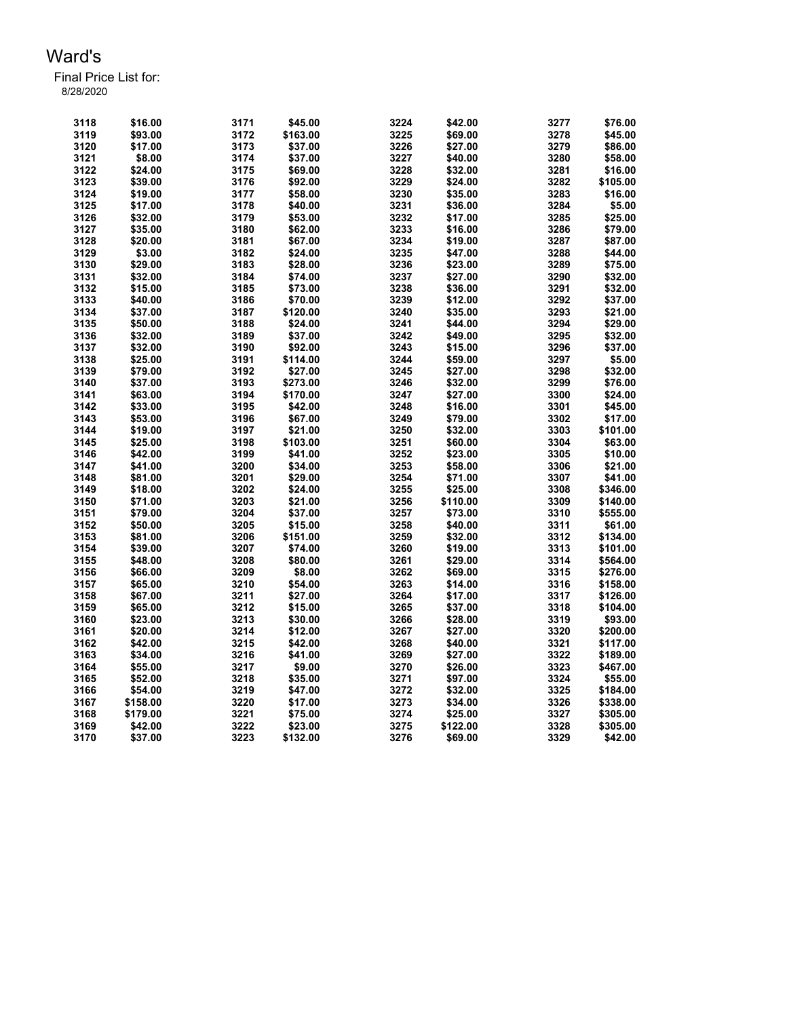| 3118 | \$16.00  | 3171 | \$45.00  | 3224 | \$42.00  | 3277 | \$76.00  |
|------|----------|------|----------|------|----------|------|----------|
| 3119 | \$93.00  | 3172 | \$163.00 | 3225 | \$69.00  | 3278 | \$45.00  |
| 3120 | \$17.00  | 3173 | \$37.00  | 3226 | \$27.00  | 3279 | \$86.00  |
| 3121 | \$8.00   | 3174 | \$37.00  | 3227 | \$40.00  | 3280 | \$58.00  |
| 3122 | \$24.00  | 3175 | \$69.00  | 3228 | \$32.00  | 3281 | \$16.00  |
| 3123 | \$39.00  | 3176 | \$92.00  | 3229 | \$24.00  | 3282 | \$105.00 |
| 3124 | \$19.00  | 3177 | \$58.00  | 3230 | \$35.00  | 3283 | \$16.00  |
| 3125 | \$17.00  | 3178 | \$40.00  | 3231 | \$36.00  | 3284 | \$5.00   |
| 3126 | \$32.00  | 3179 | \$53.00  | 3232 | \$17.00  | 3285 | \$25.00  |
| 3127 | \$35.00  | 3180 | \$62.00  | 3233 | \$16.00  | 3286 | \$79.00  |
| 3128 | \$20.00  | 3181 | \$67.00  | 3234 | \$19.00  | 3287 | \$87.00  |
| 3129 | \$3.00   | 3182 | \$24.00  | 3235 | \$47.00  | 3288 | \$44.00  |
| 3130 | \$29.00  | 3183 | \$28.00  | 3236 | \$23.00  | 3289 | \$75.00  |
| 3131 | \$32.00  | 3184 | \$74.00  | 3237 | \$27.00  | 3290 | \$32.00  |
| 3132 | \$15.00  | 3185 | \$73.00  | 3238 | \$36.00  | 3291 | \$32.00  |
| 3133 | \$40.00  | 3186 | \$70.00  | 3239 | \$12.00  | 3292 | \$37.00  |
| 3134 | \$37.00  | 3187 | \$120.00 | 3240 | \$35.00  | 3293 | \$21.00  |
| 3135 | \$50.00  | 3188 | \$24.00  | 3241 | \$44.00  | 3294 | \$29.00  |
|      |          |      |          | 3242 |          | 3295 |          |
| 3136 | \$32.00  | 3189 | \$37.00  |      | \$49.00  |      | \$32.00  |
| 3137 | \$32.00  | 3190 | \$92.00  | 3243 | \$15.00  | 3296 | \$37.00  |
| 3138 | \$25.00  | 3191 | \$114.00 | 3244 | \$59.00  | 3297 | \$5.00   |
| 3139 | \$79.00  | 3192 | \$27.00  | 3245 | \$27.00  | 3298 | \$32.00  |
| 3140 | \$37.00  | 3193 | \$273.00 | 3246 | \$32.00  | 3299 | \$76.00  |
| 3141 | \$63.00  | 3194 | \$170.00 | 3247 | \$27.00  | 3300 | \$24.00  |
| 3142 | \$33.00  | 3195 | \$42.00  | 3248 | \$16.00  | 3301 | \$45.00  |
| 3143 | \$53.00  | 3196 | \$67.00  | 3249 | \$79.00  | 3302 | \$17.00  |
| 3144 | \$19.00  | 3197 | \$21.00  | 3250 | \$32.00  | 3303 | \$101.00 |
| 3145 | \$25.00  | 3198 | \$103.00 | 3251 | \$60.00  | 3304 | \$63.00  |
| 3146 | \$42.00  | 3199 | \$41.00  | 3252 | \$23.00  | 3305 | \$10.00  |
| 3147 | \$41.00  | 3200 | \$34.00  | 3253 | \$58.00  | 3306 | \$21.00  |
| 3148 | \$81.00  | 3201 | \$29.00  | 3254 | \$71.00  | 3307 | \$41.00  |
| 3149 | \$18.00  | 3202 | \$24.00  | 3255 | \$25.00  | 3308 | \$346.00 |
| 3150 | \$71.00  | 3203 | \$21.00  | 3256 | \$110.00 | 3309 | \$140.00 |
| 3151 | \$79.00  | 3204 | \$37.00  | 3257 | \$73.00  | 3310 | \$555.00 |
| 3152 | \$50.00  | 3205 | \$15.00  | 3258 | \$40.00  | 3311 | \$61.00  |
| 3153 | \$81.00  | 3206 | \$151.00 | 3259 | \$32.00  | 3312 | \$134.00 |
| 3154 | \$39.00  | 3207 | \$74.00  | 3260 | \$19.00  | 3313 | \$101.00 |
| 3155 | \$48.00  | 3208 | \$80.00  | 3261 | \$29.00  | 3314 | \$564.00 |
| 3156 | \$66.00  | 3209 | \$8.00   | 3262 | \$69.00  | 3315 | \$276.00 |
| 3157 | \$65.00  | 3210 | \$54.00  | 3263 | \$14.00  | 3316 | \$158.00 |
| 3158 | \$67.00  | 3211 | \$27.00  | 3264 | \$17.00  | 3317 | \$126.00 |
| 3159 | \$65.00  | 3212 | \$15.00  | 3265 | \$37.00  | 3318 | \$104.00 |
| 3160 | \$23.00  | 3213 | \$30.00  | 3266 | \$28.00  | 3319 | \$93.00  |
| 3161 | \$20.00  | 3214 | \$12.00  | 3267 | \$27.00  | 3320 | \$200.00 |
| 3162 | \$42.00  | 3215 | \$42.00  | 3268 | \$40.00  | 3321 | \$117.00 |
| 3163 | \$34.00  | 3216 | \$41.00  | 3269 | \$27.00  | 3322 | \$189.00 |
| 3164 | \$55.00  | 3217 | \$9.00   | 3270 | \$26.00  | 3323 | \$467.00 |
| 3165 | \$52.00  | 3218 | \$35.00  | 3271 | \$97.00  | 3324 | \$55.00  |
| 3166 | \$54.00  | 3219 | \$47.00  | 3272 | \$32.00  | 3325 | \$184.00 |
| 3167 | \$158.00 | 3220 | \$17.00  | 3273 | \$34.00  | 3326 | \$338.00 |
| 3168 | \$179.00 | 3221 | \$75.00  | 3274 | \$25.00  | 3327 | \$305.00 |
| 3169 | \$42.00  | 3222 | \$23.00  | 3275 | \$122.00 | 3328 | \$305.00 |
| 3170 | \$37.00  | 3223 | \$132.00 | 3276 | \$69.00  | 3329 | \$42.00  |
|      |          |      |          |      |          |      |          |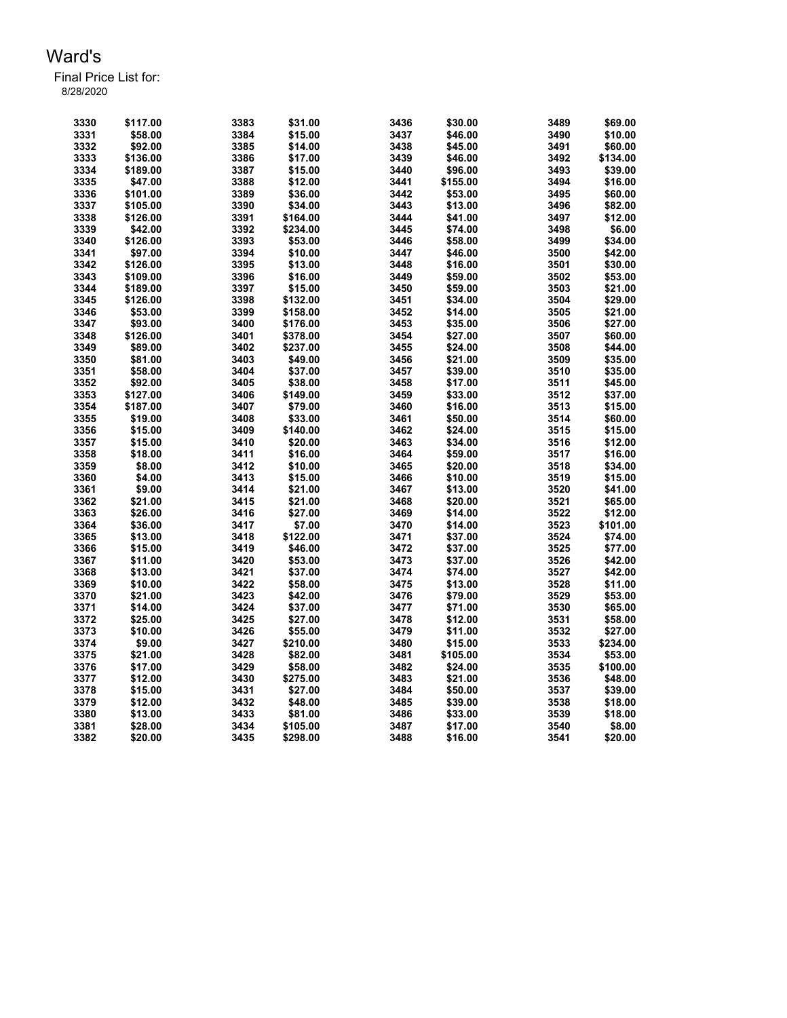| 3330 | \$117.00 | 3383 | \$31.00  | 3436         | \$30.00  | 3489         | \$69.00  |
|------|----------|------|----------|--------------|----------|--------------|----------|
| 3331 | \$58.00  | 3384 | \$15.00  | 3437         | \$46.00  | 3490         | \$10.00  |
| 3332 | \$92.00  | 3385 | \$14.00  | 3438         | \$45.00  | 3491         | \$60.00  |
| 3333 | \$136.00 | 3386 | \$17.00  | 3439         | \$46.00  | 3492         | \$134.00 |
| 3334 | \$189.00 | 3387 | \$15.00  | 3440         | \$96.00  | 3493         | \$39.00  |
| 3335 | \$47.00  | 3388 | \$12.00  | 3441         | \$155.00 | 3494         | \$16.00  |
| 3336 | \$101.00 | 3389 | \$36.00  | 3442         | \$53.00  | 3495         | \$60.00  |
| 3337 | \$105.00 | 3390 | \$34.00  | 3443         | \$13.00  | 3496         | \$82.00  |
| 3338 | \$126.00 | 3391 | \$164.00 | 3444         | \$41.00  | 3497         | \$12.00  |
| 3339 | \$42.00  | 3392 | \$234.00 | 3445         | \$74.00  | 3498         | \$6.00   |
| 3340 | \$126.00 | 3393 | \$53.00  | 3446         | \$58.00  | 3499         | \$34.00  |
| 3341 | \$97.00  | 3394 | \$10.00  | 3447         | \$46.00  | 3500         | \$42.00  |
| 3342 | \$126.00 | 3395 | \$13.00  | 3448         | \$16.00  | 3501         | \$30.00  |
| 3343 | \$109.00 | 3396 | \$16.00  | 3449         | \$59.00  | 3502         | \$53.00  |
| 3344 | \$189.00 | 3397 | \$15.00  | 3450         | \$59.00  | 3503         | \$21.00  |
| 3345 | \$126.00 | 3398 | \$132.00 | 3451         | \$34.00  | 3504         | \$29.00  |
| 3346 | \$53.00  | 3399 | \$158.00 | 3452         | \$14.00  | 3505         | \$21.00  |
| 3347 | \$93.00  | 3400 | \$176.00 | 3453         | \$35.00  | 3506         | \$27.00  |
| 3348 | \$126.00 | 3401 | \$378.00 | 3454         | \$27.00  | 3507         | \$60.00  |
| 3349 |          | 3402 |          |              |          |              |          |
| 3350 | \$89.00  |      | \$237.00 | 3455<br>3456 | \$24.00  | 3508<br>3509 | \$44.00  |
|      | \$81.00  | 3403 | \$49.00  |              | \$21.00  |              | \$35.00  |
| 3351 | \$58.00  | 3404 | \$37.00  | 3457         | \$39.00  | 3510         | \$35.00  |
| 3352 | \$92.00  | 3405 | \$38.00  | 3458         | \$17.00  | 3511         | \$45.00  |
| 3353 | \$127.00 | 3406 | \$149.00 | 3459         | \$33.00  | 3512         | \$37.00  |
| 3354 | \$187.00 | 3407 | \$79.00  | 3460         | \$16.00  | 3513         | \$15.00  |
| 3355 | \$19.00  | 3408 | \$33.00  | 3461         | \$50.00  | 3514         | \$60.00  |
| 3356 | \$15.00  | 3409 | \$140.00 | 3462         | \$24.00  | 3515         | \$15.00  |
| 3357 | \$15.00  | 3410 | \$20.00  | 3463         | \$34.00  | 3516         | \$12.00  |
| 3358 | \$18.00  | 3411 | \$16.00  | 3464         | \$59.00  | 3517         | \$16.00  |
| 3359 | \$8.00   | 3412 | \$10.00  | 3465         | \$20.00  | 3518         | \$34.00  |
| 3360 | \$4.00   | 3413 | \$15.00  | 3466         | \$10.00  | 3519         | \$15.00  |
| 3361 | \$9.00   | 3414 | \$21.00  | 3467         | \$13.00  | 3520         | \$41.00  |
| 3362 | \$21.00  | 3415 | \$21.00  | 3468         | \$20.00  | 3521         | \$65.00  |
| 3363 | \$26.00  | 3416 | \$27.00  | 3469         | \$14.00  | 3522         | \$12.00  |
| 3364 | \$36.00  | 3417 | \$7.00   | 3470         | \$14.00  | 3523         | \$101.00 |
| 3365 | \$13.00  | 3418 | \$122.00 | 3471         | \$37.00  | 3524         | \$74.00  |
| 3366 | \$15.00  | 3419 | \$46.00  | 3472         | \$37.00  | 3525         | \$77.00  |
| 3367 | \$11.00  | 3420 | \$53.00  | 3473         | \$37.00  | 3526         | \$42.00  |
| 3368 | \$13.00  | 3421 | \$37.00  | 3474         | \$74.00  | 3527         | \$42.00  |
| 3369 | \$10.00  | 3422 | \$58.00  | 3475         | \$13.00  | 3528         | \$11.00  |
| 3370 | \$21.00  | 3423 | \$42.00  | 3476         | \$79.00  | 3529         | \$53.00  |
| 3371 | \$14.00  | 3424 | \$37.00  | 3477         | \$71.00  | 3530         | \$65.00  |
| 3372 | \$25.00  | 3425 | \$27.00  | 3478         | \$12.00  | 3531         | \$58.00  |
| 3373 | \$10.00  | 3426 | \$55.00  | 3479         | \$11.00  | 3532         | \$27.00  |
| 3374 | \$9.00   | 3427 | \$210.00 | 3480         | \$15.00  | 3533         | \$234.00 |
| 3375 | \$21.00  | 3428 | \$82.00  | 3481         | \$105.00 | 3534         | \$53.00  |
| 3376 | \$17.00  | 3429 | \$58.00  | 3482         | \$24.00  | 3535         | \$100.00 |
| 3377 | \$12.00  | 3430 | \$275.00 | 3483         | \$21.00  | 3536         | \$48.00  |
| 3378 | \$15.00  | 3431 | \$27.00  | 3484         | \$50.00  | 3537         | \$39.00  |
| 3379 | \$12.00  | 3432 | \$48.00  | 3485         | \$39.00  | 3538         | \$18.00  |
| 3380 | \$13.00  | 3433 | \$81.00  | 3486         | \$33.00  | 3539         | \$18.00  |
| 3381 | \$28.00  | 3434 | \$105.00 | 3487         | \$17.00  | 3540         | \$8.00   |
| 3382 | \$20.00  | 3435 | \$298.00 | 3488         | \$16.00  | 3541         | \$20.00  |
|      |          |      |          |              |          |              |          |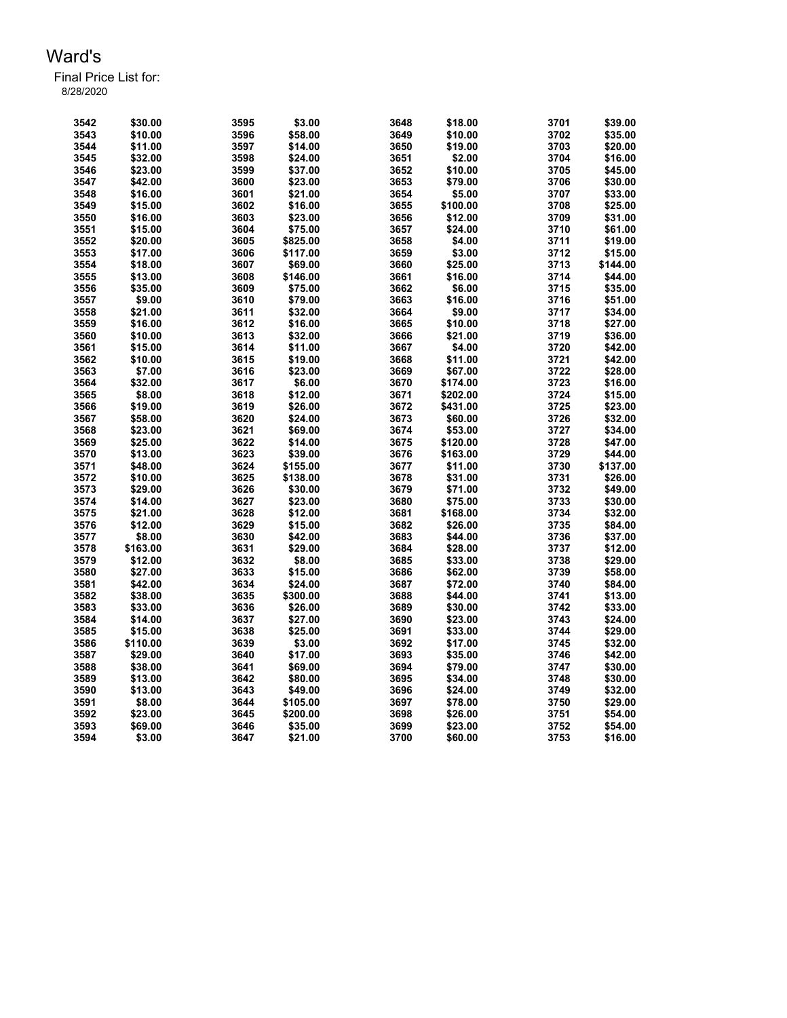| 3542 | \$30.00  | 3595 | \$3.00   | 3648 | \$18.00  | 3701 | \$39.00  |
|------|----------|------|----------|------|----------|------|----------|
| 3543 | \$10.00  | 3596 | \$58.00  | 3649 | \$10.00  | 3702 | \$35.00  |
| 3544 | \$11.00  | 3597 | \$14.00  | 3650 | \$19.00  | 3703 | \$20.00  |
| 3545 | \$32.00  | 3598 | \$24.00  | 3651 | \$2.00   | 3704 | \$16.00  |
| 3546 | \$23.00  | 3599 | \$37.00  | 3652 | \$10.00  | 3705 | \$45.00  |
| 3547 | \$42.00  | 3600 | \$23.00  | 3653 | \$79.00  | 3706 | \$30.00  |
| 3548 | \$16.00  | 3601 | \$21.00  | 3654 | \$5.00   | 3707 | \$33.00  |
| 3549 | \$15.00  | 3602 | \$16.00  | 3655 | \$100.00 | 3708 | \$25.00  |
| 3550 | \$16.00  | 3603 | \$23.00  | 3656 | \$12.00  | 3709 | \$31.00  |
| 3551 | \$15.00  | 3604 | \$75.00  | 3657 | \$24.00  | 3710 | \$61.00  |
| 3552 | \$20.00  | 3605 | \$825.00 | 3658 | \$4.00   | 3711 | \$19.00  |
| 3553 | \$17.00  | 3606 | \$117.00 | 3659 | \$3.00   | 3712 | \$15.00  |
| 3554 | \$18.00  | 3607 | \$69.00  | 3660 | \$25.00  | 3713 | \$144.00 |
| 3555 | \$13.00  | 3608 | \$146.00 | 3661 | \$16.00  | 3714 | \$44.00  |
| 3556 | \$35.00  | 3609 | \$75.00  | 3662 | \$6.00   | 3715 | \$35.00  |
| 3557 | \$9.00   | 3610 | \$79.00  | 3663 | \$16.00  | 3716 | \$51.00  |
| 3558 | \$21.00  | 3611 | \$32.00  | 3664 | \$9.00   | 3717 | \$34.00  |
| 3559 | \$16.00  | 3612 | \$16.00  | 3665 | \$10.00  | 3718 | \$27.00  |
| 3560 | \$10.00  | 3613 | \$32.00  | 3666 | \$21.00  | 3719 | \$36.00  |
| 3561 | \$15.00  | 3614 | \$11.00  | 3667 | \$4.00   | 3720 | \$42.00  |
| 3562 | \$10.00  | 3615 | \$19.00  | 3668 | \$11.00  | 3721 | \$42.00  |
| 3563 | \$7.00   | 3616 | \$23.00  | 3669 | \$67.00  | 3722 | \$28.00  |
| 3564 | \$32.00  | 3617 | \$6.00   | 3670 | \$174.00 | 3723 | \$16.00  |
| 3565 | \$8.00   | 3618 | \$12.00  | 3671 | \$202.00 | 3724 | \$15.00  |
| 3566 | \$19.00  | 3619 | \$26.00  | 3672 | \$431.00 | 3725 | \$23.00  |
| 3567 | \$58.00  | 3620 | \$24.00  | 3673 | \$60.00  | 3726 | \$32.00  |
| 3568 | \$23.00  | 3621 | \$69.00  | 3674 | \$53.00  | 3727 | \$34.00  |
| 3569 | \$25.00  | 3622 | \$14.00  | 3675 | \$120.00 | 3728 | \$47.00  |
| 3570 | \$13.00  | 3623 | \$39.00  | 3676 | \$163.00 | 3729 | \$44.00  |
| 3571 | \$48.00  | 3624 | \$155.00 | 3677 | \$11.00  | 3730 | \$137.00 |
| 3572 | \$10.00  | 3625 | \$138.00 | 3678 | \$31.00  | 3731 | \$26.00  |
| 3573 | \$29.00  | 3626 | \$30.00  | 3679 | \$71.00  | 3732 | \$49.00  |
| 3574 | \$14.00  | 3627 | \$23.00  | 3680 | \$75.00  | 3733 | \$30.00  |
| 3575 | \$21.00  | 3628 | \$12.00  | 3681 | \$168.00 | 3734 | \$32.00  |
| 3576 | \$12.00  | 3629 | \$15.00  | 3682 | \$26.00  | 3735 | \$84.00  |
| 3577 | \$8.00   | 3630 | \$42.00  | 3683 | \$44.00  | 3736 | \$37.00  |
| 3578 | \$163.00 | 3631 | \$29.00  | 3684 | \$28.00  | 3737 | \$12.00  |
| 3579 | \$12.00  | 3632 | \$8.00   | 3685 | \$33.00  | 3738 | \$29.00  |
| 3580 | \$27.00  | 3633 | \$15.00  | 3686 | \$62.00  | 3739 | \$58.00  |
| 3581 | \$42.00  | 3634 | \$24.00  | 3687 | \$72.00  | 3740 | \$84.00  |
| 3582 | \$38.00  | 3635 | \$300.00 | 3688 | \$44.00  | 3741 | \$13.00  |
| 3583 | \$33.00  | 3636 | \$26.00  | 3689 | \$30.00  | 3742 | \$33.00  |
| 3584 | \$14.00  | 3637 | \$27.00  | 3690 | \$23.00  | 3743 | \$24.00  |
| 3585 | \$15.00  | 3638 | \$25.00  | 3691 | \$33.00  | 3744 | \$29.00  |
| 3586 | \$110.00 | 3639 | \$3.00   | 3692 | \$17.00  | 3745 | \$32.00  |
| 3587 | \$29.00  | 3640 | \$17.00  | 3693 | \$35.00  | 3746 | \$42.00  |
| 3588 | \$38.00  | 3641 | \$69.00  | 3694 | \$79.00  | 3747 | \$30.00  |
| 3589 | \$13.00  | 3642 | \$80.00  | 3695 | \$34.00  | 3748 | \$30.00  |
| 3590 | \$13.00  | 3643 | \$49.00  | 3696 | \$24.00  | 3749 | \$32.00  |
| 3591 | \$8.00   | 3644 | \$105.00 | 3697 | \$78.00  | 3750 | \$29.00  |
| 3592 | \$23.00  | 3645 | \$200.00 | 3698 | \$26.00  | 3751 | \$54.00  |
| 3593 | \$69.00  | 3646 | \$35.00  | 3699 | \$23.00  | 3752 | \$54.00  |
| 3594 | \$3.00   | 3647 | \$21.00  | 3700 | \$60.00  | 3753 | \$16.00  |
|      |          |      |          |      |          |      |          |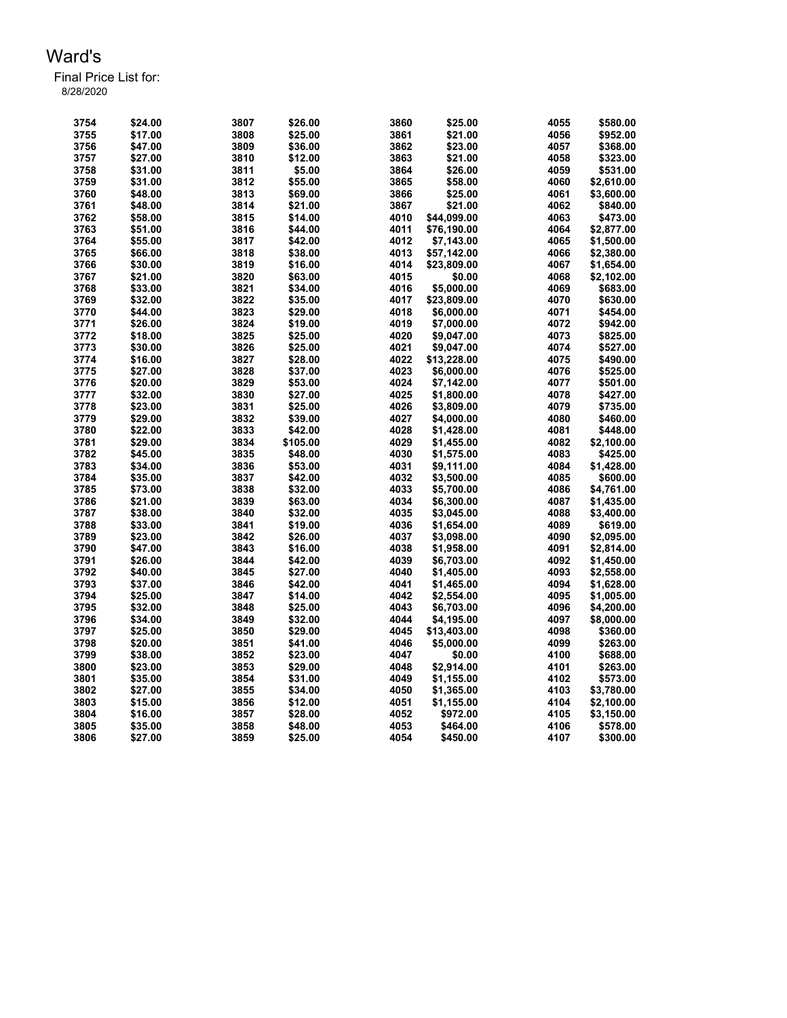| 3754 | \$24.00 | 3807 | \$26.00  | 3860 | \$25.00     | 4055 | \$580.00   |
|------|---------|------|----------|------|-------------|------|------------|
|      |         |      |          |      |             |      |            |
| 3755 | \$17.00 | 3808 | \$25.00  | 3861 | \$21.00     | 4056 | \$952.00   |
| 3756 | \$47.00 | 3809 | \$36.00  | 3862 | \$23.00     | 4057 | \$368.00   |
| 3757 | \$27.00 | 3810 | \$12.00  | 3863 | \$21.00     | 4058 | \$323.00   |
| 3758 | \$31.00 | 3811 | \$5.00   | 3864 | \$26.00     | 4059 | \$531.00   |
| 3759 | \$31.00 | 3812 | \$55.00  | 3865 | \$58.00     | 4060 | \$2,610.00 |
| 3760 | \$48.00 | 3813 | \$69.00  | 3866 | \$25.00     | 4061 | \$3,600.00 |
| 3761 | \$48.00 | 3814 | \$21.00  | 3867 | \$21.00     | 4062 | \$840.00   |
| 3762 | \$58.00 | 3815 | \$14.00  | 4010 | \$44,099.00 | 4063 | \$473.00   |
| 3763 | \$51.00 | 3816 | \$44.00  | 4011 | \$76.190.00 | 4064 | \$2,877.00 |
| 3764 | \$55.00 | 3817 | \$42.00  | 4012 | \$7,143.00  | 4065 | \$1,500.00 |
|      | \$66.00 | 3818 | \$38.00  | 4013 |             | 4066 |            |
| 3765 |         |      |          |      | \$57,142.00 |      | \$2,380.00 |
| 3766 | \$30.00 | 3819 | \$16.00  | 4014 | \$23,809.00 | 4067 | \$1,654.00 |
| 3767 | \$21.00 | 3820 | \$63.00  | 4015 | \$0.00      | 4068 | \$2,102.00 |
| 3768 | \$33.00 | 3821 | \$34.00  | 4016 | \$5,000.00  | 4069 | \$683.00   |
| 3769 | \$32.00 | 3822 | \$35.00  | 4017 | \$23,809.00 | 4070 | \$630.00   |
| 3770 | \$44.00 | 3823 | \$29.00  | 4018 | \$6,000.00  | 4071 | \$454.00   |
| 3771 | \$26.00 | 3824 | \$19.00  | 4019 | \$7,000.00  | 4072 | \$942.00   |
| 3772 | \$18.00 | 3825 | \$25.00  | 4020 | \$9,047.00  | 4073 | \$825.00   |
| 3773 | \$30.00 | 3826 | \$25.00  | 4021 | \$9,047.00  | 4074 | \$527.00   |
| 3774 | \$16.00 | 3827 | \$28.00  | 4022 | \$13,228.00 | 4075 | \$490.00   |
| 3775 | \$27.00 | 3828 | \$37.00  | 4023 | \$6,000.00  | 4076 | \$525.00   |
|      | \$20.00 | 3829 | \$53.00  | 4024 |             | 4077 |            |
| 3776 |         |      |          |      | \$7,142.00  |      | \$501.00   |
| 3777 | \$32.00 | 3830 | \$27.00  | 4025 | \$1,800.00  | 4078 | \$427.00   |
| 3778 | \$23.00 | 3831 | \$25.00  | 4026 | \$3,809.00  | 4079 | \$735.00   |
| 3779 | \$29.00 | 3832 | \$39.00  | 4027 | \$4,000.00  | 4080 | \$460.00   |
| 3780 | \$22.00 | 3833 | \$42.00  | 4028 | \$1,428.00  | 4081 | \$448.00   |
| 3781 | \$29.00 | 3834 | \$105.00 | 4029 | \$1,455.00  | 4082 | \$2,100.00 |
| 3782 | \$45.00 | 3835 | \$48.00  | 4030 | \$1,575.00  | 4083 | \$425.00   |
| 3783 | \$34.00 | 3836 | \$53.00  | 4031 | \$9,111.00  | 4084 | \$1,428.00 |
| 3784 | \$35.00 | 3837 | \$42.00  | 4032 | \$3,500.00  | 4085 | \$600.00   |
| 3785 | \$73.00 | 3838 | \$32.00  | 4033 | \$5,700.00  | 4086 | \$4,761.00 |
| 3786 | \$21.00 | 3839 | \$63.00  | 4034 | \$6,300.00  | 4087 | \$1,435.00 |
| 3787 | \$38.00 | 3840 | \$32.00  | 4035 | \$3,045.00  | 4088 | \$3,400.00 |
|      |         |      |          |      |             | 4089 |            |
| 3788 | \$33.00 | 3841 | \$19.00  | 4036 | \$1,654.00  |      | \$619.00   |
| 3789 | \$23.00 | 3842 | \$26.00  | 4037 | \$3,098.00  | 4090 | \$2,095.00 |
| 3790 | \$47.00 | 3843 | \$16.00  | 4038 | \$1,958.00  | 4091 | \$2,814.00 |
| 3791 | \$26.00 | 3844 | \$42.00  | 4039 | \$6,703.00  | 4092 | \$1,450.00 |
| 3792 | \$40.00 | 3845 | \$27.00  | 4040 | \$1,405.00  | 4093 | \$2,558.00 |
| 3793 | \$37.00 | 3846 | \$42.00  | 4041 | \$1,465.00  | 4094 | \$1,628.00 |
| 3794 | \$25.00 | 3847 | \$14.00  | 4042 | \$2,554.00  | 4095 | \$1,005.00 |
| 3795 | \$32.00 | 3848 | \$25.00  | 4043 | \$6,703.00  | 4096 | \$4,200.00 |
| 3796 | \$34.00 | 3849 | \$32.00  | 4044 | \$4,195.00  | 4097 | \$8,000.00 |
| 3797 | \$25.00 | 3850 | \$29.00  | 4045 | \$13,403.00 | 4098 | \$360.00   |
| 3798 | \$20.00 | 3851 | \$41.00  | 4046 | \$5,000.00  | 4099 | \$263.00   |
| 3799 | \$38.00 | 3852 | \$23.00  | 4047 | \$0.00      | 4100 | \$688.00   |
| 3800 | \$23.00 | 3853 | \$29.00  | 4048 | \$2,914.00  | 4101 | \$263.00   |
|      |         |      |          |      |             |      |            |
| 3801 | \$35.00 | 3854 | \$31.00  | 4049 | \$1,155.00  | 4102 | \$573.00   |
| 3802 | \$27.00 | 3855 | \$34.00  | 4050 | \$1,365.00  | 4103 | \$3,780.00 |
| 3803 | \$15.00 | 3856 | \$12.00  | 4051 | \$1,155.00  | 4104 | \$2,100.00 |
| 3804 | \$16.00 | 3857 | \$28.00  | 4052 | \$972.00    | 4105 | \$3,150.00 |
| 3805 | \$35.00 | 3858 | \$48.00  | 4053 | \$464.00    | 4106 | \$578.00   |
| 3806 | \$27.00 | 3859 | \$25.00  | 4054 | \$450.00    | 4107 | \$300.00   |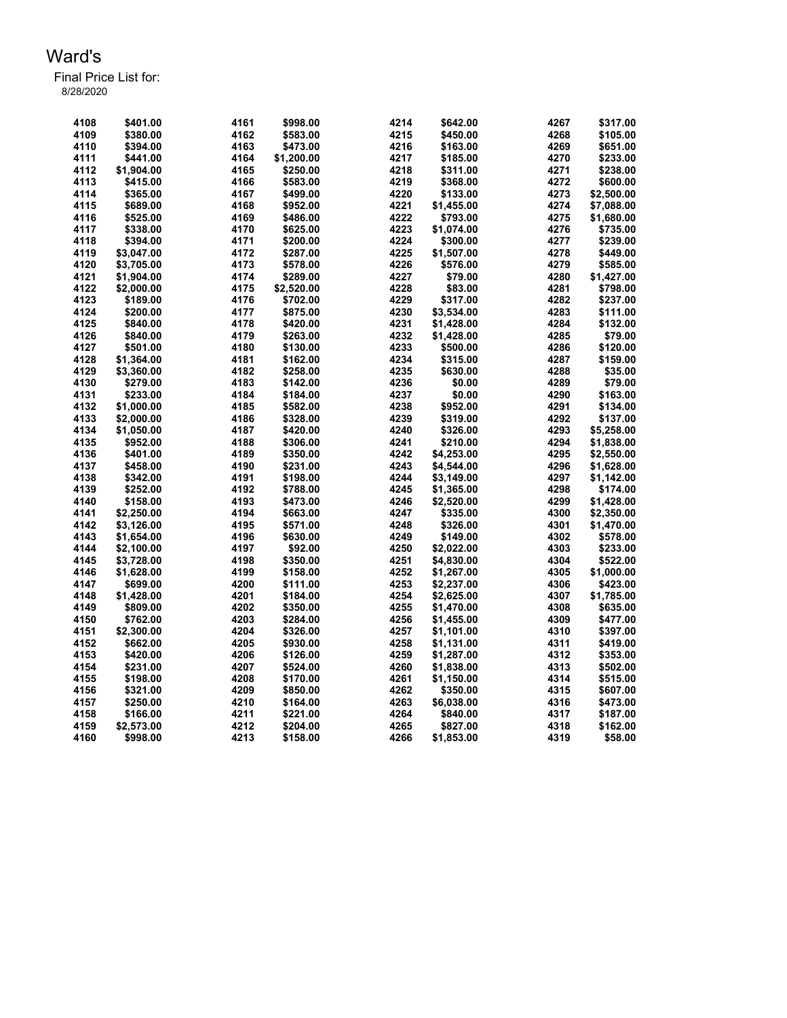| 4108 | \$401.00   | 4161 | \$998.00   | 4214 | \$642.00   | 4267 | \$317.00   |
|------|------------|------|------------|------|------------|------|------------|
| 4109 | \$380.00   | 4162 | \$583.00   | 4215 | \$450.00   | 4268 | \$105.00   |
| 4110 | \$394.00   | 4163 | \$473.00   | 4216 | \$163.00   | 4269 | \$651.00   |
| 4111 | \$441.00   | 4164 | \$1,200.00 | 4217 | \$185.00   | 4270 | \$233.00   |
| 4112 | \$1,904.00 | 4165 | \$250.00   | 4218 | \$311.00   | 4271 | \$238.00   |
| 4113 | \$415.00   | 4166 | \$583.00   | 4219 | \$368.00   | 4272 | \$600.00   |
| 4114 | \$365.00   | 4167 | \$499.00   | 4220 | \$133.00   | 4273 | \$2,500.00 |
| 4115 | \$689.00   | 4168 | \$952.00   | 4221 | \$1,455.00 | 4274 | \$7,088.00 |
| 4116 | \$525.00   | 4169 | \$486.00   | 4222 | \$793.00   | 4275 | \$1,680.00 |
| 4117 | \$338.00   | 4170 | \$625.00   | 4223 | \$1,074.00 | 4276 | \$735.00   |
| 4118 | \$394.00   | 4171 | \$200.00   | 4224 | \$300.00   | 4277 | \$239.00   |
| 4119 | \$3,047.00 | 4172 | \$287.00   | 4225 | \$1,507.00 | 4278 | \$449.00   |
| 4120 | \$3,705.00 | 4173 | \$578.00   | 4226 | \$576.00   | 4279 | \$585.00   |
| 4121 | \$1,904.00 | 4174 | \$289.00   | 4227 | \$79.00    | 4280 | \$1,427.00 |
| 4122 | \$2,000.00 | 4175 | \$2,520.00 | 4228 | \$83.00    | 4281 | \$798.00   |
| 4123 | \$189.00   | 4176 | \$702.00   | 4229 | \$317.00   | 4282 | \$237.00   |
| 4124 | \$200.00   | 4177 | \$875.00   | 4230 | \$3,534.00 | 4283 | \$111.00   |
| 4125 | \$840.00   | 4178 | \$420.00   | 4231 | \$1,428.00 | 4284 | \$132.00   |
| 4126 | \$840.00   | 4179 | \$263.00   | 4232 | \$1,428.00 | 4285 | \$79.00    |
| 4127 |            | 4180 | \$130.00   | 4233 | \$500.00   | 4286 | \$120.00   |
|      | \$501.00   |      |            |      |            |      |            |
| 4128 | \$1,364.00 | 4181 | \$162.00   | 4234 | \$315.00   | 4287 | \$159.00   |
| 4129 | \$3,360.00 | 4182 | \$258.00   | 4235 | \$630.00   | 4288 | \$35.00    |
| 4130 | \$279.00   | 4183 | \$142.00   | 4236 | \$0.00     | 4289 | \$79.00    |
| 4131 | \$233.00   | 4184 | \$184.00   | 4237 | \$0.00     | 4290 | \$163.00   |
| 4132 | \$1,000.00 | 4185 | \$582.00   | 4238 | \$952.00   | 4291 | \$134.00   |
| 4133 | \$2,000.00 | 4186 | \$328.00   | 4239 | \$319.00   | 4292 | \$137.00   |
| 4134 | \$1,050.00 | 4187 | \$420.00   | 4240 | \$326.00   | 4293 | \$5,258.00 |
| 4135 | \$952.00   | 4188 | \$306.00   | 4241 | \$210.00   | 4294 | \$1,838.00 |
| 4136 | \$401.00   | 4189 | \$350.00   | 4242 | \$4,253.00 | 4295 | \$2,550.00 |
| 4137 | \$458.00   | 4190 | \$231.00   | 4243 | \$4,544.00 | 4296 | \$1,628.00 |
| 4138 | \$342.00   | 4191 | \$198.00   | 4244 | \$3,149.00 | 4297 | \$1,142.00 |
| 4139 | \$252.00   | 4192 | \$788.00   | 4245 | \$1,365.00 | 4298 | \$174.00   |
| 4140 | \$158.00   | 4193 | \$473.00   | 4246 | \$2,520.00 | 4299 | \$1,428.00 |
| 4141 | \$2,250.00 | 4194 | \$663.00   | 4247 | \$335.00   | 4300 | \$2,350.00 |
| 4142 | \$3,126.00 | 4195 | \$571.00   | 4248 | \$326.00   | 4301 | \$1,470.00 |
| 4143 | \$1,654.00 | 4196 | \$630.00   | 4249 | \$149.00   | 4302 | \$578.00   |
| 4144 | \$2,100.00 | 4197 | \$92.00    | 4250 | \$2,022.00 | 4303 | \$233.00   |
| 4145 | \$3,728.00 | 4198 | \$350.00   | 4251 | \$4,830.00 | 4304 | \$522.00   |
| 4146 | \$1,628.00 | 4199 | \$158.00   | 4252 | \$1,267.00 | 4305 | \$1,000.00 |
| 4147 | \$699.00   | 4200 | \$111.00   | 4253 | \$2,237.00 | 4306 | \$423.00   |
| 4148 | \$1,428.00 | 4201 | \$184.00   | 4254 | \$2,625.00 | 4307 | \$1,785.00 |
| 4149 | \$809.00   | 4202 | \$350.00   | 4255 | \$1,470.00 | 4308 | \$635.00   |
| 4150 | \$762.00   | 4203 | \$284.00   | 4256 | \$1,455.00 | 4309 | \$477.00   |
| 4151 | \$2,300.00 | 4204 | \$326.00   | 4257 | \$1,101.00 | 4310 | \$397.00   |
| 4152 | \$662.00   | 4205 |            | 4258 |            | 4311 |            |
|      |            |      | \$930.00   |      | \$1,131.00 |      | \$419.00   |
| 4153 | \$420.00   | 4206 | \$126.00   | 4259 | \$1,287.00 | 4312 | \$353.00   |
| 4154 | \$231.00   | 4207 | \$524.00   | 4260 | \$1,838.00 | 4313 | \$502.00   |
| 4155 | \$198.00   | 4208 | \$170.00   | 4261 | \$1,150.00 | 4314 | \$515.00   |
| 4156 | \$321.00   | 4209 | \$850.00   | 4262 | \$350.00   | 4315 | \$607.00   |
| 4157 | \$250.00   | 4210 | \$164.00   | 4263 | \$6,038.00 | 4316 | \$473.00   |
| 4158 | \$166.00   | 4211 | \$221.00   | 4264 | \$840.00   | 4317 | \$187.00   |
| 4159 | \$2,573.00 | 4212 | \$204.00   | 4265 | \$827.00   | 4318 | \$162.00   |
| 4160 | \$998.00   | 4213 | \$158.00   | 4266 | \$1,853.00 | 4319 | \$58.00    |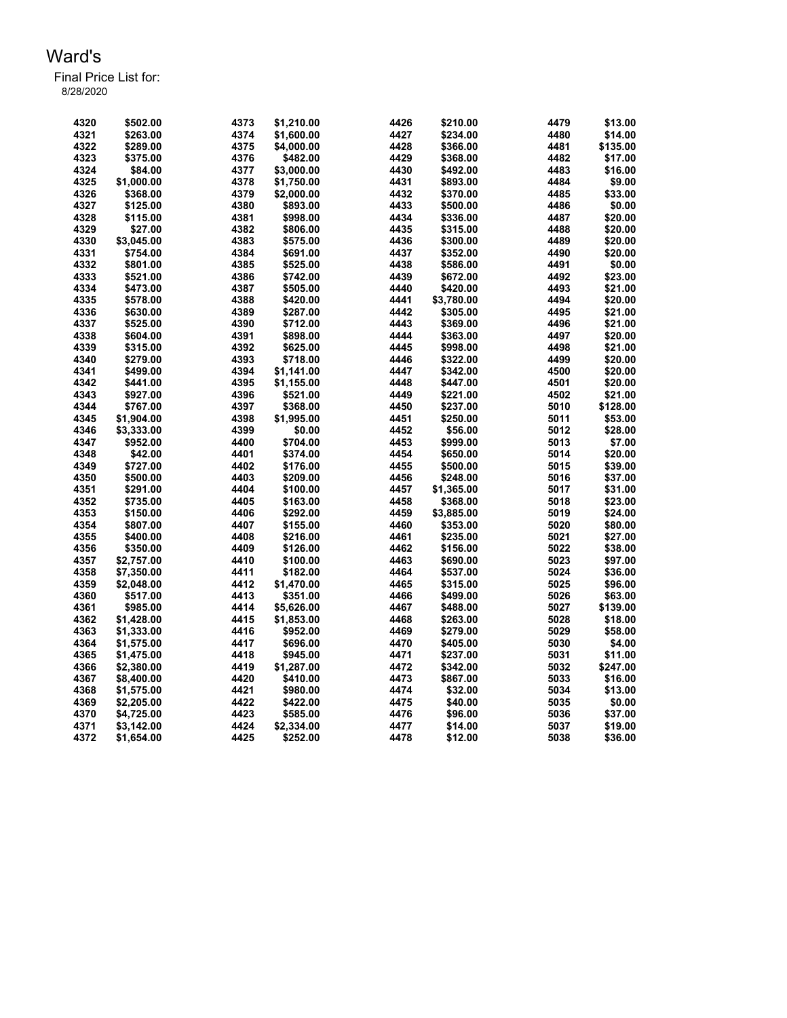| 4320 | \$502.00   | 4373 | \$1.210.00 | 4426 | \$210.00   | 4479 | \$13.00  |
|------|------------|------|------------|------|------------|------|----------|
| 4321 | \$263.00   | 4374 | \$1,600.00 | 4427 | \$234.00   | 4480 | \$14.00  |
| 4322 | \$289.00   | 4375 | \$4.000.00 | 4428 | \$366.00   | 4481 | \$135.00 |
| 4323 | \$375.00   | 4376 | \$482.00   | 4429 | \$368.00   | 4482 | \$17.00  |
| 4324 | \$84.00    | 4377 | \$3,000.00 | 4430 | \$492.00   | 4483 | \$16.00  |
| 4325 | \$1,000.00 | 4378 | \$1,750.00 | 4431 | \$893.00   | 4484 | \$9.00   |
| 4326 | \$368.00   | 4379 | \$2,000.00 | 4432 | \$370.00   | 4485 | \$33.00  |
| 4327 | \$125.00   | 4380 | \$893.00   | 4433 | \$500.00   | 4486 | \$0.00   |
| 4328 | \$115.00   | 4381 | \$998.00   | 4434 | \$336.00   | 4487 | \$20.00  |
| 4329 | \$27.00    | 4382 | \$806.00   | 4435 | \$315.00   | 4488 | \$20.00  |
| 4330 | \$3,045.00 | 4383 | \$575.00   | 4436 | \$300.00   | 4489 | \$20.00  |
| 4331 | \$754.00   | 4384 | \$691.00   | 4437 | \$352.00   | 4490 | \$20.00  |
| 4332 | \$801.00   | 4385 | \$525.00   | 4438 | \$586.00   | 4491 | \$0.00   |
| 4333 | \$521.00   | 4386 | \$742.00   | 4439 | \$672.00   | 4492 | \$23.00  |
| 4334 | \$473.00   | 4387 | \$505.00   | 4440 | \$420.00   | 4493 | \$21.00  |
| 4335 | \$578.00   | 4388 | \$420.00   | 4441 | \$3,780.00 | 4494 | \$20.00  |
| 4336 | \$630.00   | 4389 | \$287.00   | 4442 | \$305.00   | 4495 | \$21.00  |
| 4337 | \$525.00   | 4390 | \$712.00   | 4443 | \$369.00   | 4496 | \$21.00  |
| 4338 | \$604.00   | 4391 | \$898.00   | 4444 | \$363.00   | 4497 | \$20.00  |
| 4339 | \$315.00   | 4392 | \$625.00   | 4445 | \$998.00   | 4498 | \$21.00  |
| 4340 | \$279.00   | 4393 | \$718.00   | 4446 | \$322.00   | 4499 | \$20.00  |
| 4341 | \$499.00   | 4394 | \$1,141.00 | 4447 | \$342.00   | 4500 | \$20.00  |
| 4342 | \$441.00   | 4395 | \$1,155.00 | 4448 | \$447.00   | 4501 | \$20.00  |
| 4343 | \$927.00   | 4396 | \$521.00   | 4449 | \$221.00   | 4502 | \$21.00  |
| 4344 | \$767.00   | 4397 | \$368.00   | 4450 | \$237.00   | 5010 | \$128.00 |
| 4345 | \$1,904.00 | 4398 | \$1,995.00 | 4451 | \$250.00   | 5011 | \$53.00  |
| 4346 | \$3,333.00 | 4399 | \$0.00     | 4452 | \$56.00    | 5012 | \$28.00  |
| 4347 | \$952.00   | 4400 | \$704.00   | 4453 | \$999.00   | 5013 | \$7.00   |
| 4348 | \$42.00    | 4401 | \$374.00   | 4454 | \$650.00   | 5014 | \$20.00  |
| 4349 | \$727.00   | 4402 | \$176.00   | 4455 | \$500.00   | 5015 | \$39.00  |
| 4350 | \$500.00   | 4403 | \$209.00   | 4456 | \$248.00   | 5016 | \$37.00  |
| 4351 | \$291.00   | 4404 | \$100.00   | 4457 | \$1,365.00 | 5017 | \$31.00  |
| 4352 | \$735.00   | 4405 | \$163.00   | 4458 | \$368.00   | 5018 | \$23.00  |
| 4353 | \$150.00   | 4406 | \$292.00   | 4459 | \$3,885.00 | 5019 | \$24.00  |
| 4354 | \$807.00   | 4407 | \$155.00   | 4460 | \$353.00   | 5020 | \$80.00  |
| 4355 | \$400.00   | 4408 | \$216.00   | 4461 | \$235.00   | 5021 | \$27.00  |
| 4356 | \$350.00   | 4409 | \$126.00   | 4462 | \$156.00   | 5022 | \$38.00  |
| 4357 | \$2,757.00 | 4410 | \$100.00   | 4463 | \$690.00   | 5023 | \$97.00  |
| 4358 | \$7,350.00 | 4411 | \$182.00   | 4464 | \$537.00   | 5024 | \$36.00  |
| 4359 | \$2,048.00 | 4412 | \$1,470.00 | 4465 | \$315.00   | 5025 | \$96.00  |
| 4360 | \$517.00   | 4413 | \$351.00   | 4466 | \$499.00   | 5026 | \$63.00  |
| 4361 | \$985.00   | 4414 | \$5,626.00 | 4467 | \$488.00   | 5027 | \$139.00 |
| 4362 | \$1,428.00 | 4415 | \$1,853.00 | 4468 | \$263.00   | 5028 | \$18.00  |
| 4363 | \$1,333.00 | 4416 | \$952.00   | 4469 | \$279.00   | 5029 | \$58.00  |
| 4364 | \$1,575.00 | 4417 | \$696.00   | 4470 | \$405.00   | 5030 | \$4.00   |
| 4365 | \$1,475.00 | 4418 | \$945.00   | 4471 | \$237.00   | 5031 | \$11.00  |
| 4366 | \$2,380.00 | 4419 | \$1,287.00 | 4472 | \$342.00   | 5032 | \$247.00 |
| 4367 | \$8,400.00 | 4420 | \$410.00   | 4473 | \$867.00   | 5033 | \$16.00  |
| 4368 | \$1,575.00 | 4421 | \$980.00   | 4474 | \$32.00    | 5034 | \$13.00  |
| 4369 | \$2,205.00 | 4422 | \$422.00   | 4475 | \$40.00    | 5035 | \$0.00   |
| 4370 | \$4,725.00 | 4423 | \$585.00   | 4476 | \$96.00    | 5036 | \$37.00  |
| 4371 | \$3,142.00 | 4424 | \$2,334.00 | 4477 | \$14.00    | 5037 | \$19.00  |
| 4372 | \$1,654.00 | 4425 | \$252.00   | 4478 | \$12.00    | 5038 | \$36.00  |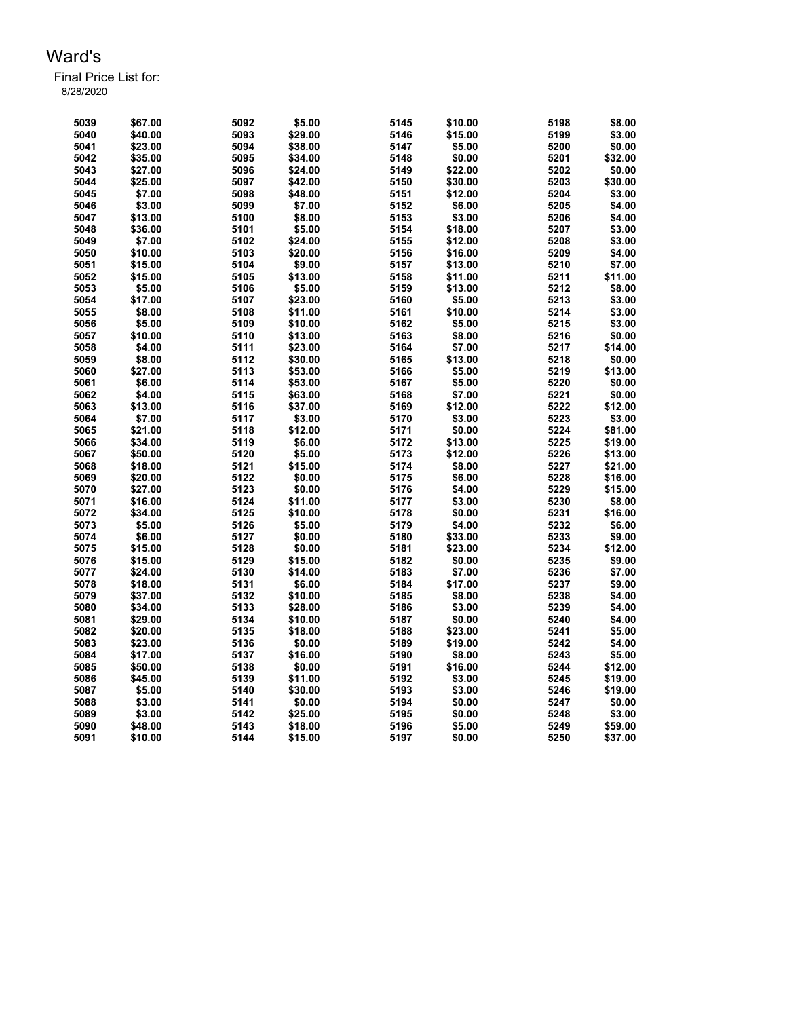| 5039 | \$67.00 | 5092 | \$5.00  | 5145 | \$10.00 | 5198 | \$8.00  |
|------|---------|------|---------|------|---------|------|---------|
| 5040 | \$40.00 | 5093 | \$29.00 | 5146 | \$15.00 | 5199 | \$3.00  |
| 5041 | \$23.00 | 5094 | \$38.00 | 5147 | \$5.00  | 5200 | \$0.00  |
| 5042 | \$35.00 | 5095 | \$34.00 | 5148 | \$0.00  | 5201 | \$32.00 |
| 5043 | \$27.00 | 5096 | \$24.00 | 5149 | \$22.00 | 5202 | \$0.00  |
| 5044 | \$25.00 | 5097 | \$42.00 | 5150 | \$30.00 | 5203 | \$30.00 |
| 5045 | \$7.00  | 5098 | \$48.00 | 5151 | \$12.00 | 5204 | \$3.00  |
| 5046 | \$3.00  | 5099 | \$7.00  | 5152 | \$6.00  | 5205 | \$4.00  |
| 5047 | \$13.00 | 5100 | \$8.00  | 5153 | \$3.00  | 5206 | \$4.00  |
| 5048 | \$36.00 | 5101 | \$5.00  | 5154 | \$18.00 | 5207 | \$3.00  |
| 5049 | \$7.00  | 5102 | \$24.00 | 5155 | \$12.00 | 5208 | \$3.00  |
| 5050 | \$10.00 | 5103 | \$20.00 | 5156 | \$16.00 | 5209 | \$4.00  |
|      | \$15.00 | 5104 | \$9.00  | 5157 | \$13.00 | 5210 | \$7.00  |
| 5051 |         |      |         |      |         |      |         |
| 5052 | \$15.00 | 5105 | \$13.00 | 5158 | \$11.00 | 5211 | \$11.00 |
| 5053 | \$5.00  | 5106 | \$5.00  | 5159 | \$13.00 | 5212 | \$8.00  |
| 5054 | \$17.00 | 5107 | \$23.00 | 5160 | \$5.00  | 5213 | \$3.00  |
| 5055 | \$8.00  | 5108 | \$11.00 | 5161 | \$10.00 | 5214 | \$3.00  |
| 5056 | \$5.00  | 5109 | \$10.00 | 5162 | \$5.00  | 5215 | \$3.00  |
| 5057 | \$10.00 | 5110 | \$13.00 | 5163 | \$8.00  | 5216 | \$0.00  |
| 5058 | \$4.00  | 5111 | \$23.00 | 5164 | \$7.00  | 5217 | \$14.00 |
| 5059 | \$8.00  | 5112 | \$30.00 | 5165 | \$13.00 | 5218 | \$0.00  |
| 5060 | \$27.00 | 5113 | \$53.00 | 5166 | \$5.00  | 5219 | \$13.00 |
| 5061 | \$6.00  | 5114 | \$53.00 | 5167 | \$5.00  | 5220 | \$0.00  |
| 5062 | \$4.00  | 5115 | \$63.00 | 5168 | \$7.00  | 5221 | \$0.00  |
| 5063 | \$13.00 | 5116 | \$37.00 | 5169 | \$12.00 | 5222 | \$12.00 |
| 5064 | \$7.00  | 5117 | \$3.00  | 5170 | \$3.00  | 5223 | \$3.00  |
| 5065 | \$21.00 | 5118 | \$12.00 | 5171 | \$0.00  | 5224 | \$81.00 |
| 5066 | \$34.00 | 5119 | \$6.00  | 5172 | \$13.00 | 5225 | \$19.00 |
| 5067 | \$50.00 | 5120 | \$5.00  | 5173 | \$12.00 | 5226 | \$13.00 |
| 5068 | \$18.00 | 5121 | \$15.00 | 5174 | \$8.00  | 5227 | \$21.00 |
| 5069 | \$20.00 | 5122 | \$0.00  | 5175 | \$6.00  | 5228 | \$16.00 |
| 5070 | \$27.00 | 5123 | \$0.00  | 5176 | \$4.00  | 5229 | \$15.00 |
| 5071 | \$16.00 | 5124 | \$11.00 | 5177 | \$3.00  | 5230 | \$8.00  |
| 5072 | \$34.00 | 5125 | \$10.00 | 5178 | \$0.00  | 5231 | \$16.00 |
| 5073 | \$5.00  | 5126 | \$5.00  | 5179 | \$4.00  | 5232 | \$6.00  |
| 5074 | \$6.00  | 5127 | \$0.00  | 5180 | \$33.00 | 5233 | \$9.00  |
| 5075 | \$15.00 | 5128 | \$0.00  | 5181 | \$23.00 | 5234 | \$12.00 |
| 5076 | \$15.00 | 5129 | \$15.00 | 5182 | \$0.00  | 5235 | \$9.00  |
| 5077 | \$24.00 | 5130 | \$14.00 | 5183 | \$7.00  | 5236 | \$7.00  |
| 5078 | \$18.00 | 5131 | \$6.00  | 5184 | \$17.00 | 5237 | \$9.00  |
|      | \$37.00 | 5132 |         |      |         | 5238 | \$4.00  |
| 5079 |         |      | \$10.00 | 5185 | \$8.00  | 5239 |         |
| 5080 | \$34.00 | 5133 | \$28.00 | 5186 | \$3.00  |      | \$4.00  |
| 5081 | \$29.00 | 5134 | \$10.00 | 5187 | \$0.00  | 5240 | \$4.00  |
| 5082 | \$20.00 | 5135 | \$18.00 | 5188 | \$23.00 | 5241 | \$5.00  |
| 5083 | \$23.00 | 5136 | \$0.00  | 5189 | \$19.00 | 5242 | \$4.00  |
| 5084 | \$17.00 | 5137 | \$16.00 | 5190 | \$8.00  | 5243 | \$5.00  |
| 5085 | \$50.00 | 5138 | \$0.00  | 5191 | \$16.00 | 5244 | \$12.00 |
| 5086 | \$45.00 | 5139 | \$11.00 | 5192 | \$3.00  | 5245 | \$19.00 |
| 5087 | \$5.00  | 5140 | \$30.00 | 5193 | \$3.00  | 5246 | \$19.00 |
| 5088 | \$3.00  | 5141 | \$0.00  | 5194 | \$0.00  | 5247 | \$0.00  |
| 5089 | \$3.00  | 5142 | \$25.00 | 5195 | \$0.00  | 5248 | \$3.00  |
| 5090 | \$48.00 | 5143 | \$18.00 | 5196 | \$5.00  | 5249 | \$59.00 |
| 5091 | \$10.00 | 5144 | \$15.00 | 5197 | \$0.00  | 5250 | \$37.00 |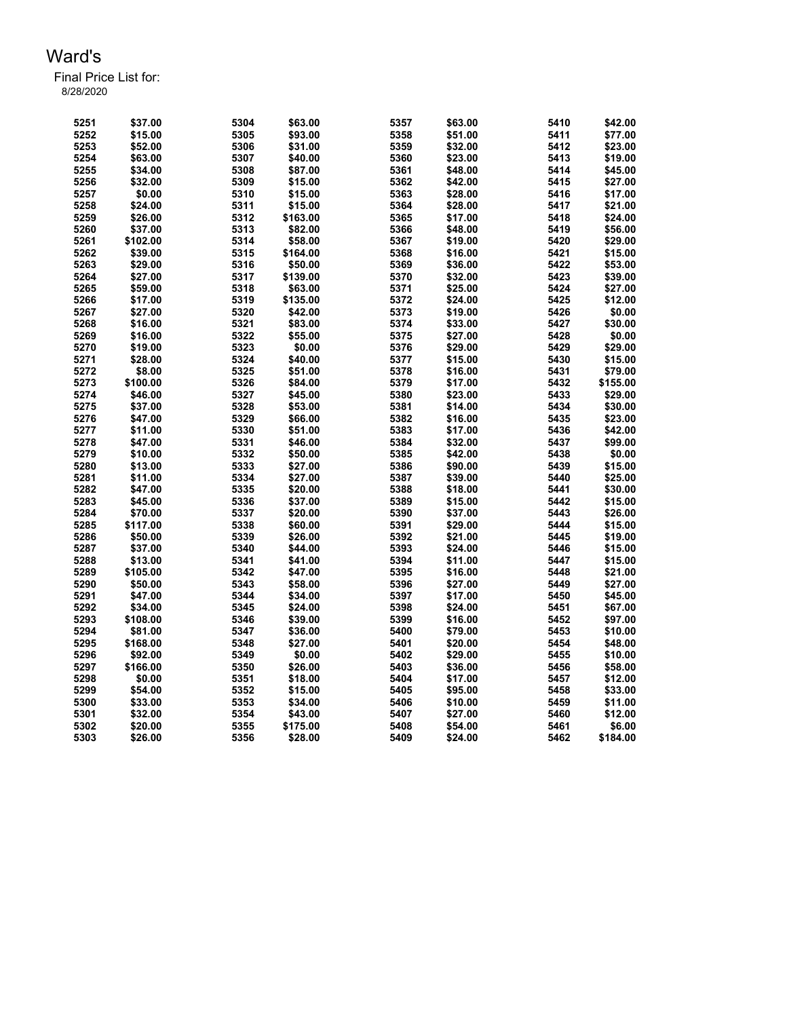| 5251 | \$37.00  | 5304 | \$63.00           | 5357 | \$63.00 | 5410 | \$42.00  |
|------|----------|------|-------------------|------|---------|------|----------|
| 5252 | \$15.00  | 5305 | \$93.00           | 5358 | \$51.00 | 5411 | \$77.00  |
| 5253 | \$52.00  | 5306 | \$31.00           | 5359 | \$32.00 | 5412 | \$23.00  |
| 5254 | \$63.00  | 5307 | \$40.00           | 5360 | \$23.00 | 5413 | \$19.00  |
| 5255 | \$34.00  | 5308 | \$87.00           | 5361 | \$48.00 | 5414 | \$45.00  |
| 5256 | \$32.00  | 5309 | \$15.00           | 5362 | \$42.00 | 5415 | \$27.00  |
| 5257 | \$0.00   | 5310 | \$15.00           | 5363 | \$28.00 | 5416 | \$17.00  |
| 5258 | \$24.00  | 5311 | \$15.00           | 5364 | \$28.00 | 5417 | \$21.00  |
| 5259 | \$26.00  | 5312 | \$163.00          | 5365 | \$17.00 | 5418 | \$24.00  |
| 5260 | \$37.00  | 5313 | \$82.00           | 5366 | \$48.00 | 5419 | \$56.00  |
| 5261 | \$102.00 | 5314 | \$58.00           | 5367 | \$19.00 | 5420 | \$29.00  |
| 5262 | \$39.00  | 5315 | \$164.00          | 5368 | \$16.00 | 5421 | \$15.00  |
| 5263 | \$29.00  | 5316 | \$50.00           | 5369 | \$36.00 | 5422 | \$53.00  |
|      |          |      |                   |      |         |      |          |
| 5264 | \$27.00  | 5317 | \$139.00          | 5370 | \$32.00 | 5423 | \$39.00  |
| 5265 | \$59.00  | 5318 | \$63.00           | 5371 | \$25.00 | 5424 | \$27.00  |
| 5266 | \$17.00  | 5319 | \$135.00          | 5372 | \$24.00 | 5425 | \$12.00  |
| 5267 | \$27.00  | 5320 | \$42.00           | 5373 | \$19.00 | 5426 | \$0.00   |
| 5268 | \$16.00  | 5321 | \$83.00           | 5374 | \$33.00 | 5427 | \$30.00  |
| 5269 | \$16.00  | 5322 | \$55.00           | 5375 | \$27.00 | 5428 | \$0.00   |
| 5270 | \$19.00  | 5323 | \$0.00            | 5376 | \$29.00 | 5429 | \$29.00  |
| 5271 | \$28.00  | 5324 | \$40.00           | 5377 | \$15.00 | 5430 | \$15.00  |
| 5272 | \$8.00   | 5325 | \$51.00           | 5378 | \$16.00 | 5431 | \$79.00  |
| 5273 | \$100.00 | 5326 | \$84.00           | 5379 | \$17.00 | 5432 | \$155.00 |
| 5274 | \$46.00  | 5327 | \$45.00           | 5380 | \$23.00 | 5433 | \$29.00  |
| 5275 | \$37.00  | 5328 | \$53.00           | 5381 | \$14.00 | 5434 | \$30.00  |
| 5276 | \$47.00  | 5329 | \$66.00           | 5382 | \$16.00 | 5435 | \$23.00  |
| 5277 | \$11.00  | 5330 | \$51.00           | 5383 | \$17.00 | 5436 | \$42.00  |
| 5278 | \$47.00  | 5331 | \$46.00           | 5384 | \$32.00 | 5437 | \$99.00  |
| 5279 | \$10.00  | 5332 | \$50.00           | 5385 | \$42.00 | 5438 | \$0.00   |
| 5280 | \$13.00  | 5333 | \$27.00           | 5386 | \$90.00 | 5439 | \$15.00  |
| 5281 | \$11.00  | 5334 | \$27.00           | 5387 | \$39.00 | 5440 | \$25.00  |
| 5282 | \$47.00  | 5335 | \$20.00           | 5388 | \$18.00 | 5441 | \$30.00  |
| 5283 | \$45.00  | 5336 | \$37.00           | 5389 | \$15.00 | 5442 | \$15.00  |
| 5284 | \$70.00  | 5337 | \$20.00           | 5390 | \$37.00 | 5443 | \$26.00  |
| 5285 | \$117.00 | 5338 | \$60.00           | 5391 | \$29.00 | 5444 | \$15.00  |
| 5286 | \$50.00  | 5339 | \$26.00           | 5392 | \$21.00 | 5445 | \$19.00  |
| 5287 | \$37.00  | 5340 | \$44.00           | 5393 | \$24.00 | 5446 | \$15.00  |
| 5288 | \$13.00  | 5341 | \$41.00           | 5394 | \$11.00 | 5447 | \$15.00  |
| 5289 | \$105.00 | 5342 | \$47.00           | 5395 | \$16.00 | 5448 | \$21.00  |
| 5290 | \$50.00  | 5343 | \$58.00           | 5396 | \$27.00 | 5449 | \$27.00  |
| 5291 | \$47.00  | 5344 | \$34.00           | 5397 | \$17.00 | 5450 | \$45.00  |
| 5292 | \$34.00  | 5345 | \$24.00           | 5398 | \$24.00 | 5451 | \$67.00  |
| 5293 | \$108.00 | 5346 | \$39.00           | 5399 | \$16.00 | 5452 | \$97.00  |
| 5294 | \$81.00  | 5347 | \$36.00           | 5400 | \$79.00 | 5453 | \$10.00  |
| 5295 | \$168.00 | 5348 | \$27.00           | 5401 | \$20.00 | 5454 | \$48.00  |
| 5296 | \$92.00  | 5349 |                   | 5402 | \$29.00 | 5455 | \$10.00  |
| 5297 | \$166.00 | 5350 | \$0.00<br>\$26.00 | 5403 | \$36.00 | 5456 | \$58.00  |
| 5298 |          |      |                   |      |         |      |          |
|      | \$0.00   | 5351 | \$18.00           | 5404 | \$17.00 | 5457 | \$12.00  |
| 5299 | \$54.00  | 5352 | \$15.00           | 5405 | \$95.00 | 5458 | \$33.00  |
| 5300 | \$33.00  | 5353 | \$34.00           | 5406 | \$10.00 | 5459 | \$11.00  |
| 5301 | \$32.00  | 5354 | \$43.00           | 5407 | \$27.00 | 5460 | \$12.00  |
| 5302 | \$20.00  | 5355 | \$175.00          | 5408 | \$54.00 | 5461 | \$6.00   |
| 5303 | \$26.00  | 5356 | \$28.00           | 5409 | \$24.00 | 5462 | \$184.00 |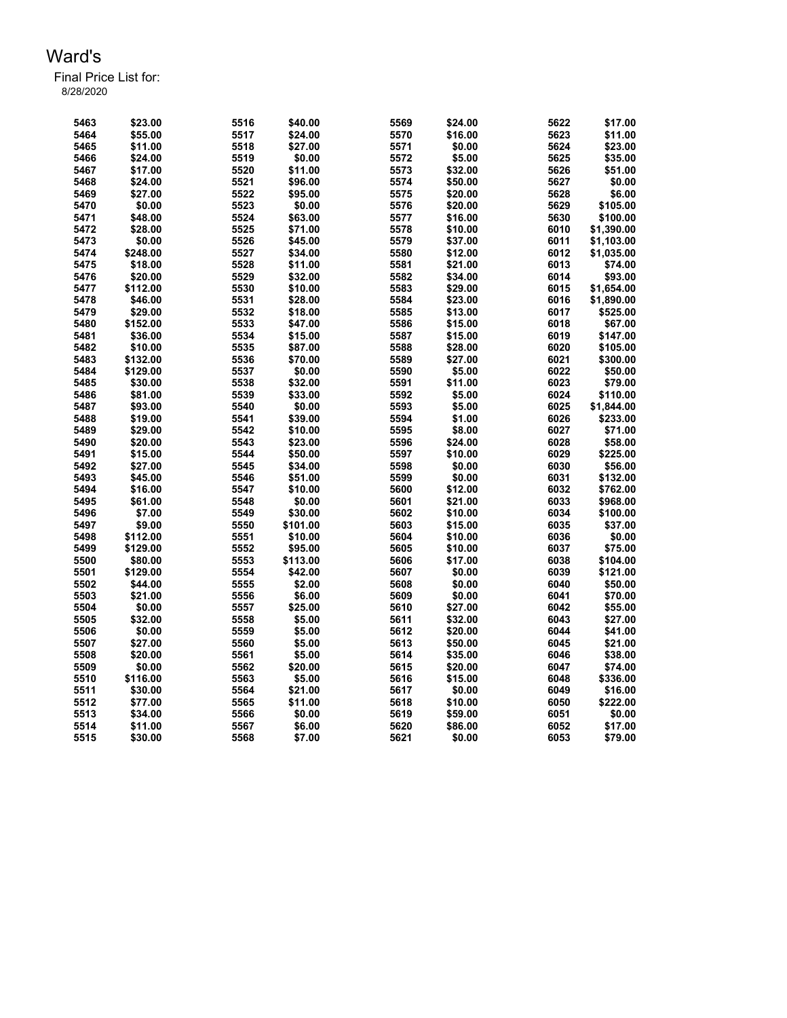| 5463 | \$23.00  | 5516 | \$40.00  | 5569 | \$24.00          | 5622 | \$17.00    |
|------|----------|------|----------|------|------------------|------|------------|
| 5464 | \$55.00  | 5517 | \$24.00  | 5570 | \$16.00          | 5623 | \$11.00    |
| 5465 | \$11.00  | 5518 | \$27.00  | 5571 | \$0.00           | 5624 | \$23.00    |
| 5466 | \$24.00  | 5519 | \$0.00   | 5572 | \$5.00           | 5625 | \$35.00    |
| 5467 | \$17.00  | 5520 | \$11.00  | 5573 | \$32.00          | 5626 | \$51.00    |
| 5468 | \$24.00  | 5521 | \$96.00  | 5574 | \$50.00          | 5627 | \$0.00     |
| 5469 | \$27.00  | 5522 | \$95.00  | 5575 | \$20.00          | 5628 | \$6.00     |
| 5470 | \$0.00   | 5523 | \$0.00   | 5576 | \$20.00          | 5629 | \$105.00   |
| 5471 | \$48.00  | 5524 | \$63.00  | 5577 | \$16.00          | 5630 | \$100.00   |
| 5472 | \$28.00  | 5525 | \$71.00  | 5578 | \$10.00          | 6010 | \$1,390.00 |
| 5473 | \$0.00   | 5526 | \$45.00  | 5579 | \$37.00          | 6011 | \$1,103.00 |
| 5474 | \$248.00 | 5527 | \$34.00  | 5580 | \$12.00          | 6012 | \$1,035.00 |
| 5475 | \$18.00  | 5528 | \$11.00  | 5581 | \$21.00          | 6013 | \$74.00    |
| 5476 | \$20.00  | 5529 | \$32.00  | 5582 | \$34.00          | 6014 | \$93.00    |
| 5477 | \$112.00 | 5530 | \$10.00  | 5583 | \$29.00          | 6015 | \$1,654.00 |
| 5478 | \$46.00  | 5531 | \$28.00  | 5584 | \$23.00          | 6016 |            |
|      |          |      |          |      |                  | 6017 | \$1,890.00 |
| 5479 | \$29.00  | 5532 | \$18.00  | 5585 | \$13.00          |      | \$525.00   |
| 5480 | \$152.00 | 5533 | \$47.00  | 5586 | \$15.00          | 6018 | \$67.00    |
| 5481 | \$36.00  | 5534 | \$15.00  | 5587 | \$15.00          | 6019 | \$147.00   |
| 5482 | \$10.00  | 5535 | \$87.00  | 5588 | \$28.00          | 6020 | \$105.00   |
| 5483 | \$132.00 | 5536 | \$70.00  | 5589 | \$27.00          | 6021 | \$300.00   |
| 5484 | \$129.00 | 5537 | \$0.00   | 5590 | \$5.00           | 6022 | \$50.00    |
| 5485 | \$30.00  | 5538 | \$32.00  | 5591 | \$11.00          | 6023 | \$79.00    |
| 5486 | \$81.00  | 5539 | \$33.00  | 5592 | \$5.00           | 6024 | \$110.00   |
| 5487 | \$93.00  | 5540 | \$0.00   | 5593 | \$5.00           | 6025 | \$1,844.00 |
| 5488 | \$19.00  | 5541 | \$39.00  | 5594 | \$1.00           | 6026 | \$233.00   |
| 5489 | \$29.00  | 5542 | \$10.00  | 5595 | \$8.00           | 6027 | \$71.00    |
| 5490 | \$20.00  | 5543 | \$23.00  | 5596 | \$24.00          | 6028 | \$58.00    |
| 5491 | \$15.00  | 5544 | \$50.00  | 5597 | \$10.00          | 6029 | \$225.00   |
| 5492 | \$27.00  | 5545 | \$34.00  | 5598 | \$0.00           | 6030 | \$56.00    |
| 5493 | \$45.00  | 5546 | \$51.00  | 5599 | \$0.00           | 6031 | \$132.00   |
| 5494 | \$16.00  | 5547 | \$10.00  | 5600 | \$12.00          | 6032 | \$762.00   |
| 5495 | \$61.00  | 5548 | \$0.00   | 5601 | \$21.00          | 6033 | \$968.00   |
| 5496 | \$7.00   | 5549 | \$30.00  | 5602 | \$10.00          | 6034 | \$100.00   |
| 5497 | \$9.00   | 5550 | \$101.00 | 5603 | \$15.00          | 6035 | \$37.00    |
| 5498 | \$112.00 | 5551 | \$10.00  | 5604 | \$10.00          | 6036 | \$0.00     |
| 5499 | \$129.00 | 5552 | \$95.00  | 5605 | \$10.00          | 6037 | \$75.00    |
| 5500 | \$80.00  | 5553 | \$113.00 | 5606 | \$17.00          | 6038 | \$104.00   |
| 5501 | \$129.00 | 5554 | \$42.00  | 5607 | \$0.00           | 6039 | \$121.00   |
|      | \$44.00  | 5555 |          | 5608 |                  | 6040 | \$50.00    |
| 5502 |          |      | \$2.00   | 5609 | \$0.00<br>\$0.00 | 6041 |            |
| 5503 | \$21.00  | 5556 | \$6.00   |      |                  |      | \$70.00    |
| 5504 | \$0.00   | 5557 | \$25.00  | 5610 | \$27.00          | 6042 | \$55.00    |
| 5505 | \$32.00  | 5558 | \$5.00   | 5611 | \$32.00          | 6043 | \$27.00    |
| 5506 | \$0.00   | 5559 | \$5.00   | 5612 | \$20.00          | 6044 | \$41.00    |
| 5507 | \$27.00  | 5560 | \$5.00   | 5613 | \$50.00          | 6045 | \$21.00    |
| 5508 | \$20.00  | 5561 | \$5.00   | 5614 | \$35.00          | 6046 | \$38.00    |
| 5509 | \$0.00   | 5562 | \$20.00  | 5615 | \$20.00          | 6047 | \$74.00    |
| 5510 | \$116.00 | 5563 | \$5.00   | 5616 | \$15.00          | 6048 | \$336.00   |
| 5511 | \$30.00  | 5564 | \$21.00  | 5617 | \$0.00           | 6049 | \$16.00    |
| 5512 | \$77.00  | 5565 | \$11.00  | 5618 | \$10.00          | 6050 | \$222.00   |
| 5513 | \$34.00  | 5566 | \$0.00   | 5619 | \$59.00          | 6051 | \$0.00     |
| 5514 | \$11.00  | 5567 | \$6.00   | 5620 | \$86.00          | 6052 | \$17.00    |
| 5515 | \$30.00  | 5568 | \$7.00   | 5621 | \$0.00           | 6053 | \$79.00    |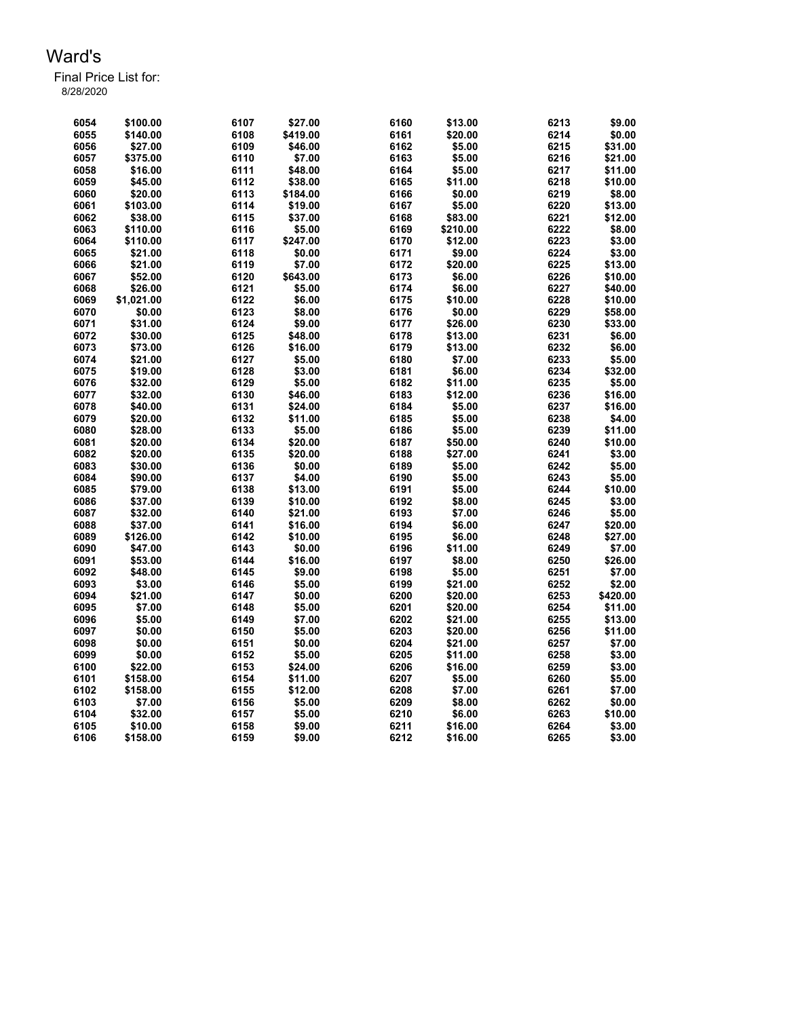| 6054 | \$100.00   | 6107 | \$27.00  | 6160 | \$13.00  | 6213 | \$9.00   |
|------|------------|------|----------|------|----------|------|----------|
| 6055 | \$140.00   | 6108 | \$419.00 | 6161 | \$20.00  | 6214 | \$0.00   |
| 6056 | \$27.00    | 6109 | \$46.00  | 6162 | \$5.00   | 6215 | \$31.00  |
| 6057 | \$375.00   | 6110 | \$7.00   | 6163 | \$5.00   | 6216 | \$21.00  |
| 6058 | \$16.00    | 6111 | \$48.00  | 6164 | \$5.00   | 6217 | \$11.00  |
| 6059 | \$45.00    | 6112 | \$38.00  | 6165 | \$11.00  | 6218 | \$10.00  |
| 6060 | \$20.00    | 6113 | \$184.00 | 6166 | \$0.00   | 6219 | \$8.00   |
| 6061 | \$103.00   | 6114 | \$19.00  | 6167 | \$5.00   | 6220 | \$13.00  |
| 6062 | \$38.00    | 6115 | \$37.00  | 6168 | \$83.00  | 6221 | \$12.00  |
| 6063 | \$110.00   | 6116 | \$5.00   | 6169 | \$210.00 | 6222 | \$8.00   |
| 6064 | \$110.00   | 6117 | \$247.00 | 6170 | \$12.00  | 6223 | \$3.00   |
| 6065 | \$21.00    | 6118 | \$0.00   | 6171 | \$9.00   | 6224 | \$3.00   |
| 6066 | \$21.00    | 6119 | \$7.00   | 6172 | \$20.00  | 6225 | \$13.00  |
| 6067 | \$52.00    | 6120 | \$643.00 | 6173 | \$6.00   | 6226 | \$10.00  |
| 6068 | \$26.00    | 6121 | \$5.00   | 6174 | \$6.00   | 6227 | \$40.00  |
| 6069 | \$1,021.00 | 6122 | \$6.00   | 6175 | \$10.00  | 6228 | \$10.00  |
| 6070 |            | 6123 | \$8.00   | 6176 | \$0.00   | 6229 |          |
|      | \$0.00     |      |          |      |          | 6230 | \$58.00  |
| 6071 | \$31.00    | 6124 | \$9.00   | 6177 | \$26.00  |      | \$33.00  |
| 6072 | \$30.00    | 6125 | \$48.00  | 6178 | \$13.00  | 6231 | \$6.00   |
| 6073 | \$73.00    | 6126 | \$16.00  | 6179 | \$13.00  | 6232 | \$6.00   |
| 6074 | \$21.00    | 6127 | \$5.00   | 6180 | \$7.00   | 6233 | \$5.00   |
| 6075 | \$19.00    | 6128 | \$3.00   | 6181 | \$6.00   | 6234 | \$32.00  |
| 6076 | \$32.00    | 6129 | \$5.00   | 6182 | \$11.00  | 6235 | \$5.00   |
| 6077 | \$32.00    | 6130 | \$46.00  | 6183 | \$12.00  | 6236 | \$16.00  |
| 6078 | \$40.00    | 6131 | \$24.00  | 6184 | \$5.00   | 6237 | \$16.00  |
| 6079 | \$20.00    | 6132 | \$11.00  | 6185 | \$5.00   | 6238 | \$4.00   |
| 6080 | \$28.00    | 6133 | \$5.00   | 6186 | \$5.00   | 6239 | \$11.00  |
| 6081 | \$20.00    | 6134 | \$20.00  | 6187 | \$50.00  | 6240 | \$10.00  |
| 6082 | \$20.00    | 6135 | \$20.00  | 6188 | \$27.00  | 6241 | \$3.00   |
| 6083 | \$30.00    | 6136 | \$0.00   | 6189 | \$5.00   | 6242 | \$5.00   |
| 6084 | \$90.00    | 6137 | \$4.00   | 6190 | \$5.00   | 6243 | \$5.00   |
| 6085 | \$79.00    | 6138 | \$13.00  | 6191 | \$5.00   | 6244 | \$10.00  |
| 6086 | \$37.00    | 6139 | \$10.00  | 6192 | \$8.00   | 6245 | \$3.00   |
| 6087 | \$32.00    | 6140 | \$21.00  | 6193 | \$7.00   | 6246 | \$5.00   |
| 6088 | \$37.00    | 6141 | \$16.00  | 6194 | \$6.00   | 6247 | \$20.00  |
| 6089 | \$126.00   | 6142 | \$10.00  | 6195 | \$6.00   | 6248 | \$27.00  |
| 6090 | \$47.00    | 6143 | \$0.00   | 6196 | \$11.00  | 6249 | \$7.00   |
| 6091 | \$53.00    | 6144 | \$16.00  | 6197 | \$8.00   | 6250 | \$26.00  |
| 6092 | \$48.00    | 6145 | \$9.00   | 6198 | \$5.00   | 6251 | \$7.00   |
| 6093 | \$3.00     | 6146 | \$5.00   | 6199 | \$21.00  | 6252 | \$2.00   |
| 6094 | \$21.00    | 6147 | \$0.00   | 6200 | \$20.00  | 6253 | \$420.00 |
| 6095 | \$7.00     | 6148 | \$5.00   | 6201 | \$20.00  | 6254 | \$11.00  |
| 6096 | \$5.00     | 6149 | \$7.00   | 6202 | \$21.00  | 6255 | \$13.00  |
| 6097 | \$0.00     | 6150 | \$5.00   | 6203 | \$20.00  | 6256 | \$11.00  |
| 6098 | \$0.00     | 6151 | \$0.00   | 6204 | \$21.00  | 6257 | \$7.00   |
| 6099 | \$0.00     | 6152 | \$5.00   | 6205 | \$11.00  | 6258 | \$3.00   |
| 6100 | \$22.00    | 6153 | \$24.00  | 6206 | \$16.00  | 6259 | \$3.00   |
| 6101 | \$158.00   | 6154 | \$11.00  | 6207 | \$5.00   | 6260 | \$5.00   |
| 6102 | \$158.00   | 6155 | \$12.00  | 6208 | \$7.00   | 6261 | \$7.00   |
| 6103 | \$7.00     | 6156 | \$5.00   | 6209 | \$8.00   | 6262 | \$0.00   |
| 6104 | \$32.00    | 6157 | \$5.00   | 6210 | \$6.00   | 6263 | \$10.00  |
| 6105 | \$10.00    | 6158 | \$9.00   | 6211 | \$16.00  | 6264 | \$3.00   |
| 6106 | \$158.00   | 6159 | \$9.00   | 6212 | \$16.00  | 6265 | \$3.00   |
|      |            |      |          |      |          |      |          |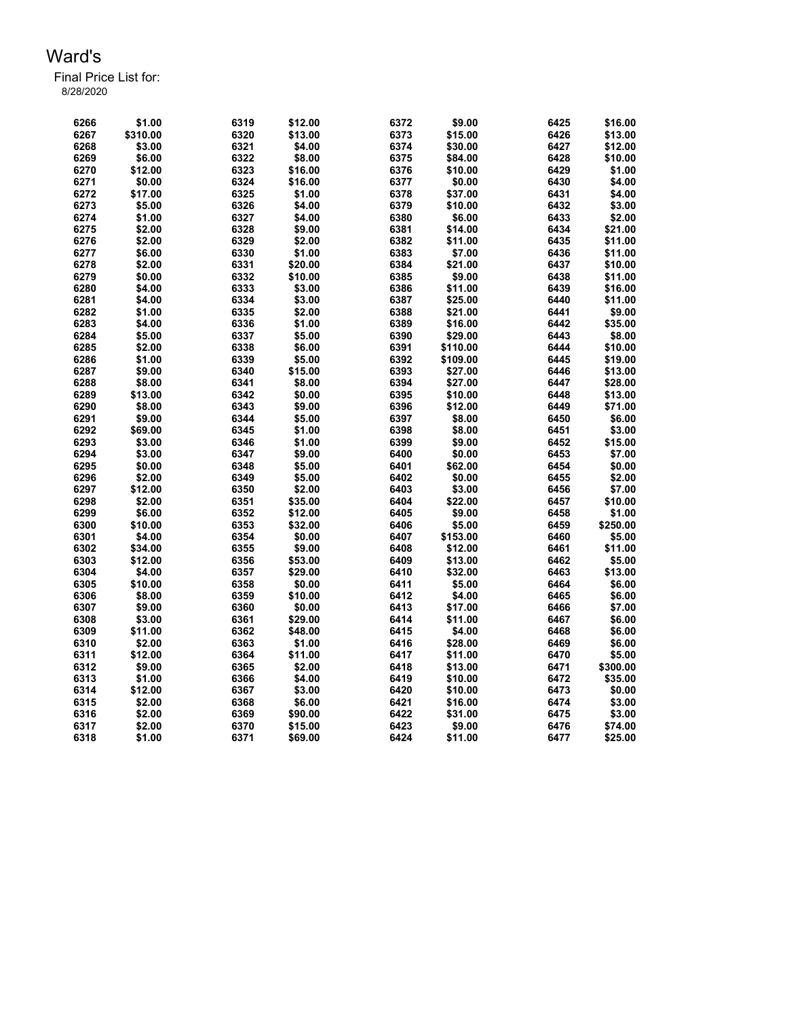| 6266 | \$1.00   | 6319 | \$12.00 | 6372 | \$9.00   | 6425 | \$16.00  |
|------|----------|------|---------|------|----------|------|----------|
| 6267 | \$310.00 | 6320 | \$13.00 | 6373 | \$15.00  | 6426 | \$13.00  |
| 6268 | \$3.00   | 6321 | \$4.00  | 6374 | \$30.00  | 6427 | \$12.00  |
| 6269 | \$6.00   | 6322 | \$8.00  | 6375 | \$84.00  | 6428 | \$10.00  |
| 6270 | \$12.00  | 6323 | \$16.00 | 6376 | \$10.00  | 6429 | \$1.00   |
| 6271 | \$0.00   | 6324 | \$16.00 | 6377 | \$0.00   | 6430 | \$4.00   |
| 6272 | \$17.00  | 6325 | \$1.00  | 6378 | \$37.00  | 6431 | \$4.00   |
| 6273 | \$5.00   | 6326 | \$4.00  | 6379 | \$10.00  | 6432 | \$3.00   |
| 6274 | \$1.00   | 6327 | \$4.00  | 6380 | \$6.00   | 6433 | \$2.00   |
| 6275 | \$2.00   | 6328 | \$9.00  | 6381 | \$14.00  | 6434 | \$21.00  |
| 6276 | \$2.00   | 6329 | \$2.00  | 6382 | \$11.00  | 6435 | \$11.00  |
| 6277 | \$6.00   | 6330 | \$1.00  | 6383 | \$7.00   | 6436 | \$11.00  |
| 6278 | \$2.00   | 6331 | \$20.00 | 6384 | \$21.00  | 6437 | \$10.00  |
| 6279 | \$0.00   | 6332 | \$10.00 | 6385 | \$9.00   | 6438 | \$11.00  |
| 6280 | \$4.00   | 6333 | \$3.00  | 6386 | \$11.00  | 6439 | \$16.00  |
| 6281 | \$4.00   | 6334 | \$3.00  | 6387 | \$25.00  | 6440 | \$11.00  |
| 6282 | \$1.00   | 6335 | \$2.00  | 6388 | \$21.00  | 6441 | \$9.00   |
| 6283 | \$4.00   | 6336 | \$1.00  | 6389 | \$16.00  | 6442 | \$35.00  |
| 6284 | \$5.00   | 6337 | \$5.00  | 6390 | \$29.00  | 6443 | \$8.00   |
| 6285 | \$2.00   | 6338 | \$6.00  | 6391 | \$110.00 | 6444 | \$10.00  |
| 6286 | \$1.00   | 6339 | \$5.00  | 6392 | \$109.00 | 6445 | \$19.00  |
| 6287 | \$9.00   | 6340 | \$15.00 | 6393 | \$27.00  | 6446 | \$13.00  |
| 6288 | \$8.00   | 6341 | \$8.00  | 6394 | \$27.00  | 6447 | \$28.00  |
| 6289 | \$13.00  | 6342 | \$0.00  | 6395 | \$10.00  | 6448 | \$13.00  |
| 6290 | \$8.00   | 6343 | \$9.00  | 6396 | \$12.00  | 6449 | \$71.00  |
| 6291 | \$9.00   | 6344 | \$5.00  | 6397 | \$8.00   | 6450 | \$6.00   |
| 6292 | \$69.00  | 6345 | \$1.00  | 6398 | \$8.00   | 6451 | \$3.00   |
| 6293 | \$3.00   | 6346 | \$1.00  | 6399 | \$9.00   | 6452 | \$15.00  |
| 6294 | \$3.00   | 6347 | \$9.00  | 6400 | \$0.00   | 6453 | \$7.00   |
| 6295 | \$0.00   | 6348 | \$5.00  | 6401 | \$62.00  | 6454 | \$0.00   |
| 6296 | \$2.00   | 6349 | \$5.00  | 6402 | \$0.00   | 6455 | \$2.00   |
| 6297 | \$12.00  | 6350 | \$2.00  | 6403 | \$3.00   | 6456 | \$7.00   |
| 6298 | \$2.00   | 6351 | \$35.00 | 6404 | \$22.00  | 6457 | \$10.00  |
| 6299 | \$6.00   | 6352 | \$12.00 | 6405 | \$9.00   | 6458 | \$1.00   |
| 6300 | \$10.00  | 6353 | \$32.00 | 6406 | \$5.00   | 6459 | \$250.00 |
| 6301 | \$4.00   | 6354 | \$0.00  | 6407 | \$153.00 | 6460 | \$5.00   |
| 6302 | \$34.00  | 6355 | \$9.00  | 6408 | \$12.00  | 6461 | \$11.00  |
| 6303 | \$12.00  | 6356 | \$53.00 | 6409 | \$13.00  | 6462 | \$5.00   |
| 6304 | \$4.00   | 6357 | \$29.00 | 6410 | \$32.00  | 6463 | \$13.00  |
| 6305 | \$10.00  | 6358 | \$0.00  | 6411 | \$5.00   | 6464 | \$6.00   |
| 6306 | \$8.00   | 6359 | \$10.00 | 6412 | \$4.00   | 6465 | \$6.00   |
| 6307 | \$9.00   | 6360 | \$0.00  | 6413 | \$17.00  | 6466 | \$7.00   |
| 6308 | \$3.00   | 6361 | \$29.00 | 6414 | \$11.00  | 6467 | \$6.00   |
| 6309 | \$11.00  | 6362 | \$48.00 | 6415 | \$4.00   | 6468 | \$6.00   |
| 6310 | \$2.00   | 6363 | \$1.00  | 6416 | \$28.00  | 6469 | \$6.00   |
| 6311 | \$12.00  | 6364 | \$11.00 | 6417 | \$11.00  | 6470 | \$5.00   |
| 6312 | \$9.00   | 6365 | \$2.00  | 6418 | \$13.00  | 6471 | \$300.00 |
| 6313 | \$1.00   | 6366 | \$4.00  | 6419 | \$10.00  | 6472 | \$35.00  |
| 6314 | \$12.00  | 6367 | \$3.00  | 6420 | \$10.00  | 6473 | \$0.00   |
| 6315 | \$2.00   | 6368 | \$6.00  | 6421 | \$16.00  | 6474 | \$3.00   |
| 6316 | \$2.00   | 6369 | \$90.00 | 6422 | \$31.00  | 6475 | \$3.00   |
| 6317 | \$2.00   | 6370 | \$15.00 | 6423 | \$9.00   | 6476 | \$74.00  |
| 6318 | \$1.00   | 6371 | \$69.00 | 6424 | \$11.00  | 6477 | \$25.00  |
|      |          |      |         |      |          |      |          |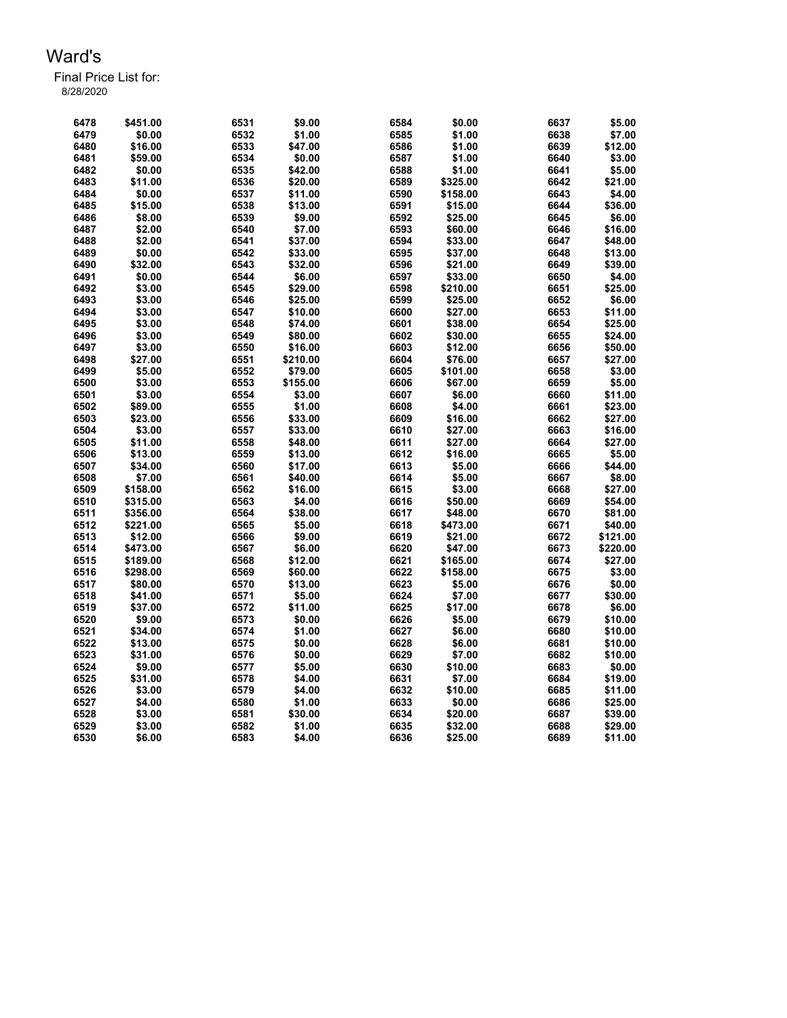| 6478 | \$451.00 | 6531 | \$9.00   | 6584 | \$0.00   | 6637 | \$5.00            |
|------|----------|------|----------|------|----------|------|-------------------|
| 6479 | \$0.00   | 6532 | \$1.00   | 6585 | \$1.00   | 6638 | \$7.00            |
| 6480 | \$16.00  | 6533 | \$47.00  | 6586 | \$1.00   | 6639 | \$12.00           |
| 6481 | \$59.00  | 6534 | \$0.00   | 6587 | \$1.00   | 6640 | \$3.00            |
| 6482 | \$0.00   | 6535 | \$42.00  | 6588 | \$1.00   | 6641 | \$5.00            |
| 6483 | \$11.00  | 6536 | \$20.00  | 6589 | \$325.00 | 6642 | \$21.00           |
| 6484 | \$0.00   | 6537 | \$11.00  | 6590 | \$158.00 | 6643 | \$4.00            |
| 6485 | \$15.00  | 6538 | \$13.00  | 6591 | \$15.00  | 6644 | \$36.00           |
| 6486 | \$8.00   | 6539 | \$9.00   | 6592 | \$25.00  | 6645 | \$6.00            |
| 6487 | \$2.00   | 6540 | \$7.00   | 6593 | \$60.00  | 6646 | \$16.00           |
| 6488 | \$2.00   | 6541 | \$37.00  | 6594 | \$33.00  | 6647 | \$48.00           |
| 6489 | \$0.00   | 6542 | \$33.00  | 6595 | \$37.00  | 6648 | \$13.00           |
| 6490 | \$32.00  | 6543 | \$32.00  | 6596 | \$21.00  | 6649 | \$39.00           |
|      |          |      |          |      |          |      |                   |
| 6491 | \$0.00   | 6544 | \$6.00   | 6597 | \$33.00  | 6650 | \$4.00            |
| 6492 | \$3.00   | 6545 | \$29.00  | 6598 | \$210.00 | 6651 | \$25.00           |
| 6493 | \$3.00   | 6546 | \$25.00  | 6599 | \$25.00  | 6652 | \$6.00            |
| 6494 | \$3.00   | 6547 | \$10.00  | 6600 | \$27.00  | 6653 | \$11.00           |
| 6495 | \$3.00   | 6548 | \$74.00  | 6601 | \$38.00  | 6654 | \$25.00           |
| 6496 | \$3.00   | 6549 | \$80.00  | 6602 | \$30.00  | 6655 | \$24.00           |
| 6497 | \$3.00   | 6550 | \$16.00  | 6603 | \$12.00  | 6656 | \$50.00           |
| 6498 | \$27.00  | 6551 | \$210.00 | 6604 | \$76.00  | 6657 | \$27.00           |
| 6499 | \$5.00   | 6552 | \$79.00  | 6605 | \$101.00 | 6658 | \$3.00            |
| 6500 | \$3.00   | 6553 | \$155.00 | 6606 | \$67.00  | 6659 | \$5.00            |
| 6501 | \$3.00   | 6554 | \$3.00   | 6607 | \$6.00   | 6660 | \$11.00           |
| 6502 | \$89.00  | 6555 | \$1.00   | 6608 | \$4.00   | 6661 | \$23.00           |
| 6503 | \$23.00  | 6556 | \$33.00  | 6609 | \$16.00  | 6662 | \$27.00           |
| 6504 | \$3.00   | 6557 | \$33.00  | 6610 | \$27.00  | 6663 | \$16.00           |
| 6505 | \$11.00  | 6558 | \$48.00  | 6611 | \$27.00  | 6664 | \$27.00           |
| 6506 | \$13.00  | 6559 | \$13.00  | 6612 | \$16.00  | 6665 | \$5.00            |
| 6507 | \$34.00  | 6560 | \$17.00  | 6613 | \$5.00   | 6666 | \$44.00           |
| 6508 | \$7.00   | 6561 | \$40.00  | 6614 | \$5.00   | 6667 | \$8.00            |
| 6509 | \$158.00 | 6562 | \$16.00  | 6615 | \$3.00   | 6668 | \$27.00           |
| 6510 | \$315.00 | 6563 | \$4.00   | 6616 | \$50.00  | 6669 | \$54.00           |
| 6511 | \$356.00 | 6564 | \$38.00  | 6617 | \$48.00  | 6670 | \$81.00           |
| 6512 | \$221.00 | 6565 | \$5.00   | 6618 | \$473.00 | 6671 | \$40.00           |
| 6513 | \$12.00  | 6566 | \$9.00   | 6619 | \$21.00  | 6672 | \$121.00          |
| 6514 | \$473.00 | 6567 | \$6.00   | 6620 | \$47.00  | 6673 | \$220.00          |
| 6515 | \$189.00 | 6568 | \$12.00  | 6621 | \$165.00 | 6674 | \$27.00           |
| 6516 | \$298.00 | 6569 | \$60.00  | 6622 | \$158.00 | 6675 | \$3.00            |
| 6517 | \$80.00  | 6570 | \$13.00  | 6623 | \$5.00   | 6676 | \$0.00            |
|      | \$41.00  | 6571 |          | 6624 | \$7.00   |      |                   |
| 6518 | \$37.00  | 6572 | \$5.00   |      |          | 6677 | \$30.00<br>\$6.00 |
| 6519 |          |      | \$11.00  | 6625 | \$17.00  | 6678 |                   |
| 6520 | \$9.00   | 6573 | \$0.00   | 6626 | \$5.00   | 6679 | \$10.00           |
| 6521 | \$34.00  | 6574 | \$1.00   | 6627 | \$6.00   | 6680 | \$10.00           |
| 6522 | \$13.00  | 6575 | \$0.00   | 6628 | \$6.00   | 6681 | \$10.00           |
| 6523 | \$31.00  | 6576 | \$0.00   | 6629 | \$7.00   | 6682 | \$10.00           |
| 6524 | \$9.00   | 6577 | \$5.00   | 6630 | \$10.00  | 6683 | \$0.00            |
| 6525 | \$31.00  | 6578 | \$4.00   | 6631 | \$7.00   | 6684 | \$19.00           |
| 6526 | \$3.00   | 6579 | \$4.00   | 6632 | \$10.00  | 6685 | \$11.00           |
| 6527 | \$4.00   | 6580 | \$1.00   | 6633 | \$0.00   | 6686 | \$25.00           |
| 6528 | \$3.00   | 6581 | \$30.00  | 6634 | \$20.00  | 6687 | \$39.00           |
| 6529 | \$3.00   | 6582 | \$1.00   | 6635 | \$32.00  | 6688 | \$29.00           |
| 6530 | \$6.00   | 6583 | \$4.00   | 6636 | \$25.00  | 6689 | \$11.00           |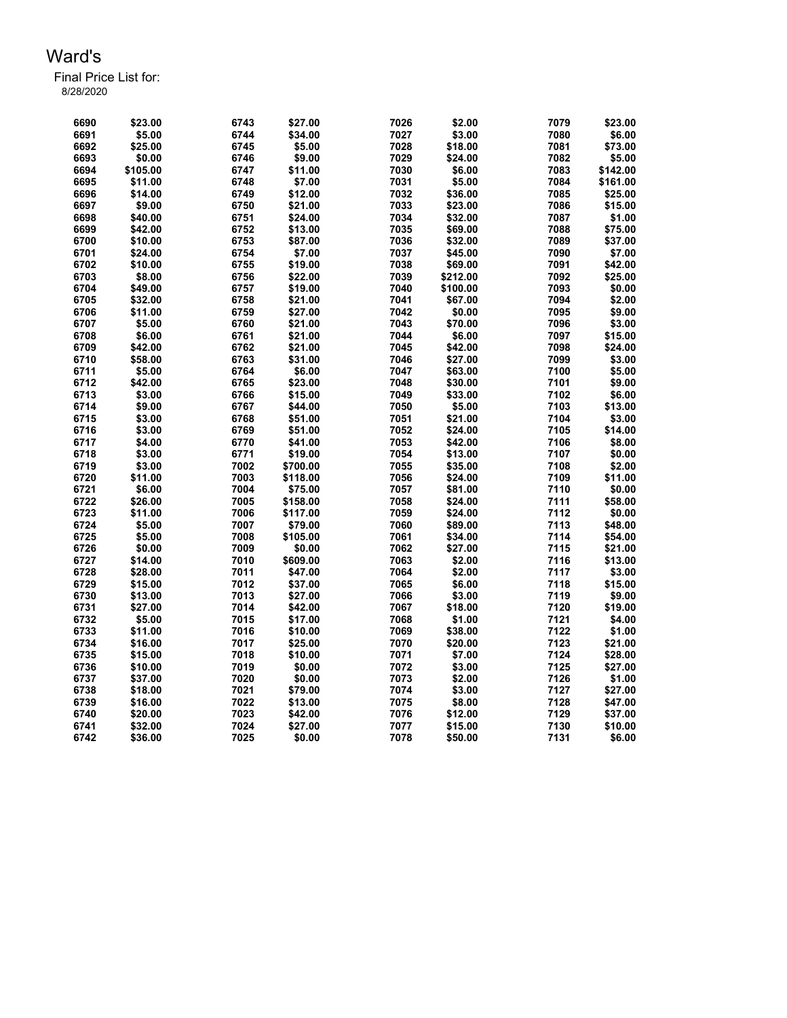| 6690 | \$23.00  | 6743 | \$27.00  | 7026 | \$2.00   | 7079 | \$23.00  |
|------|----------|------|----------|------|----------|------|----------|
| 6691 | \$5.00   | 6744 | \$34.00  | 7027 | \$3.00   | 7080 | \$6.00   |
| 6692 | \$25.00  | 6745 | \$5.00   | 7028 | \$18.00  | 7081 | \$73.00  |
| 6693 | \$0.00   | 6746 | \$9.00   | 7029 | \$24.00  | 7082 | \$5.00   |
| 6694 | \$105.00 | 6747 | \$11.00  | 7030 | \$6.00   | 7083 | \$142.00 |
| 6695 | \$11.00  | 6748 | \$7.00   | 7031 | \$5.00   | 7084 | \$161.00 |
| 6696 | \$14.00  | 6749 | \$12.00  | 7032 | \$36.00  | 7085 | \$25.00  |
| 6697 | \$9.00   | 6750 | \$21.00  | 7033 | \$23.00  | 7086 | \$15.00  |
| 6698 | \$40.00  | 6751 | \$24.00  | 7034 | \$32.00  | 7087 | \$1.00   |
| 6699 | \$42.00  | 6752 | \$13.00  | 7035 | \$69.00  | 7088 | \$75.00  |
| 6700 | \$10.00  | 6753 | \$87.00  | 7036 | \$32.00  | 7089 | \$37.00  |
| 6701 | \$24.00  | 6754 | \$7.00   | 7037 | \$45.00  | 7090 | \$7.00   |
| 6702 | \$10.00  | 6755 | \$19.00  | 7038 | \$69.00  | 7091 | \$42.00  |
| 6703 | \$8.00   | 6756 | \$22.00  | 7039 | \$212.00 | 7092 | \$25.00  |
| 6704 | \$49.00  | 6757 | \$19.00  | 7040 | \$100.00 | 7093 | \$0.00   |
| 6705 | \$32.00  | 6758 | \$21.00  | 7041 | \$67.00  | 7094 | \$2.00   |
| 6706 | \$11.00  | 6759 | \$27.00  | 7042 | \$0.00   | 7095 | \$9.00   |
| 6707 | \$5.00   | 6760 | \$21.00  | 7043 | \$70.00  | 7096 | \$3.00   |
| 6708 | \$6.00   | 6761 | \$21.00  | 7044 | \$6.00   | 7097 | \$15.00  |
| 6709 | \$42.00  | 6762 | \$21.00  | 7045 | \$42.00  | 7098 | \$24.00  |
| 6710 | \$58.00  | 6763 | \$31.00  | 7046 | \$27.00  | 7099 | \$3.00   |
| 6711 | \$5.00   | 6764 | \$6.00   | 7047 | \$63.00  | 7100 | \$5.00   |
| 6712 | \$42.00  | 6765 | \$23.00  | 7048 | \$30.00  | 7101 | \$9.00   |
| 6713 | \$3.00   | 6766 | \$15.00  | 7049 | \$33.00  | 7102 | \$6.00   |
| 6714 | \$9.00   | 6767 | \$44.00  | 7050 | \$5.00   | 7103 | \$13.00  |
| 6715 | \$3.00   | 6768 | \$51.00  | 7051 | \$21.00  | 7104 | \$3.00   |
| 6716 | \$3.00   | 6769 | \$51.00  | 7052 | \$24.00  | 7105 | \$14.00  |
| 6717 | \$4.00   | 6770 | \$41.00  | 7053 | \$42.00  | 7106 | \$8.00   |
| 6718 | \$3.00   | 6771 | \$19.00  | 7054 | \$13.00  | 7107 | \$0.00   |
| 6719 | \$3.00   | 7002 | \$700.00 | 7055 | \$35.00  | 7108 | \$2.00   |
| 6720 | \$11.00  | 7003 | \$118.00 | 7056 | \$24.00  | 7109 | \$11.00  |
| 6721 | \$6.00   | 7004 | \$75.00  | 7057 | \$81.00  | 7110 | \$0.00   |
| 6722 | \$26.00  | 7005 | \$158.00 | 7058 | \$24.00  | 7111 | \$58.00  |
| 6723 | \$11.00  | 7006 | \$117.00 | 7059 | \$24.00  | 7112 | \$0.00   |
| 6724 | \$5.00   | 7007 | \$79.00  | 7060 | \$89.00  | 7113 | \$48.00  |
| 6725 | \$5.00   | 7008 | \$105.00 | 7061 | \$34.00  | 7114 | \$54.00  |
| 6726 | \$0.00   | 7009 | \$0.00   | 7062 | \$27.00  | 7115 | \$21.00  |
| 6727 | \$14.00  | 7010 | \$609.00 | 7063 | \$2.00   | 7116 | \$13.00  |
| 6728 | \$28.00  | 7011 | \$47.00  | 7064 | \$2.00   | 7117 | \$3.00   |
| 6729 | \$15.00  | 7012 | \$37.00  | 7065 | \$6.00   | 7118 | \$15.00  |
| 6730 | \$13.00  | 7013 | \$27.00  | 7066 | \$3.00   | 7119 | \$9.00   |
| 6731 | \$27.00  | 7014 | \$42.00  | 7067 | \$18.00  | 7120 | \$19.00  |
| 6732 | \$5.00   | 7015 | \$17.00  | 7068 | \$1.00   | 7121 | \$4.00   |
| 6733 | \$11.00  | 7016 | \$10.00  | 7069 | \$38.00  | 7122 | \$1.00   |
| 6734 | \$16.00  | 7017 | \$25.00  | 7070 | \$20.00  | 7123 | \$21.00  |
| 6735 | \$15.00  | 7018 | \$10.00  | 7071 | \$7.00   | 7124 | \$28.00  |
| 6736 | \$10.00  | 7019 | \$0.00   | 7072 | \$3.00   | 7125 | \$27.00  |
| 6737 | \$37.00  | 7020 | \$0.00   | 7073 | \$2.00   | 7126 | \$1.00   |
| 6738 | \$18.00  | 7021 | \$79.00  | 7074 | \$3.00   | 7127 | \$27.00  |
| 6739 | \$16.00  | 7022 | \$13.00  | 7075 | \$8.00   | 7128 | \$47.00  |
| 6740 | \$20.00  | 7023 | \$42.00  | 7076 | \$12.00  | 7129 | \$37.00  |
| 6741 | \$32.00  | 7024 | \$27.00  | 7077 | \$15.00  | 7130 | \$10.00  |
| 6742 | \$36.00  | 7025 | \$0.00   | 7078 | \$50.00  | 7131 | \$6.00   |
|      |          |      |          |      |          |      |          |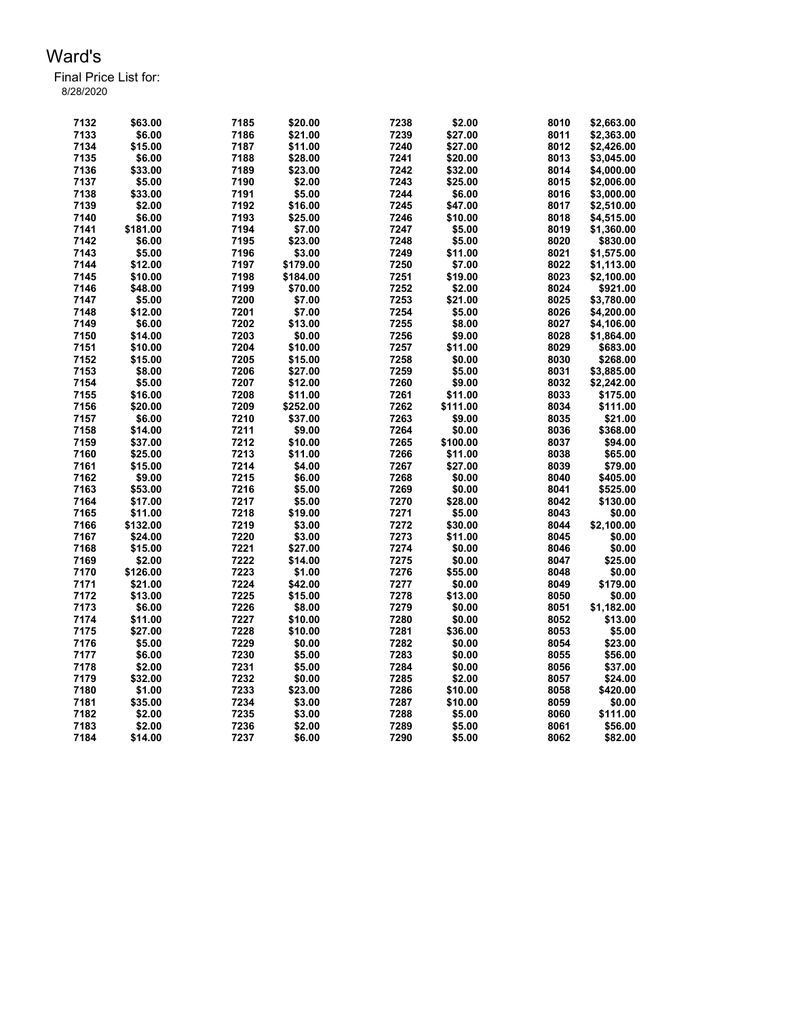| 7132 | \$63.00  | 7185 | \$20.00  | 7238 | \$2.00   | 8010 | \$2,663.00 |
|------|----------|------|----------|------|----------|------|------------|
| 7133 | \$6.00   | 7186 | \$21.00  | 7239 | \$27.00  | 8011 | \$2,363.00 |
| 7134 | \$15.00  | 7187 | \$11.00  | 7240 | \$27.00  | 8012 | \$2,426.00 |
| 7135 | \$6.00   | 7188 | \$28.00  | 7241 | \$20.00  | 8013 | \$3,045.00 |
| 7136 | \$33.00  | 7189 | \$23.00  | 7242 | \$32.00  | 8014 | \$4,000.00 |
| 7137 | \$5.00   | 7190 | \$2.00   | 7243 | \$25.00  | 8015 | \$2,006.00 |
| 7138 | \$33.00  | 7191 | \$5.00   | 7244 | \$6.00   | 8016 | \$3,000.00 |
|      |          |      |          |      |          |      |            |
| 7139 | \$2.00   | 7192 | \$16.00  | 7245 | \$47.00  | 8017 | \$2,510.00 |
| 7140 | \$6.00   | 7193 | \$25.00  | 7246 | \$10.00  | 8018 | \$4,515.00 |
| 7141 | \$181.00 | 7194 | \$7.00   | 7247 | \$5.00   | 8019 | \$1,360.00 |
| 7142 | \$6.00   | 7195 | \$23.00  | 7248 | \$5.00   | 8020 | \$830.00   |
| 7143 | \$5.00   | 7196 | \$3.00   | 7249 | \$11.00  | 8021 | \$1,575.00 |
| 7144 | \$12.00  | 7197 | \$179.00 | 7250 | \$7.00   | 8022 | \$1,113.00 |
| 7145 | \$10.00  | 7198 | \$184.00 | 7251 | \$19.00  | 8023 | \$2,100.00 |
| 7146 | \$48.00  | 7199 | \$70.00  | 7252 | \$2.00   | 8024 | \$921.00   |
| 7147 | \$5.00   | 7200 | \$7.00   | 7253 | \$21.00  | 8025 | \$3,780.00 |
| 7148 | \$12.00  | 7201 | \$7.00   | 7254 | \$5.00   | 8026 | \$4,200.00 |
| 7149 | \$6.00   | 7202 | \$13.00  | 7255 | \$8.00   | 8027 | \$4,106.00 |
| 7150 | \$14.00  | 7203 | \$0.00   | 7256 | \$9.00   | 8028 | \$1,864.00 |
|      |          |      |          |      |          |      |            |
| 7151 | \$10.00  | 7204 | \$10.00  | 7257 | \$11.00  | 8029 | \$683.00   |
| 7152 | \$15.00  | 7205 | \$15.00  | 7258 | \$0.00   | 8030 | \$268.00   |
| 7153 | \$8.00   | 7206 | \$27.00  | 7259 | \$5.00   | 8031 | \$3,885.00 |
| 7154 | \$5.00   | 7207 | \$12.00  | 7260 | \$9.00   | 8032 | \$2,242.00 |
| 7155 | \$16.00  | 7208 | \$11.00  | 7261 | \$11.00  | 8033 | \$175.00   |
| 7156 | \$20.00  | 7209 | \$252.00 | 7262 | \$111.00 | 8034 | \$111.00   |
| 7157 | \$6.00   | 7210 | \$37.00  | 7263 | \$9.00   | 8035 | \$21.00    |
| 7158 | \$14.00  | 7211 | \$9.00   | 7264 | \$0.00   | 8036 | \$368.00   |
| 7159 | \$37.00  | 7212 | \$10.00  | 7265 | \$100.00 | 8037 | \$94.00    |
| 7160 | \$25.00  | 7213 | \$11.00  | 7266 | \$11.00  | 8038 | \$65.00    |
| 7161 | \$15.00  | 7214 | \$4.00   | 7267 | \$27.00  | 8039 | \$79.00    |
| 7162 | \$9.00   | 7215 |          | 7268 |          | 8040 |            |
|      |          |      | \$6.00   |      | \$0.00   |      | \$405.00   |
| 7163 | \$53.00  | 7216 | \$5.00   | 7269 | \$0.00   | 8041 | \$525.00   |
| 7164 | \$17.00  | 7217 | \$5.00   | 7270 | \$28.00  | 8042 | \$130.00   |
| 7165 | \$11.00  | 7218 | \$19.00  | 7271 | \$5.00   | 8043 | \$0.00     |
| 7166 | \$132.00 | 7219 | \$3.00   | 7272 | \$30.00  | 8044 | \$2,100.00 |
| 7167 | \$24.00  | 7220 | \$3.00   | 7273 | \$11.00  | 8045 | \$0.00     |
| 7168 | \$15.00  | 7221 | \$27.00  | 7274 | \$0.00   | 8046 | \$0.00     |
| 7169 | \$2.00   | 7222 | \$14.00  | 7275 | \$0.00   | 8047 | \$25.00    |
| 7170 | \$126.00 | 7223 | \$1.00   | 7276 | \$55.00  | 8048 | \$0.00     |
| 7171 | \$21.00  | 7224 | \$42.00  | 7277 | \$0.00   | 8049 | \$179.00   |
| 7172 | \$13.00  | 7225 | \$15.00  | 7278 | \$13.00  | 8050 | \$0.00     |
| 7173 | \$6.00   | 7226 | \$8.00   | 7279 | \$0.00   | 8051 | \$1,182.00 |
| 7174 | \$11.00  | 7227 | \$10.00  | 7280 | \$0.00   | 8052 | \$13.00    |
| 7175 | \$27.00  | 7228 | \$10.00  | 7281 | \$36.00  | 8053 | \$5.00     |
|      |          |      |          |      |          |      |            |
| 7176 | \$5.00   | 7229 | \$0.00   | 7282 | \$0.00   | 8054 | \$23.00    |
| 7177 | \$6.00   | 7230 | \$5.00   | 7283 | \$0.00   | 8055 | \$56.00    |
| 7178 | \$2.00   | 7231 | \$5.00   | 7284 | \$0.00   | 8056 | \$37.00    |
| 7179 | \$32.00  | 7232 | \$0.00   | 7285 | \$2.00   | 8057 | \$24.00    |
| 7180 | \$1.00   | 7233 | \$23.00  | 7286 | \$10.00  | 8058 | \$420.00   |
| 7181 | \$35.00  | 7234 | \$3.00   | 7287 | \$10.00  | 8059 | \$0.00     |
| 7182 | \$2.00   | 7235 | \$3.00   | 7288 | \$5.00   | 8060 | \$111.00   |
| 7183 | \$2.00   | 7236 | \$2.00   | 7289 | \$5.00   | 8061 | \$56.00    |
| 7184 | \$14.00  | 7237 | \$6.00   | 7290 | \$5.00   | 8062 | \$82.00    |
|      |          |      |          |      |          |      |            |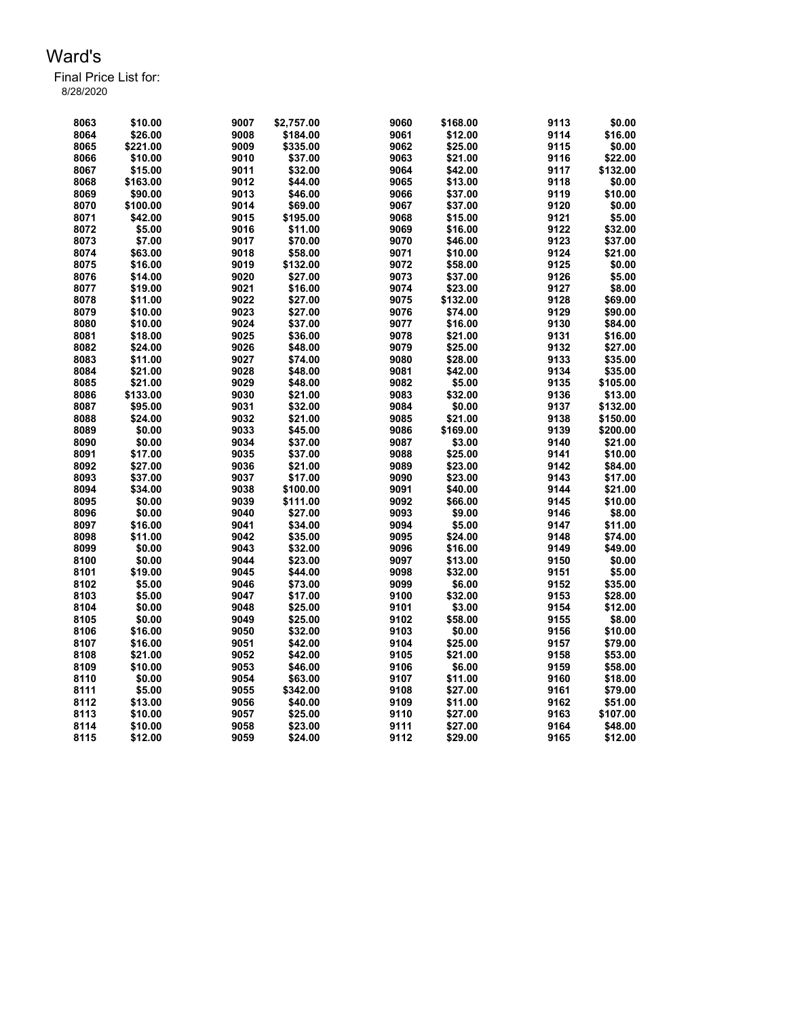| 8063 | \$10.00  | 9007 | \$2,757.00 | 9060 | \$168.00 | 9113 | \$0.00   |
|------|----------|------|------------|------|----------|------|----------|
| 8064 | \$26.00  | 9008 | \$184.00   | 9061 | \$12.00  | 9114 | \$16.00  |
| 8065 | \$221.00 | 9009 | \$335.00   | 9062 | \$25.00  | 9115 | \$0.00   |
| 8066 | \$10.00  | 9010 | \$37.00    | 9063 | \$21.00  | 9116 | \$22.00  |
| 8067 | \$15.00  | 9011 | \$32.00    | 9064 | \$42.00  | 9117 | \$132.00 |
| 8068 | \$163.00 | 9012 | \$44.00    | 9065 | \$13.00  | 9118 | \$0.00   |
| 8069 | \$90.00  | 9013 | \$46.00    | 9066 | \$37.00  | 9119 | \$10.00  |
| 8070 | \$100.00 | 9014 | \$69.00    | 9067 | \$37.00  | 9120 | \$0.00   |
| 8071 | \$42.00  | 9015 | \$195.00   | 9068 | \$15.00  | 9121 | \$5.00   |
| 8072 | \$5.00   | 9016 | \$11.00    | 9069 | \$16.00  | 9122 | \$32.00  |
| 8073 | \$7.00   | 9017 | \$70.00    | 9070 | \$46.00  | 9123 | \$37.00  |
| 8074 | \$63.00  | 9018 | \$58.00    | 9071 | \$10.00  | 9124 | \$21.00  |
| 8075 | \$16.00  | 9019 | \$132.00   | 9072 | \$58.00  | 9125 | \$0.00   |
| 8076 | \$14.00  | 9020 | \$27.00    | 9073 | \$37.00  | 9126 | \$5.00   |
| 8077 | \$19.00  | 9021 | \$16.00    | 9074 | \$23.00  | 9127 | \$8.00   |
| 8078 | \$11.00  | 9022 | \$27.00    | 9075 | \$132.00 | 9128 | \$69.00  |
| 8079 | \$10.00  | 9023 | \$27.00    | 9076 | \$74.00  | 9129 | \$90.00  |
| 8080 | \$10.00  | 9024 | \$37.00    | 9077 | \$16.00  | 9130 | \$84.00  |
|      |          |      |            |      |          |      |          |
| 8081 | \$18.00  | 9025 | \$36.00    | 9078 | \$21.00  | 9131 | \$16.00  |
| 8082 | \$24.00  | 9026 | \$48.00    | 9079 | \$25.00  | 9132 | \$27.00  |
| 8083 | \$11.00  | 9027 | \$74.00    | 9080 | \$28.00  | 9133 | \$35.00  |
| 8084 | \$21.00  | 9028 | \$48.00    | 9081 | \$42.00  | 9134 | \$35.00  |
| 8085 | \$21.00  | 9029 | \$48.00    | 9082 | \$5.00   | 9135 | \$105.00 |
| 8086 | \$133.00 | 9030 | \$21.00    | 9083 | \$32.00  | 9136 | \$13.00  |
| 8087 | \$95.00  | 9031 | \$32.00    | 9084 | \$0.00   | 9137 | \$132.00 |
| 8088 | \$24.00  | 9032 | \$21.00    | 9085 | \$21.00  | 9138 | \$150.00 |
| 8089 | \$0.00   | 9033 | \$45.00    | 9086 | \$169.00 | 9139 | \$200.00 |
| 8090 | \$0.00   | 9034 | \$37.00    | 9087 | \$3.00   | 9140 | \$21.00  |
| 8091 | \$17.00  | 9035 | \$37.00    | 9088 | \$25.00  | 9141 | \$10.00  |
| 8092 | \$27.00  | 9036 | \$21.00    | 9089 | \$23.00  | 9142 | \$84.00  |
| 8093 | \$37.00  | 9037 | \$17.00    | 9090 | \$23.00  | 9143 | \$17.00  |
| 8094 | \$34.00  | 9038 | \$100.00   | 9091 | \$40.00  | 9144 | \$21.00  |
| 8095 | \$0.00   | 9039 | \$111.00   | 9092 | \$66.00  | 9145 | \$10.00  |
| 8096 | \$0.00   | 9040 | \$27.00    | 9093 | \$9.00   | 9146 | \$8.00   |
| 8097 | \$16.00  | 9041 | \$34.00    | 9094 | \$5.00   | 9147 | \$11.00  |
| 8098 | \$11.00  | 9042 | \$35.00    | 9095 | \$24.00  | 9148 | \$74.00  |
| 8099 | \$0.00   | 9043 | \$32.00    | 9096 | \$16.00  | 9149 | \$49.00  |
| 8100 | \$0.00   | 9044 | \$23.00    | 9097 | \$13.00  | 9150 | \$0.00   |
| 8101 | \$19.00  | 9045 | \$44.00    | 9098 | \$32.00  | 9151 | \$5.00   |
| 8102 | \$5.00   | 9046 | \$73.00    | 9099 | \$6.00   | 9152 | \$35.00  |
| 8103 | \$5.00   | 9047 | \$17.00    | 9100 | \$32.00  | 9153 | \$28.00  |
| 8104 | \$0.00   | 9048 | \$25.00    | 9101 | \$3.00   | 9154 | \$12.00  |
| 8105 | \$0.00   | 9049 | \$25.00    | 9102 | \$58.00  | 9155 | \$8.00   |
| 8106 | \$16.00  | 9050 | \$32.00    | 9103 | \$0.00   | 9156 | \$10.00  |
| 8107 | \$16.00  | 9051 | \$42.00    | 9104 | \$25.00  | 9157 | \$79.00  |
| 8108 | \$21.00  | 9052 | \$42.00    | 9105 | \$21.00  | 9158 | \$53.00  |
| 8109 | \$10.00  | 9053 | \$46.00    | 9106 | \$6.00   | 9159 | \$58.00  |
| 8110 | \$0.00   | 9054 | \$63.00    | 9107 | \$11.00  | 9160 | \$18.00  |
| 8111 | \$5.00   | 9055 | \$342.00   | 9108 | \$27.00  | 9161 | \$79.00  |
| 8112 | \$13.00  | 9056 | \$40.00    | 9109 | \$11.00  | 9162 | \$51.00  |
| 8113 | \$10.00  | 9057 | \$25.00    | 9110 | \$27.00  | 9163 | \$107.00 |
| 8114 | \$10.00  | 9058 | \$23.00    | 9111 | \$27.00  | 9164 | \$48.00  |
| 8115 | \$12.00  | 9059 | \$24.00    | 9112 | \$29.00  | 9165 | \$12.00  |
|      |          |      |            |      |          |      |          |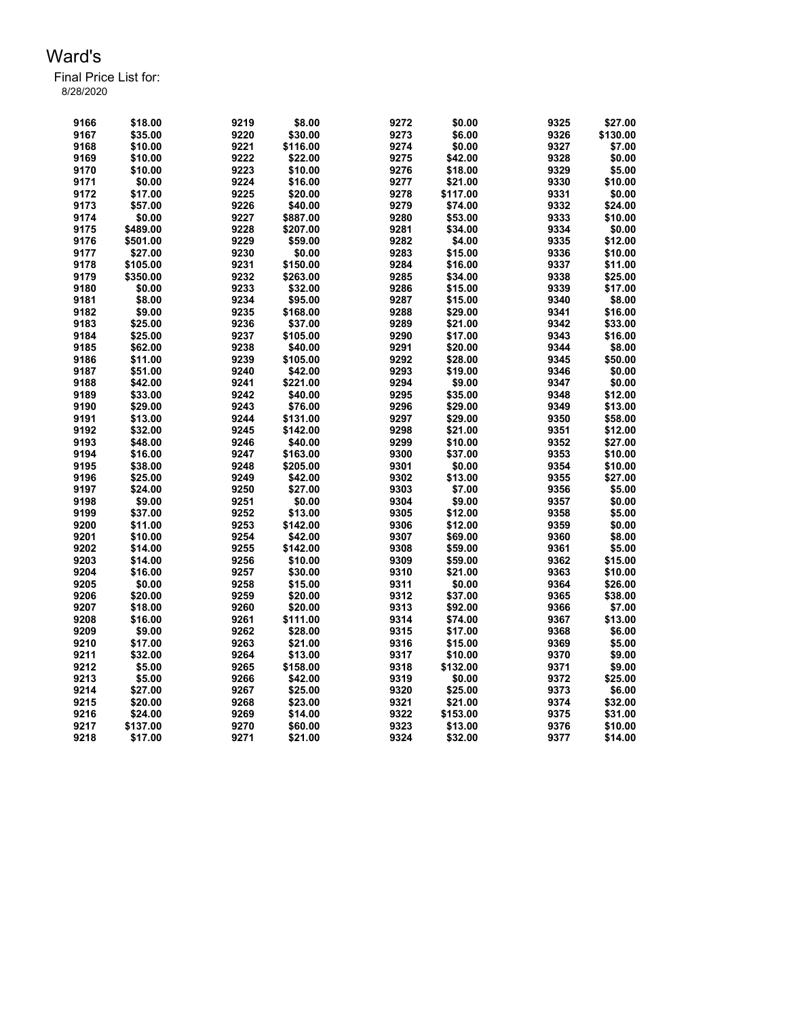| 9166 | \$18.00            | 9219 | \$8.00   | 9272 | \$0.00             | 9325 | \$27.00  |
|------|--------------------|------|----------|------|--------------------|------|----------|
| 9167 | \$35.00            | 9220 | \$30.00  | 9273 | \$6.00             | 9326 | \$130.00 |
| 9168 | \$10.00            | 9221 | \$116.00 | 9274 | \$0.00             | 9327 | \$7.00   |
| 9169 | \$10.00            | 9222 | \$22.00  | 9275 | \$42.00            | 9328 | \$0.00   |
| 9170 | \$10.00            | 9223 | \$10.00  | 9276 | \$18.00            | 9329 | \$5.00   |
| 9171 | \$0.00             | 9224 | \$16.00  | 9277 | \$21.00            | 9330 | \$10.00  |
| 9172 | \$17.00            | 9225 | \$20.00  | 9278 | \$117.00           | 9331 | \$0.00   |
| 9173 | \$57.00            | 9226 | \$40.00  | 9279 | \$74.00            | 9332 | \$24.00  |
| 9174 | \$0.00             | 9227 | \$887.00 | 9280 | \$53.00            | 9333 | \$10.00  |
| 9175 | \$489.00           | 9228 | \$207.00 | 9281 | \$34.00            | 9334 | \$0.00   |
| 9176 | \$501.00           | 9229 | \$59.00  | 9282 | \$4.00             | 9335 | \$12.00  |
| 9177 | \$27.00            | 9230 | \$0.00   | 9283 | \$15.00            | 9336 | \$10.00  |
| 9178 | \$105.00           | 9231 | \$150.00 | 9284 | \$16.00            | 9337 | \$11.00  |
| 9179 | \$350.00           | 9232 | \$263.00 | 9285 | \$34.00            | 9338 | \$25.00  |
| 9180 | \$0.00             | 9233 | \$32.00  | 9286 | \$15.00            | 9339 | \$17.00  |
| 9181 | \$8.00             | 9234 | \$95.00  | 9287 | \$15.00            | 9340 | \$8.00   |
| 9182 | \$9.00             | 9235 | \$168.00 | 9288 | \$29.00            | 9341 | \$16.00  |
| 9183 | \$25.00            | 9236 | \$37.00  | 9289 | \$21.00            | 9342 | \$33.00  |
| 9184 | \$25.00            | 9237 | \$105.00 | 9290 | \$17.00            | 9343 | \$16.00  |
| 9185 | \$62.00            | 9238 | \$40.00  | 9291 | \$20.00            | 9344 | \$8.00   |
| 9186 |                    | 9239 | \$105.00 | 9292 |                    | 9345 | \$50.00  |
| 9187 | \$11.00<br>\$51.00 | 9240 | \$42.00  | 9293 | \$28.00<br>\$19.00 | 9346 | \$0.00   |
|      |                    |      |          | 9294 |                    |      |          |
| 9188 | \$42.00            | 9241 | \$221.00 |      | \$9.00             | 9347 | \$0.00   |
| 9189 | \$33.00            | 9242 | \$40.00  | 9295 | \$35.00            | 9348 | \$12.00  |
| 9190 | \$29.00            | 9243 | \$76.00  | 9296 | \$29.00            | 9349 | \$13.00  |
| 9191 | \$13.00            | 9244 | \$131.00 | 9297 | \$29.00            | 9350 | \$58.00  |
| 9192 | \$32.00            | 9245 | \$142.00 | 9298 | \$21.00            | 9351 | \$12.00  |
| 9193 | \$48.00            | 9246 | \$40.00  | 9299 | \$10.00            | 9352 | \$27.00  |
| 9194 | \$16.00            | 9247 | \$163.00 | 9300 | \$37.00            | 9353 | \$10.00  |
| 9195 | \$38.00            | 9248 | \$205.00 | 9301 | \$0.00             | 9354 | \$10.00  |
| 9196 | \$25.00            | 9249 | \$42.00  | 9302 | \$13.00            | 9355 | \$27.00  |
| 9197 | \$24.00            | 9250 | \$27.00  | 9303 | \$7.00             | 9356 | \$5.00   |
| 9198 | \$9.00             | 9251 | \$0.00   | 9304 | \$9.00             | 9357 | \$0.00   |
| 9199 | \$37.00            | 9252 | \$13.00  | 9305 | \$12.00            | 9358 | \$5.00   |
| 9200 | \$11.00            | 9253 | \$142.00 | 9306 | \$12.00            | 9359 | \$0.00   |
| 9201 | \$10.00            | 9254 | \$42.00  | 9307 | \$69.00            | 9360 | \$8.00   |
| 9202 | \$14.00            | 9255 | \$142.00 | 9308 | \$59.00            | 9361 | \$5.00   |
| 9203 | \$14.00            | 9256 | \$10.00  | 9309 | \$59.00            | 9362 | \$15.00  |
| 9204 | \$16.00            | 9257 | \$30.00  | 9310 | \$21.00            | 9363 | \$10.00  |
| 9205 | \$0.00             | 9258 | \$15.00  | 9311 | \$0.00             | 9364 | \$26.00  |
| 9206 | \$20.00            | 9259 | \$20.00  | 9312 | \$37.00            | 9365 | \$38.00  |
| 9207 | \$18.00            | 9260 | \$20.00  | 9313 | \$92.00            | 9366 | \$7.00   |
| 9208 | \$16.00            | 9261 | \$111.00 | 9314 | \$74.00            | 9367 | \$13.00  |
| 9209 | \$9.00             | 9262 | \$28.00  | 9315 | \$17.00            | 9368 | \$6.00   |
| 9210 | \$17.00            | 9263 | \$21.00  | 9316 | \$15.00            | 9369 | \$5.00   |
| 9211 | \$32.00            | 9264 | \$13.00  | 9317 | \$10.00            | 9370 | \$9.00   |
| 9212 | \$5.00             | 9265 | \$158.00 | 9318 | \$132.00           | 9371 | \$9.00   |
| 9213 | \$5.00             | 9266 | \$42.00  | 9319 | \$0.00             | 9372 | \$25.00  |
| 9214 | \$27.00            | 9267 | \$25.00  | 9320 | \$25.00            | 9373 | \$6.00   |
| 9215 | \$20.00            | 9268 | \$23.00  | 9321 | \$21.00            | 9374 | \$32.00  |
| 9216 | \$24.00            | 9269 | \$14.00  | 9322 | \$153.00           | 9375 | \$31.00  |
| 9217 | \$137.00           | 9270 | \$60.00  | 9323 | \$13.00            | 9376 | \$10.00  |
| 9218 | \$17.00            | 9271 | \$21.00  | 9324 | \$32.00            | 9377 | \$14.00  |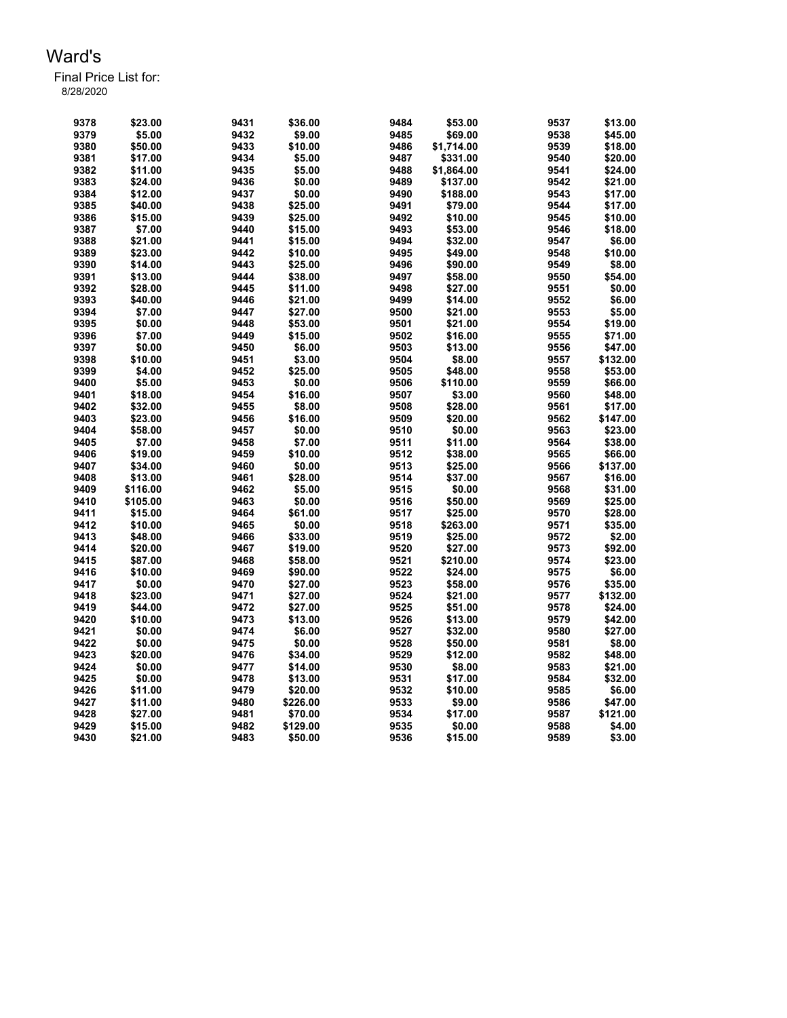| 9378 | \$23.00  | 9431 | \$36.00  | 9484 | \$53.00    | 9537 | \$13.00  |
|------|----------|------|----------|------|------------|------|----------|
| 9379 | \$5.00   | 9432 | \$9.00   | 9485 | \$69.00    | 9538 | \$45.00  |
| 9380 | \$50.00  | 9433 | \$10.00  | 9486 | \$1,714.00 | 9539 | \$18.00  |
| 9381 | \$17.00  | 9434 | \$5.00   | 9487 | \$331.00   | 9540 | \$20.00  |
| 9382 | \$11.00  | 9435 | \$5.00   | 9488 | \$1,864.00 | 9541 | \$24.00  |
| 9383 | \$24.00  | 9436 | \$0.00   | 9489 | \$137.00   | 9542 | \$21.00  |
| 9384 | \$12.00  | 9437 | \$0.00   | 9490 | \$188.00   | 9543 | \$17.00  |
| 9385 | \$40.00  | 9438 | \$25.00  | 9491 | \$79.00    | 9544 | \$17.00  |
| 9386 | \$15.00  | 9439 | \$25.00  | 9492 | \$10.00    | 9545 | \$10.00  |
| 9387 | \$7.00   | 9440 | \$15.00  | 9493 | \$53.00    | 9546 | \$18.00  |
| 9388 | \$21.00  | 9441 | \$15.00  | 9494 | \$32.00    | 9547 | \$6.00   |
| 9389 | \$23.00  | 9442 | \$10.00  | 9495 | \$49.00    | 9548 | \$10.00  |
| 9390 | \$14.00  | 9443 |          | 9496 |            | 9549 | \$8.00   |
|      |          |      | \$25.00  |      | \$90.00    |      |          |
| 9391 | \$13.00  | 9444 | \$38.00  | 9497 | \$58.00    | 9550 | \$54.00  |
| 9392 | \$28.00  | 9445 | \$11.00  | 9498 | \$27.00    | 9551 | \$0.00   |
| 9393 | \$40.00  | 9446 | \$21.00  | 9499 | \$14.00    | 9552 | \$6.00   |
| 9394 | \$7.00   | 9447 | \$27.00  | 9500 | \$21.00    | 9553 | \$5.00   |
| 9395 | \$0.00   | 9448 | \$53.00  | 9501 | \$21.00    | 9554 | \$19.00  |
| 9396 | \$7.00   | 9449 | \$15.00  | 9502 | \$16.00    | 9555 | \$71.00  |
| 9397 | \$0.00   | 9450 | \$6.00   | 9503 | \$13.00    | 9556 | \$47.00  |
| 9398 | \$10.00  | 9451 | \$3.00   | 9504 | \$8.00     | 9557 | \$132.00 |
| 9399 | \$4.00   | 9452 | \$25.00  | 9505 | \$48.00    | 9558 | \$53.00  |
| 9400 | \$5.00   | 9453 | \$0.00   | 9506 | \$110.00   | 9559 | \$66.00  |
| 9401 | \$18.00  | 9454 | \$16.00  | 9507 | \$3.00     | 9560 | \$48.00  |
| 9402 | \$32.00  | 9455 | \$8.00   | 9508 | \$28.00    | 9561 | \$17.00  |
| 9403 | \$23.00  | 9456 | \$16.00  | 9509 | \$20.00    | 9562 | \$147.00 |
| 9404 | \$58.00  | 9457 | \$0.00   | 9510 | \$0.00     | 9563 | \$23.00  |
| 9405 | \$7.00   | 9458 | \$7.00   | 9511 | \$11.00    | 9564 | \$38.00  |
| 9406 | \$19.00  | 9459 | \$10.00  | 9512 | \$38.00    | 9565 | \$66.00  |
| 9407 | \$34.00  | 9460 | \$0.00   | 9513 | \$25.00    | 9566 | \$137.00 |
| 9408 | \$13.00  | 9461 | \$28.00  | 9514 | \$37.00    | 9567 | \$16.00  |
| 9409 | \$116.00 | 9462 | \$5.00   | 9515 | \$0.00     | 9568 | \$31.00  |
| 9410 | \$105.00 | 9463 | \$0.00   | 9516 | \$50.00    | 9569 | \$25.00  |
| 9411 | \$15.00  | 9464 | \$61.00  | 9517 | \$25.00    | 9570 | \$28.00  |
| 9412 | \$10.00  | 9465 | \$0.00   | 9518 | \$263.00   | 9571 | \$35.00  |
| 9413 | \$48.00  |      |          | 9519 |            |      |          |
|      |          | 9466 | \$33.00  |      | \$25.00    | 9572 | \$2.00   |
| 9414 | \$20.00  | 9467 | \$19.00  | 9520 | \$27.00    | 9573 | \$92.00  |
| 9415 | \$87.00  | 9468 | \$58.00  | 9521 | \$210.00   | 9574 | \$23.00  |
| 9416 | \$10.00  | 9469 | \$90.00  | 9522 | \$24.00    | 9575 | \$6.00   |
| 9417 | \$0.00   | 9470 | \$27.00  | 9523 | \$58.00    | 9576 | \$35.00  |
| 9418 | \$23.00  | 9471 | \$27.00  | 9524 | \$21.00    | 9577 | \$132.00 |
| 9419 | \$44.00  | 9472 | \$27.00  | 9525 | \$51.00    | 9578 | \$24.00  |
| 9420 | \$10.00  | 9473 | \$13.00  | 9526 | \$13.00    | 9579 | \$42.00  |
| 9421 | \$0.00   | 9474 | \$6.00   | 9527 | \$32.00    | 9580 | \$27.00  |
| 9422 | \$0.00   | 9475 | \$0.00   | 9528 | \$50.00    | 9581 | \$8.00   |
| 9423 | \$20.00  | 9476 | \$34.00  | 9529 | \$12.00    | 9582 | \$48.00  |
| 9424 | \$0.00   | 9477 | \$14.00  | 9530 | \$8.00     | 9583 | \$21.00  |
| 9425 | \$0.00   | 9478 | \$13.00  | 9531 | \$17.00    | 9584 | \$32.00  |
| 9426 | \$11.00  | 9479 | \$20.00  | 9532 | \$10.00    | 9585 | \$6.00   |
| 9427 | \$11.00  | 9480 | \$226.00 | 9533 | \$9.00     | 9586 | \$47.00  |
| 9428 | \$27.00  | 9481 | \$70.00  | 9534 | \$17.00    | 9587 | \$121.00 |
| 9429 | \$15.00  | 9482 | \$129.00 | 9535 | \$0.00     | 9588 | \$4.00   |
| 9430 | \$21.00  | 9483 | \$50.00  | 9536 | \$15.00    | 9589 | \$3.00   |
|      |          |      |          |      |            |      |          |